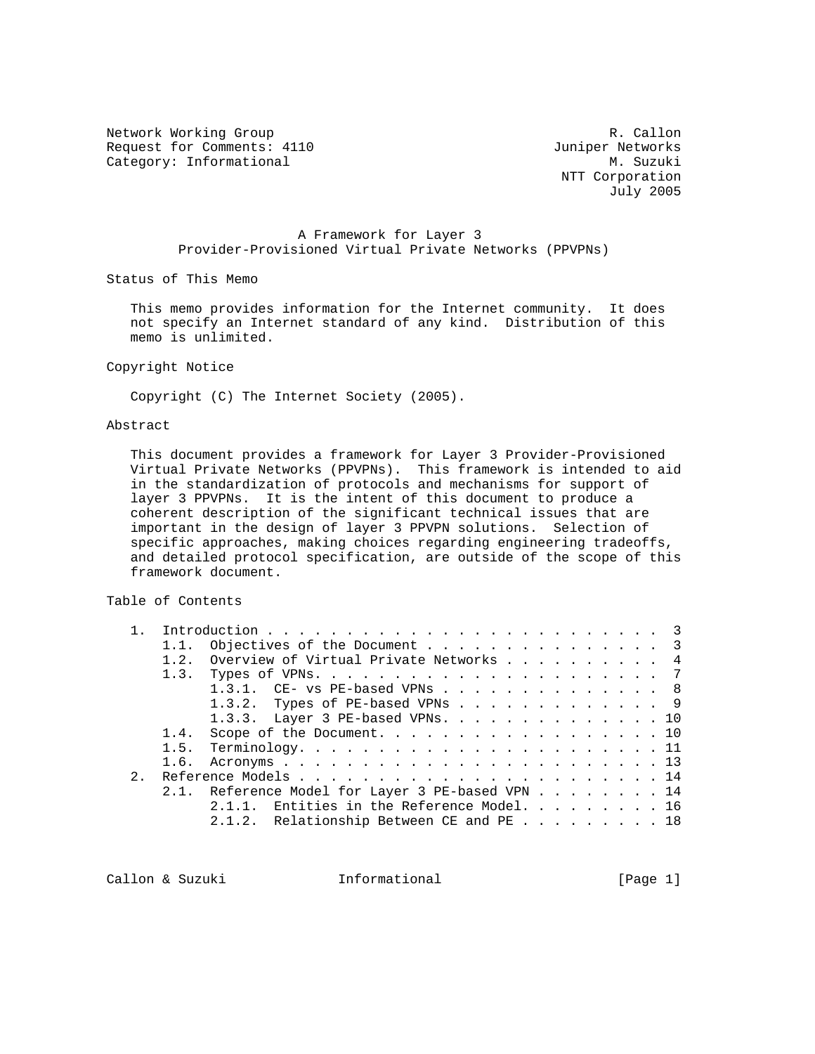Network Working Group and the contract of the R. Callon Request for Comments: 4110 Juniper Networks<br>
Category: Informational M. Suzuki Category: Informational

 NTT Corporation July 2005

# A Framework for Layer 3 Provider-Provisioned Virtual Private Networks (PPVPNs)

Status of This Memo

 This memo provides information for the Internet community. It does not specify an Internet standard of any kind. Distribution of this memo is unlimited.

Copyright Notice

Copyright (C) The Internet Society (2005).

# Abstract

 This document provides a framework for Layer 3 Provider-Provisioned Virtual Private Networks (PPVPNs). This framework is intended to aid in the standardization of protocols and mechanisms for support of layer 3 PPVPNs. It is the intent of this document to produce a coherent description of the significant technical issues that are important in the design of layer 3 PPVPN solutions. Selection of specific approaches, making choices regarding engineering tradeoffs, and detailed protocol specification, are outside of the scope of this framework document.

# Table of Contents

|     |      | Objectives of the Document 3                     |
|-----|------|--------------------------------------------------|
|     | 1.2. | Overview of Virtual Private Networks 4           |
|     |      |                                                  |
|     |      | 1.3.1. $CE-$ vs PE-based VPNs 8                  |
|     |      | 1.3.2. Types of PE-based VPNs 9                  |
|     |      | 1.3.3. Layer 3 PE-based VPNs. 10                 |
|     |      | 1.4. Scope of the Document. 10                   |
|     |      |                                                  |
|     |      |                                                  |
| 2.1 |      |                                                  |
|     |      | 2.1. Reference Model for Layer 3 PE-based VPN 14 |
|     |      | 2.1.1. Entities in the Reference Model. 16       |
|     |      | 2.1.2. Relationship Between CE and PE 18         |
|     |      |                                                  |

Callon & Suzuki **Informational** [Page 1]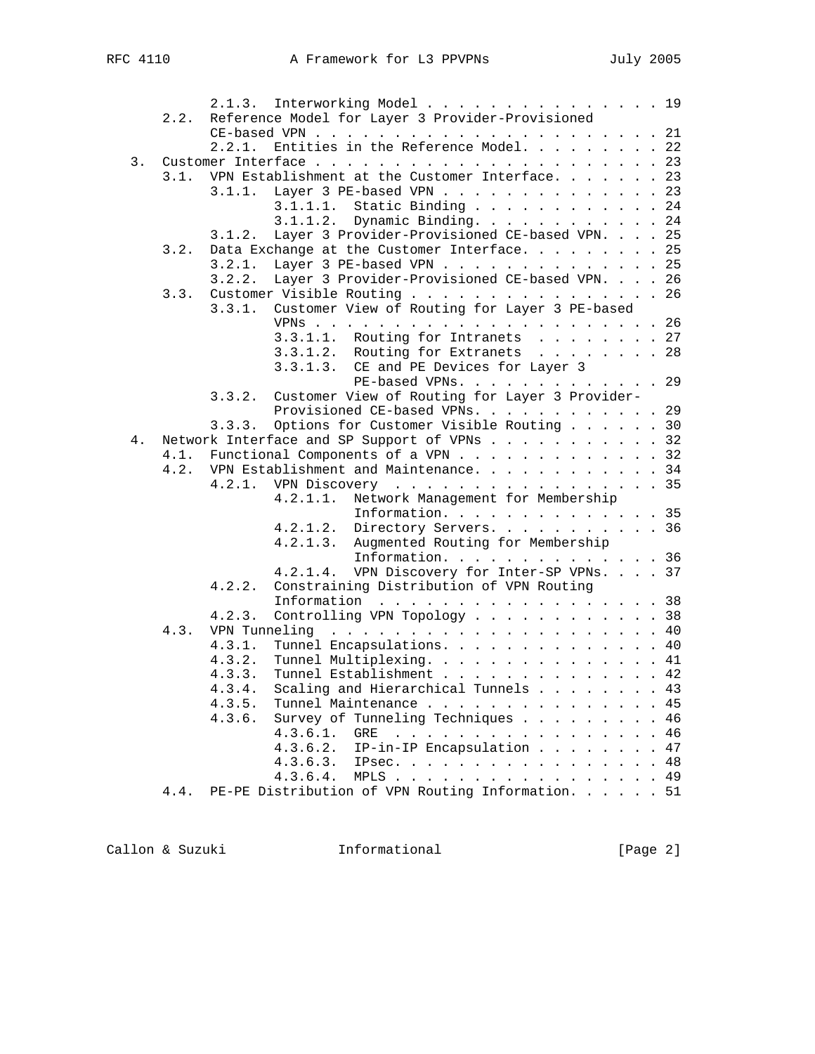|    |      |        | 2.1.3. Interworking Model 19                                      |
|----|------|--------|-------------------------------------------------------------------|
|    | 2.2. |        | Reference Model for Layer 3 Provider-Provisioned                  |
|    |      |        |                                                                   |
|    |      | 2.2.1. | Entities in the Reference Model. 22                               |
| 3. |      |        |                                                                   |
|    |      |        | 3.1. VPN Establishment at the Customer Interface. 23              |
|    |      | 3.1.1. | Layer 3 PE-based VPN 23                                           |
|    |      |        | Static Binding 24<br>3.1.1.1.                                     |
|    |      |        | Dynamic Binding. 24<br>3.1.1.2.                                   |
|    |      | 3.1.2. | Layer 3 Provider-Provisioned CE-based VPN. 25                     |
|    | 3.2. |        | Data Exchange at the Customer Interface. 25                       |
|    |      | 3.2.1. | Layer 3 PE-based VPN 25                                           |
|    |      | 3.2.2. | Layer 3 Provider-Provisioned CE-based VPN. 26                     |
|    |      |        |                                                                   |
|    |      |        | 3.3. Customer Visible Routing 26                                  |
|    |      |        | 3.3.1. Customer View of Routing for Layer 3 PE-based              |
|    |      |        |                                                                   |
|    |      |        | 3.3.1.1. Routing for Intranets 27                                 |
|    |      |        | 3.3.1.2. Routing for Extranets 28                                 |
|    |      |        | 3.3.1.3. CE and PE Devices for Layer 3                            |
|    |      |        | PE-based VPNs. 29                                                 |
|    |      | 3.3.2. | Customer View of Routing for Layer 3 Provider-                    |
|    |      |        | Provisioned CE-based VPNs. 29                                     |
|    |      | 3.3.3. | Options for Customer Visible Routing 30                           |
| 4. |      |        | Network Interface and SP Support of VPNs 32                       |
|    |      |        | 4.1. Functional Components of a VPN 32                            |
|    |      |        | 4.2. VPN Establishment and Maintenance. 34                        |
|    |      |        | 4.2.1. VPN Discovery 35                                           |
|    |      |        | Network Management for Membership<br>4.2.1.1.                     |
|    |      |        | Information. 35                                                   |
|    |      |        | 4.2.1.2. Directory Servers. 36                                    |
|    |      |        | Augmented Routing for Membership<br>4.2.1.3.                      |
|    |      |        | Information. 36                                                   |
|    |      |        | VPN Discovery for Inter-SP VPNs. 37<br>4.2.1.4.                   |
|    |      | 4.2.2. | Constraining Distribution of VPN Routing                          |
|    |      |        | Information $\ldots \ldots \ldots \ldots \ldots \ldots \ldots 38$ |
|    |      | 4.2.3. | Controlling VPN Topology 38                                       |
|    | 4.3. |        |                                                                   |
|    |      | 4.3.1. | Tunnel Encapsulations. 40                                         |
|    |      |        |                                                                   |
|    |      | 4.3.2. | Tunnel Multiplexing. 41                                           |
|    |      | 4.3.3. | Tunnel Establishment 42                                           |
|    |      | 4.3.4. | Scaling and Hierarchical Tunnels 43                               |
|    |      | 4.3.5. | Tunnel Maintenance 45                                             |
|    |      | 4.3.6. | Survey of Tunneling Techniques<br>46                              |
|    |      |        | 4.3.6.1.<br>. 46<br>GRE                                           |
|    |      |        | IP-in-IP Encapsulation<br>4.3.6.2.<br>47                          |
|    |      |        | IPsec. 48<br>4.3.6.3.                                             |
|    |      |        | 4.3.6.4.<br>MPLS 49                                               |
|    | 4.4. |        | PE-PE Distribution of VPN Routing Information. 51                 |

Callon & Suzuki **Informational** [Page 2]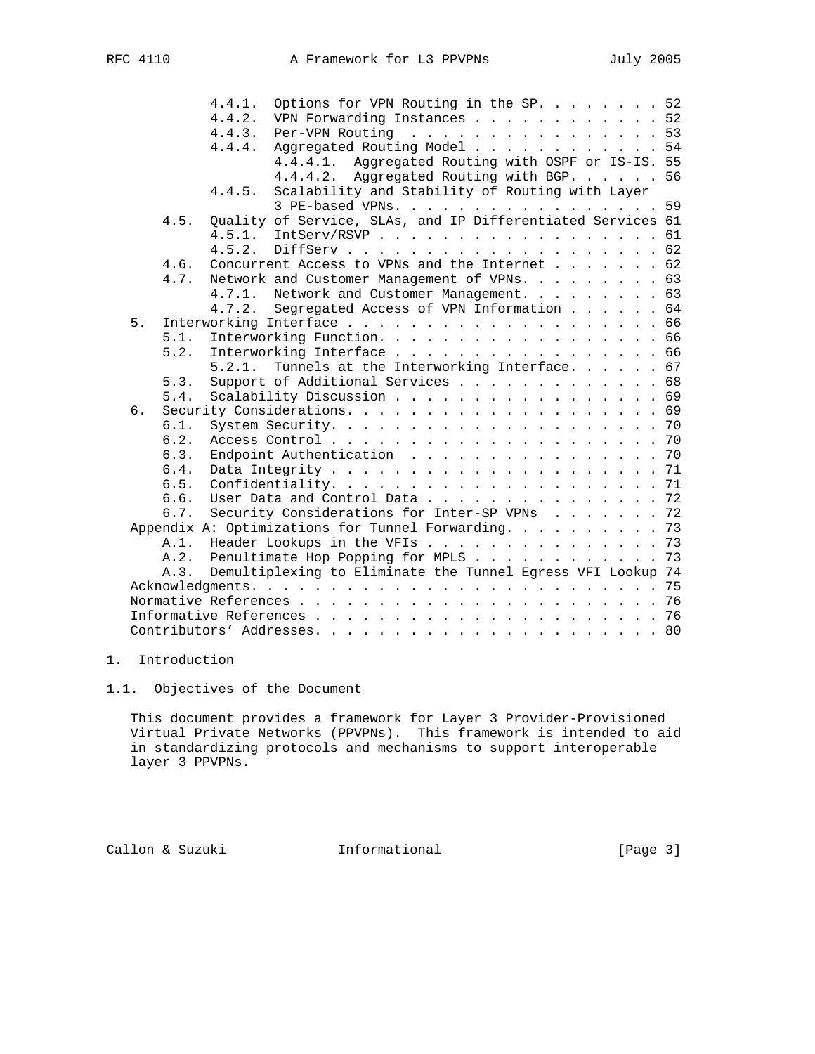|         | 4.4.1. | Options for VPN Routing in the SP. $\ldots$ 52              |  |  |
|---------|--------|-------------------------------------------------------------|--|--|
|         | 4.4.2. | VPN Forwarding Instances 52                                 |  |  |
|         | 4.4.3. | Per-VPN Routing 53                                          |  |  |
|         | 4.4.4. | Aggregated Routing Model 54                                 |  |  |
|         |        | 4.4.4.1. Aggregated Routing with OSPF or IS-IS. 55          |  |  |
|         |        | 4.4.4.2. Aggregated Routing with BGP. 56                    |  |  |
|         | 4.4.5. | Scalability and Stability of Routing with Layer             |  |  |
|         |        | 3 PE-based VPNs. 59                                         |  |  |
| 4.5.    |        | Quality of Service, SLAs, and IP Differentiated Services 61 |  |  |
|         |        | 4.5.1. IntServ/RSVP 61                                      |  |  |
|         | 4.5.2. |                                                             |  |  |
| 4.6.    |        | Concurrent Access to VPNs and the Internet 62               |  |  |
| 4.7.    |        | Network and Customer Management of VPNs. 63                 |  |  |
|         | 4.7.1. | Network and Customer Management. 63                         |  |  |
|         | 4.7.2. | Segregated Access of VPN Information 64                     |  |  |
| 5.      |        |                                                             |  |  |
| 5.1.    |        | Interworking Function. 66                                   |  |  |
| 5.2.    |        | Interworking Interface 66                                   |  |  |
|         | 5.2.1. | Tunnels at the Interworking Interface. 67                   |  |  |
| 5.3.    |        | Support of Additional Services 68                           |  |  |
| 5.4.    |        | Scalability Discussion 69                                   |  |  |
| б.      |        |                                                             |  |  |
| 6.1.    |        |                                                             |  |  |
| 6.2.    |        |                                                             |  |  |
| 6.3.    |        | Endpoint Authentication 70                                  |  |  |
| 6.4.    |        |                                                             |  |  |
| 6.5.    |        |                                                             |  |  |
| 6.6.    |        | User Data and Control Data 72                               |  |  |
| 6.7.    |        | Security Considerations for Inter-SP VPNs 72                |  |  |
|         |        | Appendix A: Optimizations for Tunnel Forwarding. 73         |  |  |
| $A.1$ . |        | Header Lookups in the VFIs 73                               |  |  |
|         |        | A.2. Penultimate Hop Popping for MPLS 73                    |  |  |
| A.3.    |        | Demultiplexing to Eliminate the Tunnel Egress VFI Lookup 74 |  |  |
|         |        |                                                             |  |  |
|         |        |                                                             |  |  |
|         |        |                                                             |  |  |
|         |        |                                                             |  |  |

# 1. Introduction

1.1. Objectives of the Document

 This document provides a framework for Layer 3 Provider-Provisioned Virtual Private Networks (PPVPNs). This framework is intended to aid in standardizing protocols and mechanisms to support interoperable layer 3 PPVPNs.

Callon & Suzuki **Informational** [Page 3]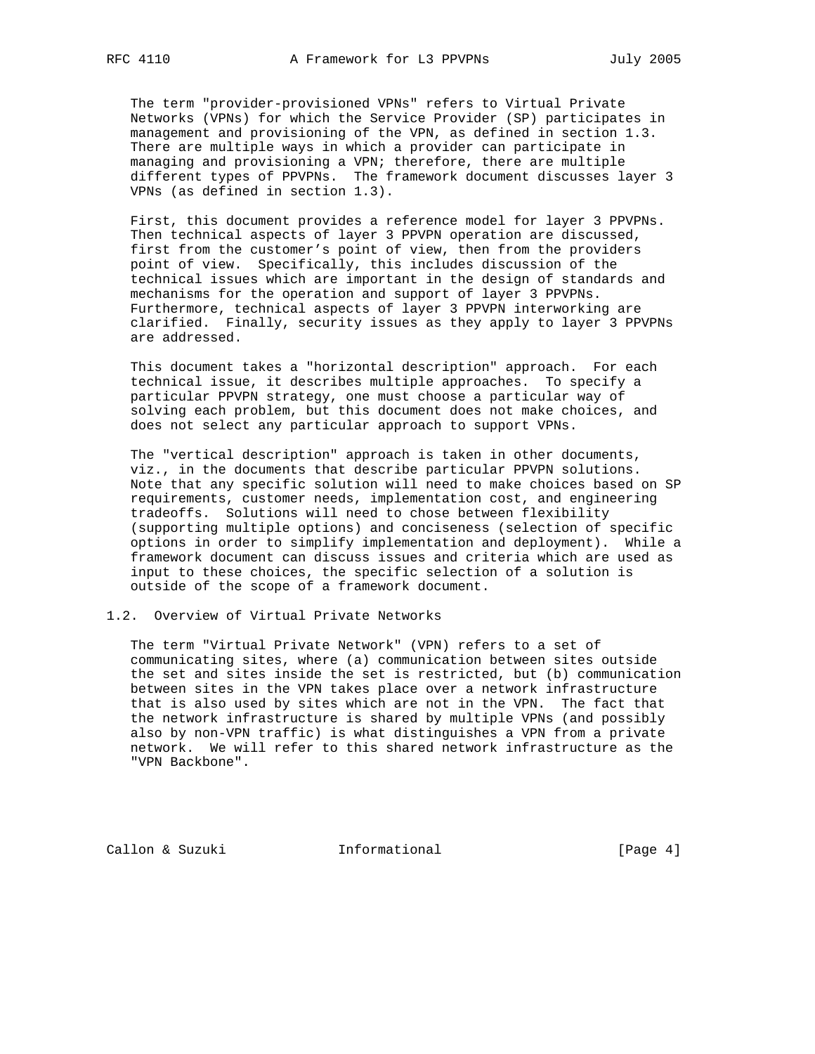The term "provider-provisioned VPNs" refers to Virtual Private Networks (VPNs) for which the Service Provider (SP) participates in management and provisioning of the VPN, as defined in section 1.3. There are multiple ways in which a provider can participate in managing and provisioning a VPN; therefore, there are multiple different types of PPVPNs. The framework document discusses layer 3 VPNs (as defined in section 1.3).

 First, this document provides a reference model for layer 3 PPVPNs. Then technical aspects of layer 3 PPVPN operation are discussed, first from the customer's point of view, then from the providers point of view. Specifically, this includes discussion of the technical issues which are important in the design of standards and mechanisms for the operation and support of layer 3 PPVPNs. Furthermore, technical aspects of layer 3 PPVPN interworking are clarified. Finally, security issues as they apply to layer 3 PPVPNs are addressed.

 This document takes a "horizontal description" approach. For each technical issue, it describes multiple approaches. To specify a particular PPVPN strategy, one must choose a particular way of solving each problem, but this document does not make choices, and does not select any particular approach to support VPNs.

 The "vertical description" approach is taken in other documents, viz., in the documents that describe particular PPVPN solutions. Note that any specific solution will need to make choices based on SP requirements, customer needs, implementation cost, and engineering tradeoffs. Solutions will need to chose between flexibility (supporting multiple options) and conciseness (selection of specific options in order to simplify implementation and deployment). While a framework document can discuss issues and criteria which are used as input to these choices, the specific selection of a solution is outside of the scope of a framework document.

# 1.2. Overview of Virtual Private Networks

 The term "Virtual Private Network" (VPN) refers to a set of communicating sites, where (a) communication between sites outside the set and sites inside the set is restricted, but (b) communication between sites in the VPN takes place over a network infrastructure that is also used by sites which are not in the VPN. The fact that the network infrastructure is shared by multiple VPNs (and possibly also by non-VPN traffic) is what distinguishes a VPN from a private network. We will refer to this shared network infrastructure as the "VPN Backbone".

Callon & Suzuki **Informational** [Page 4]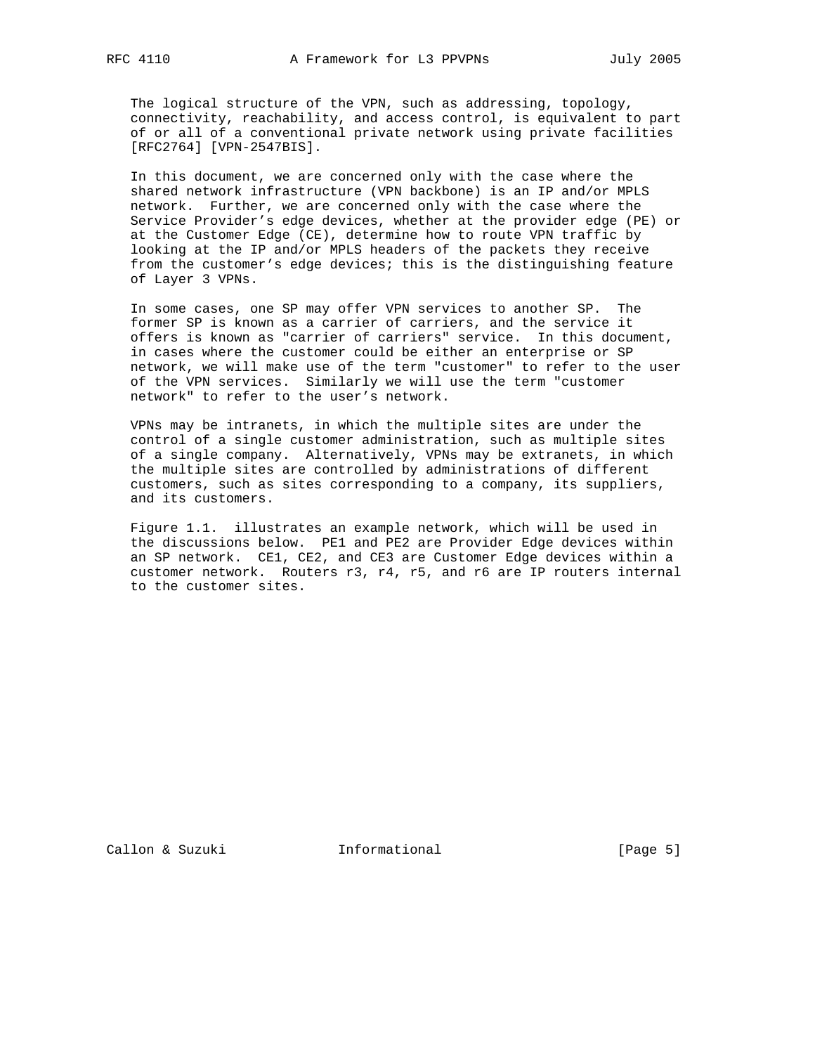The logical structure of the VPN, such as addressing, topology, connectivity, reachability, and access control, is equivalent to part of or all of a conventional private network using private facilities [RFC2764] [VPN-2547BIS].

 In this document, we are concerned only with the case where the shared network infrastructure (VPN backbone) is an IP and/or MPLS network. Further, we are concerned only with the case where the Service Provider's edge devices, whether at the provider edge (PE) or at the Customer Edge (CE), determine how to route VPN traffic by looking at the IP and/or MPLS headers of the packets they receive from the customer's edge devices; this is the distinguishing feature of Layer 3 VPNs.

 In some cases, one SP may offer VPN services to another SP. The former SP is known as a carrier of carriers, and the service it offers is known as "carrier of carriers" service. In this document, in cases where the customer could be either an enterprise or SP network, we will make use of the term "customer" to refer to the user of the VPN services. Similarly we will use the term "customer network" to refer to the user's network.

 VPNs may be intranets, in which the multiple sites are under the control of a single customer administration, such as multiple sites of a single company. Alternatively, VPNs may be extranets, in which the multiple sites are controlled by administrations of different customers, such as sites corresponding to a company, its suppliers, and its customers.

 Figure 1.1. illustrates an example network, which will be used in the discussions below. PE1 and PE2 are Provider Edge devices within an SP network. CE1, CE2, and CE3 are Customer Edge devices within a customer network. Routers r3, r4, r5, and r6 are IP routers internal to the customer sites.

Callon & Suzuki **Informational** [Page 5]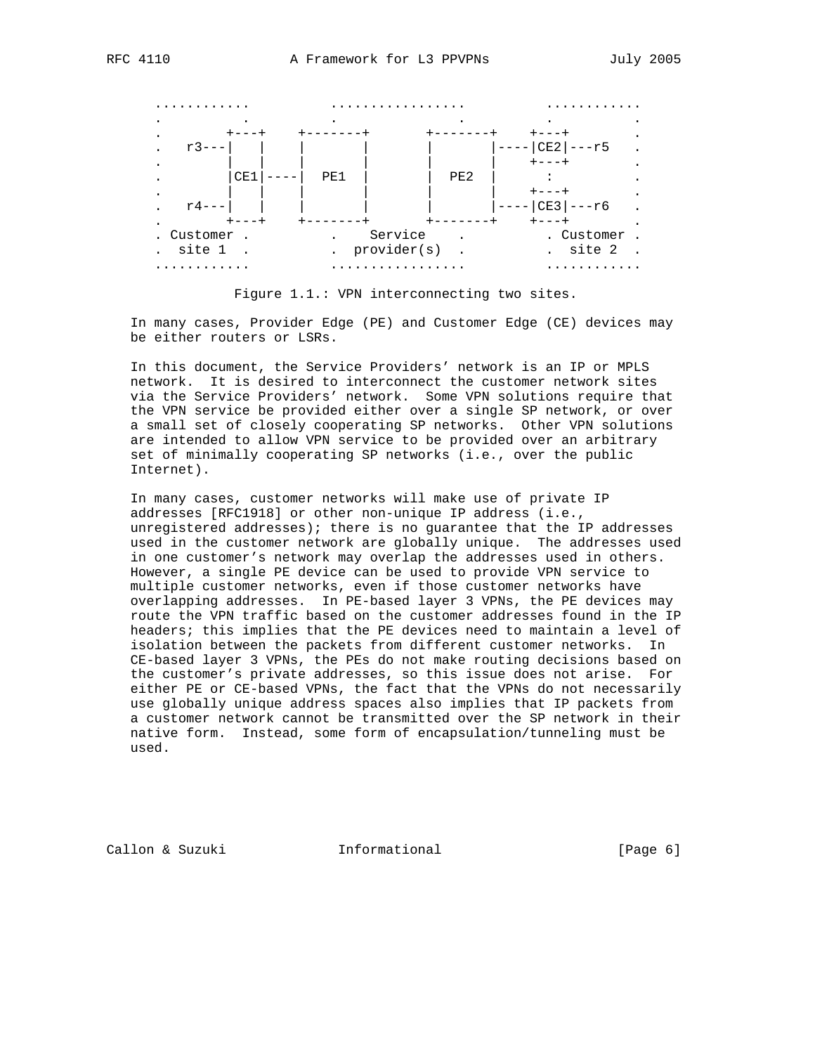

Figure 1.1.: VPN interconnecting two sites.

 In many cases, Provider Edge (PE) and Customer Edge (CE) devices may be either routers or LSRs.

 In this document, the Service Providers' network is an IP or MPLS network. It is desired to interconnect the customer network sites via the Service Providers' network. Some VPN solutions require that the VPN service be provided either over a single SP network, or over a small set of closely cooperating SP networks. Other VPN solutions are intended to allow VPN service to be provided over an arbitrary set of minimally cooperating SP networks (i.e., over the public Internet).

 In many cases, customer networks will make use of private IP addresses [RFC1918] or other non-unique IP address (i.e., unregistered addresses); there is no guarantee that the IP addresses used in the customer network are globally unique. The addresses used in one customer's network may overlap the addresses used in others. However, a single PE device can be used to provide VPN service to multiple customer networks, even if those customer networks have overlapping addresses. In PE-based layer 3 VPNs, the PE devices may route the VPN traffic based on the customer addresses found in the IP headers; this implies that the PE devices need to maintain a level of isolation between the packets from different customer networks. In CE-based layer 3 VPNs, the PEs do not make routing decisions based on the customer's private addresses, so this issue does not arise. For either PE or CE-based VPNs, the fact that the VPNs do not necessarily use globally unique address spaces also implies that IP packets from a customer network cannot be transmitted over the SP network in their native form. Instead, some form of encapsulation/tunneling must be used.

Callon & Suzuki **Informational** [Page 6]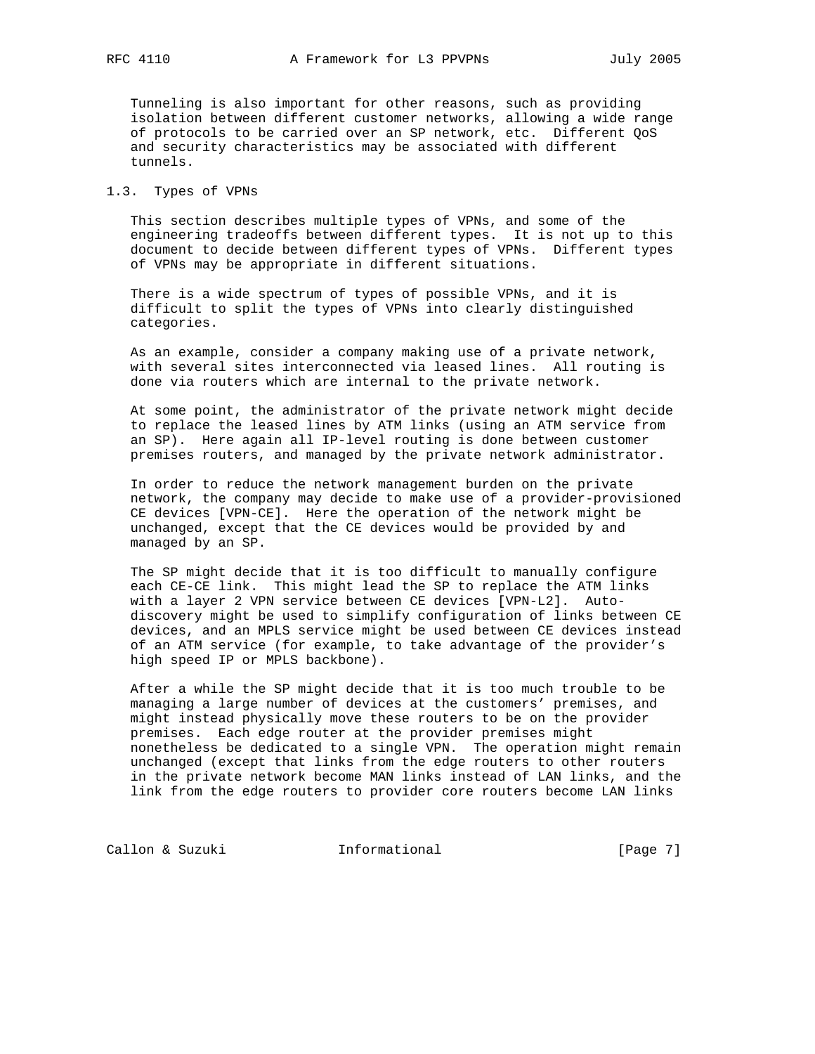Tunneling is also important for other reasons, such as providing isolation between different customer networks, allowing a wide range of protocols to be carried over an SP network, etc. Different QoS and security characteristics may be associated with different tunnels.

# 1.3. Types of VPNs

 This section describes multiple types of VPNs, and some of the engineering tradeoffs between different types. It is not up to this document to decide between different types of VPNs. Different types of VPNs may be appropriate in different situations.

 There is a wide spectrum of types of possible VPNs, and it is difficult to split the types of VPNs into clearly distinguished categories.

 As an example, consider a company making use of a private network, with several sites interconnected via leased lines. All routing is done via routers which are internal to the private network.

 At some point, the administrator of the private network might decide to replace the leased lines by ATM links (using an ATM service from an SP). Here again all IP-level routing is done between customer premises routers, and managed by the private network administrator.

 In order to reduce the network management burden on the private network, the company may decide to make use of a provider-provisioned CE devices [VPN-CE]. Here the operation of the network might be unchanged, except that the CE devices would be provided by and managed by an SP.

 The SP might decide that it is too difficult to manually configure each CE-CE link. This might lead the SP to replace the ATM links with a layer 2 VPN service between CE devices [VPN-L2]. Auto discovery might be used to simplify configuration of links between CE devices, and an MPLS service might be used between CE devices instead of an ATM service (for example, to take advantage of the provider's high speed IP or MPLS backbone).

 After a while the SP might decide that it is too much trouble to be managing a large number of devices at the customers' premises, and might instead physically move these routers to be on the provider premises. Each edge router at the provider premises might nonetheless be dedicated to a single VPN. The operation might remain unchanged (except that links from the edge routers to other routers in the private network become MAN links instead of LAN links, and the link from the edge routers to provider core routers become LAN links

Callon & Suzuki **Informational** [Page 7]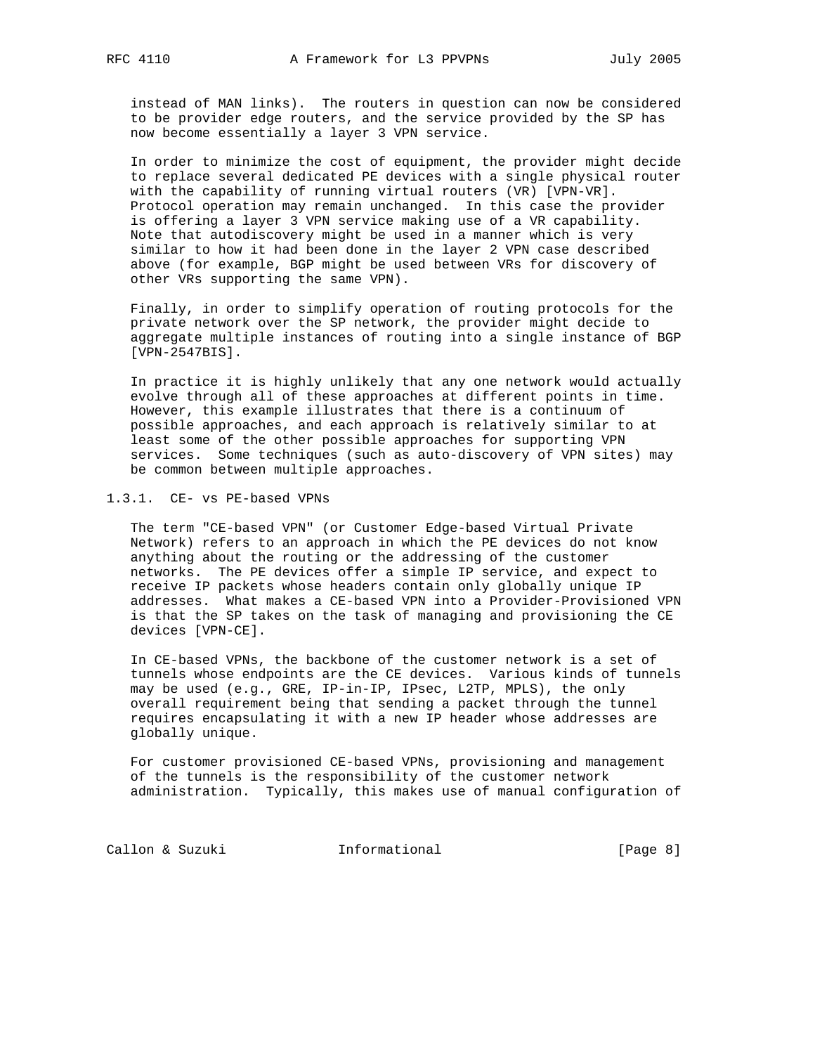instead of MAN links). The routers in question can now be considered to be provider edge routers, and the service provided by the SP has now become essentially a layer 3 VPN service.

 In order to minimize the cost of equipment, the provider might decide to replace several dedicated PE devices with a single physical router with the capability of running virtual routers (VR) [VPN-VR]. Protocol operation may remain unchanged. In this case the provider is offering a layer 3 VPN service making use of a VR capability. Note that autodiscovery might be used in a manner which is very similar to how it had been done in the layer 2 VPN case described above (for example, BGP might be used between VRs for discovery of other VRs supporting the same VPN).

 Finally, in order to simplify operation of routing protocols for the private network over the SP network, the provider might decide to aggregate multiple instances of routing into a single instance of BGP [VPN-2547BIS].

 In practice it is highly unlikely that any one network would actually evolve through all of these approaches at different points in time. However, this example illustrates that there is a continuum of possible approaches, and each approach is relatively similar to at least some of the other possible approaches for supporting VPN services. Some techniques (such as auto-discovery of VPN sites) may be common between multiple approaches.

1.3.1. CE- vs PE-based VPNs

 The term "CE-based VPN" (or Customer Edge-based Virtual Private Network) refers to an approach in which the PE devices do not know anything about the routing or the addressing of the customer networks. The PE devices offer a simple IP service, and expect to receive IP packets whose headers contain only globally unique IP addresses. What makes a CE-based VPN into a Provider-Provisioned VPN is that the SP takes on the task of managing and provisioning the CE devices [VPN-CE].

 In CE-based VPNs, the backbone of the customer network is a set of tunnels whose endpoints are the CE devices. Various kinds of tunnels may be used (e.g., GRE, IP-in-IP, IPsec, L2TP, MPLS), the only overall requirement being that sending a packet through the tunnel requires encapsulating it with a new IP header whose addresses are globally unique.

 For customer provisioned CE-based VPNs, provisioning and management of the tunnels is the responsibility of the customer network administration. Typically, this makes use of manual configuration of

Callon & Suzuki **Informational** [Page 8]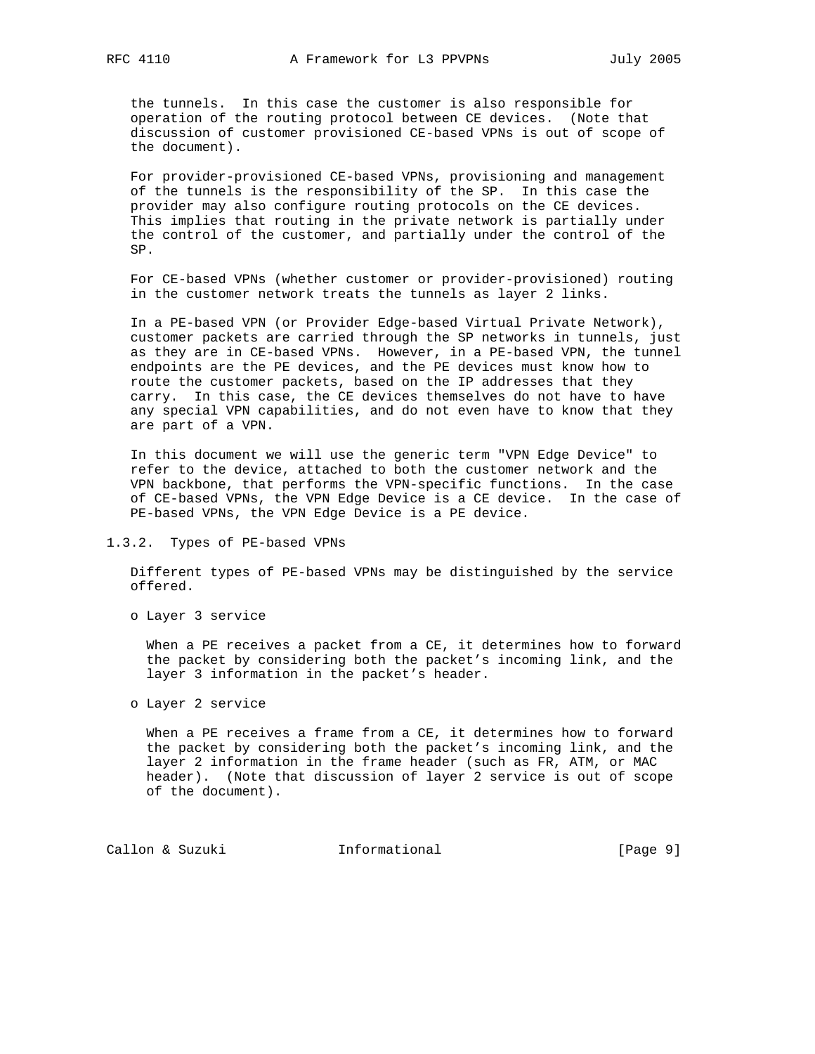the tunnels. In this case the customer is also responsible for operation of the routing protocol between CE devices. (Note that discussion of customer provisioned CE-based VPNs is out of scope of the document).

 For provider-provisioned CE-based VPNs, provisioning and management of the tunnels is the responsibility of the SP. In this case the provider may also configure routing protocols on the CE devices. This implies that routing in the private network is partially under the control of the customer, and partially under the control of the SP.

 For CE-based VPNs (whether customer or provider-provisioned) routing in the customer network treats the tunnels as layer 2 links.

 In a PE-based VPN (or Provider Edge-based Virtual Private Network), customer packets are carried through the SP networks in tunnels, just as they are in CE-based VPNs. However, in a PE-based VPN, the tunnel endpoints are the PE devices, and the PE devices must know how to route the customer packets, based on the IP addresses that they carry. In this case, the CE devices themselves do not have to have any special VPN capabilities, and do not even have to know that they are part of a VPN.

 In this document we will use the generic term "VPN Edge Device" to refer to the device, attached to both the customer network and the VPN backbone, that performs the VPN-specific functions. In the case of CE-based VPNs, the VPN Edge Device is a CE device. In the case of PE-based VPNs, the VPN Edge Device is a PE device.

1.3.2. Types of PE-based VPNs

 Different types of PE-based VPNs may be distinguished by the service offered.

o Layer 3 service

 When a PE receives a packet from a CE, it determines how to forward the packet by considering both the packet's incoming link, and the layer 3 information in the packet's header.

o Layer 2 service

 When a PE receives a frame from a CE, it determines how to forward the packet by considering both the packet's incoming link, and the layer 2 information in the frame header (such as FR, ATM, or MAC header). (Note that discussion of layer 2 service is out of scope of the document).

Callon & Suzuki **Informational** [Page 9]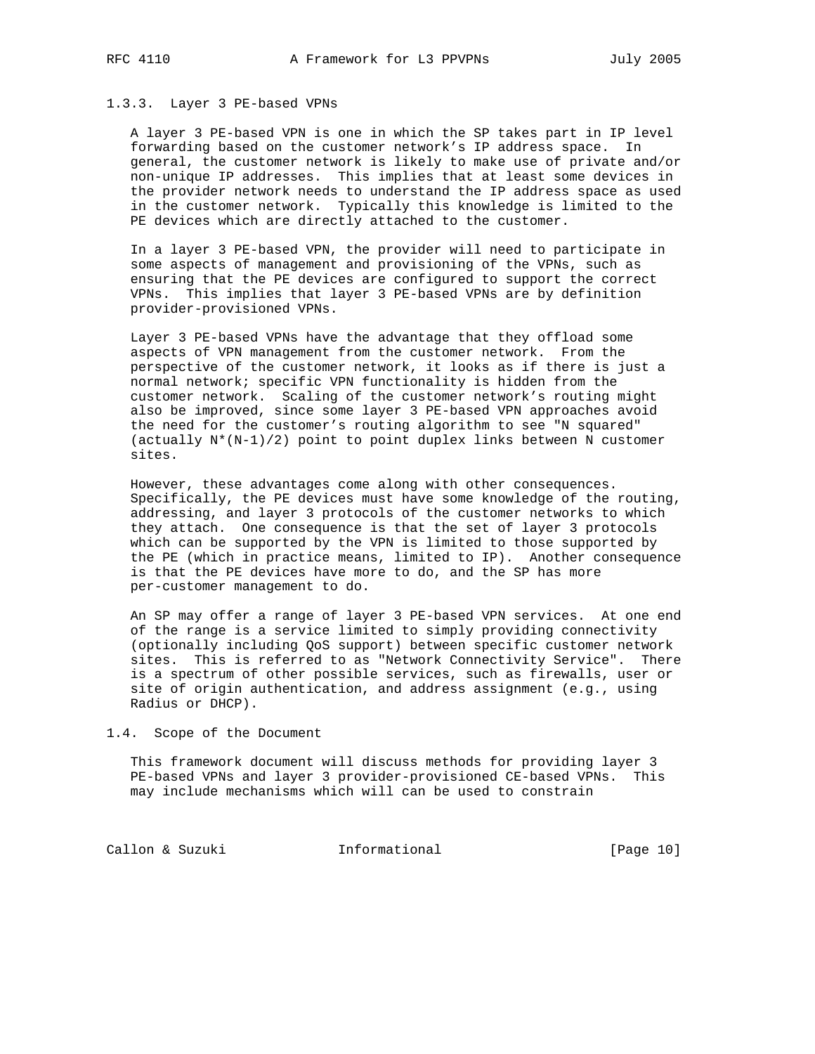## 1.3.3. Layer 3 PE-based VPNs

 A layer 3 PE-based VPN is one in which the SP takes part in IP level forwarding based on the customer network's IP address space. In general, the customer network is likely to make use of private and/or non-unique IP addresses. This implies that at least some devices in the provider network needs to understand the IP address space as used in the customer network. Typically this knowledge is limited to the PE devices which are directly attached to the customer.

 In a layer 3 PE-based VPN, the provider will need to participate in some aspects of management and provisioning of the VPNs, such as ensuring that the PE devices are configured to support the correct VPNs. This implies that layer 3 PE-based VPNs are by definition provider-provisioned VPNs.

 Layer 3 PE-based VPNs have the advantage that they offload some aspects of VPN management from the customer network. From the perspective of the customer network, it looks as if there is just a normal network; specific VPN functionality is hidden from the customer network. Scaling of the customer network's routing might also be improved, since some layer 3 PE-based VPN approaches avoid the need for the customer's routing algorithm to see "N squared" (actually  $N^*(N-1)/2$ ) point to point duplex links between N customer sites.

 However, these advantages come along with other consequences. Specifically, the PE devices must have some knowledge of the routing, addressing, and layer 3 protocols of the customer networks to which they attach. One consequence is that the set of layer 3 protocols which can be supported by the VPN is limited to those supported by the PE (which in practice means, limited to IP). Another consequence is that the PE devices have more to do, and the SP has more per-customer management to do.

 An SP may offer a range of layer 3 PE-based VPN services. At one end of the range is a service limited to simply providing connectivity (optionally including QoS support) between specific customer network sites. This is referred to as "Network Connectivity Service". There is a spectrum of other possible services, such as firewalls, user or site of origin authentication, and address assignment (e.g., using Radius or DHCP).

1.4. Scope of the Document

 This framework document will discuss methods for providing layer 3 PE-based VPNs and layer 3 provider-provisioned CE-based VPNs. This may include mechanisms which will can be used to constrain

Callon & Suzuki **Informational** [Page 10]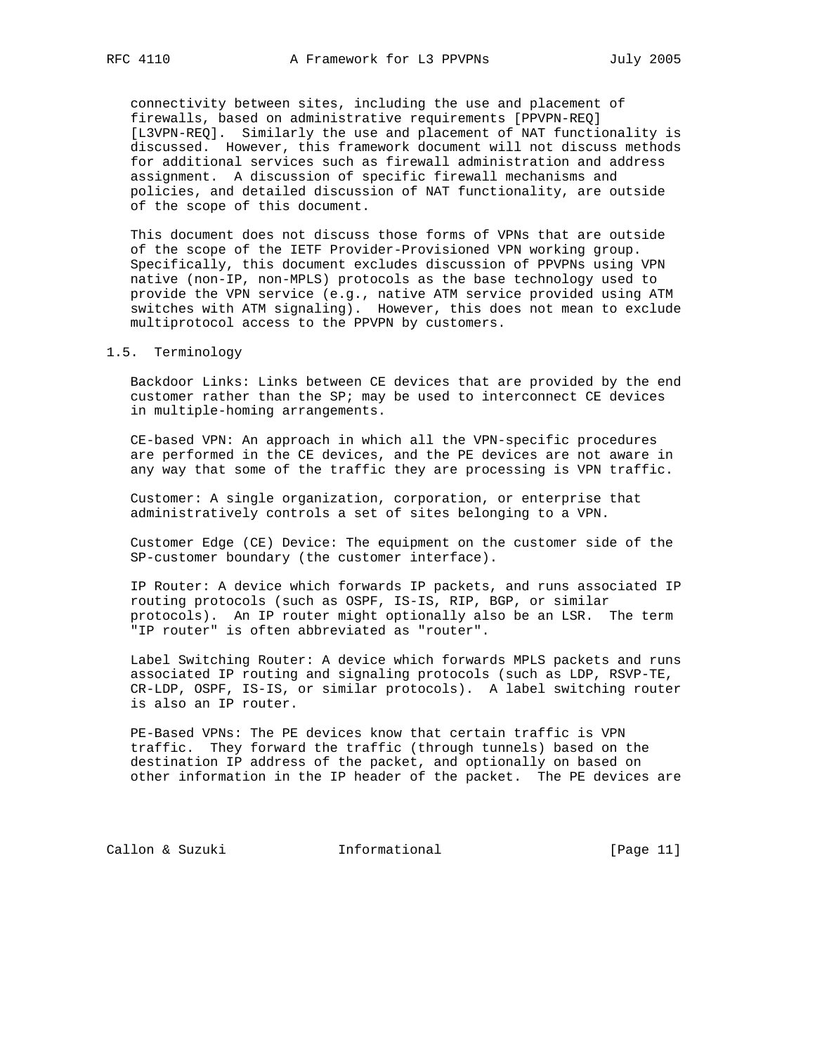connectivity between sites, including the use and placement of firewalls, based on administrative requirements [PPVPN-REQ] [L3VPN-REQ]. Similarly the use and placement of NAT functionality is discussed. However, this framework document will not discuss methods for additional services such as firewall administration and address assignment. A discussion of specific firewall mechanisms and policies, and detailed discussion of NAT functionality, are outside of the scope of this document.

 This document does not discuss those forms of VPNs that are outside of the scope of the IETF Provider-Provisioned VPN working group. Specifically, this document excludes discussion of PPVPNs using VPN native (non-IP, non-MPLS) protocols as the base technology used to provide the VPN service (e.g., native ATM service provided using ATM switches with ATM signaling). However, this does not mean to exclude multiprotocol access to the PPVPN by customers.

# 1.5. Terminology

 Backdoor Links: Links between CE devices that are provided by the end customer rather than the SP; may be used to interconnect CE devices in multiple-homing arrangements.

 CE-based VPN: An approach in which all the VPN-specific procedures are performed in the CE devices, and the PE devices are not aware in any way that some of the traffic they are processing is VPN traffic.

 Customer: A single organization, corporation, or enterprise that administratively controls a set of sites belonging to a VPN.

 Customer Edge (CE) Device: The equipment on the customer side of the SP-customer boundary (the customer interface).

 IP Router: A device which forwards IP packets, and runs associated IP routing protocols (such as OSPF, IS-IS, RIP, BGP, or similar protocols). An IP router might optionally also be an LSR. The term "IP router" is often abbreviated as "router".

 Label Switching Router: A device which forwards MPLS packets and runs associated IP routing and signaling protocols (such as LDP, RSVP-TE, CR-LDP, OSPF, IS-IS, or similar protocols). A label switching router is also an IP router.

 PE-Based VPNs: The PE devices know that certain traffic is VPN traffic. They forward the traffic (through tunnels) based on the destination IP address of the packet, and optionally on based on other information in the IP header of the packet. The PE devices are

Callon & Suzuki **Informational** [Page 11]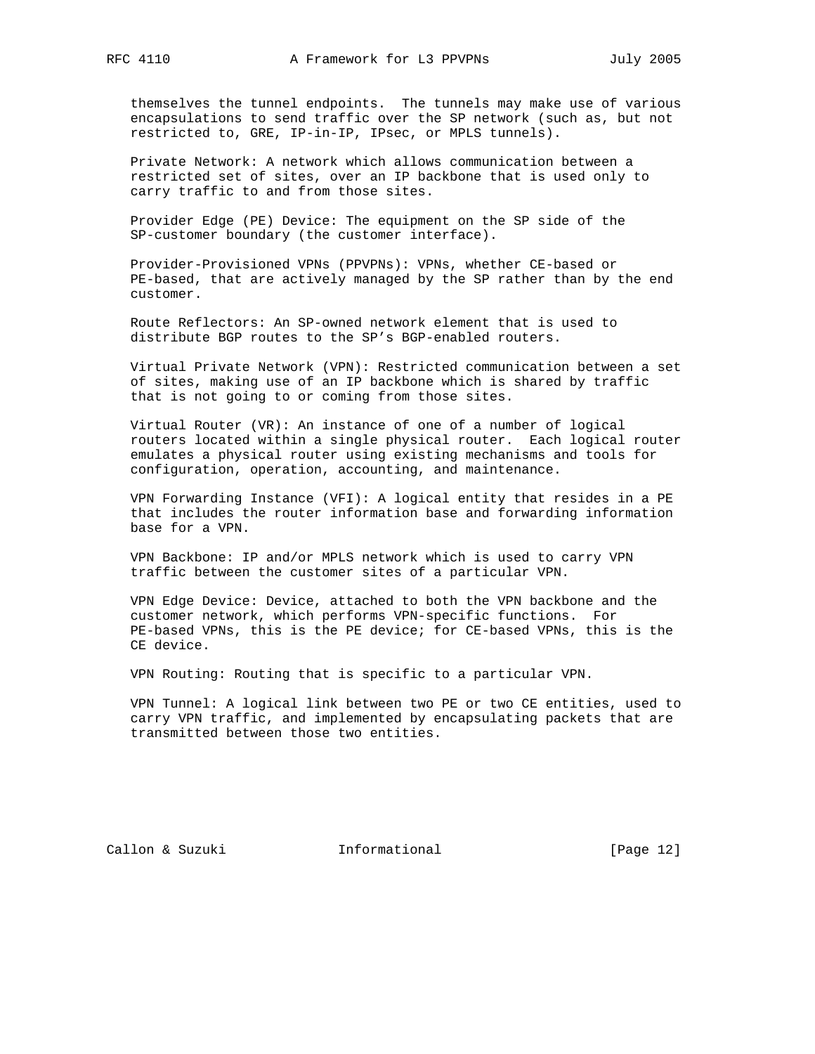themselves the tunnel endpoints. The tunnels may make use of various encapsulations to send traffic over the SP network (such as, but not restricted to, GRE, IP-in-IP, IPsec, or MPLS tunnels).

 Private Network: A network which allows communication between a restricted set of sites, over an IP backbone that is used only to carry traffic to and from those sites.

 Provider Edge (PE) Device: The equipment on the SP side of the SP-customer boundary (the customer interface).

 Provider-Provisioned VPNs (PPVPNs): VPNs, whether CE-based or PE-based, that are actively managed by the SP rather than by the end customer.

 Route Reflectors: An SP-owned network element that is used to distribute BGP routes to the SP's BGP-enabled routers.

 Virtual Private Network (VPN): Restricted communication between a set of sites, making use of an IP backbone which is shared by traffic that is not going to or coming from those sites.

 Virtual Router (VR): An instance of one of a number of logical routers located within a single physical router. Each logical router emulates a physical router using existing mechanisms and tools for configuration, operation, accounting, and maintenance.

 VPN Forwarding Instance (VFI): A logical entity that resides in a PE that includes the router information base and forwarding information base for a VPN.

 VPN Backbone: IP and/or MPLS network which is used to carry VPN traffic between the customer sites of a particular VPN.

 VPN Edge Device: Device, attached to both the VPN backbone and the customer network, which performs VPN-specific functions. For PE-based VPNs, this is the PE device; for CE-based VPNs, this is the CE device.

VPN Routing: Routing that is specific to a particular VPN.

 VPN Tunnel: A logical link between two PE or two CE entities, used to carry VPN traffic, and implemented by encapsulating packets that are transmitted between those two entities.

Callon & Suzuki **Informational** [Page 12]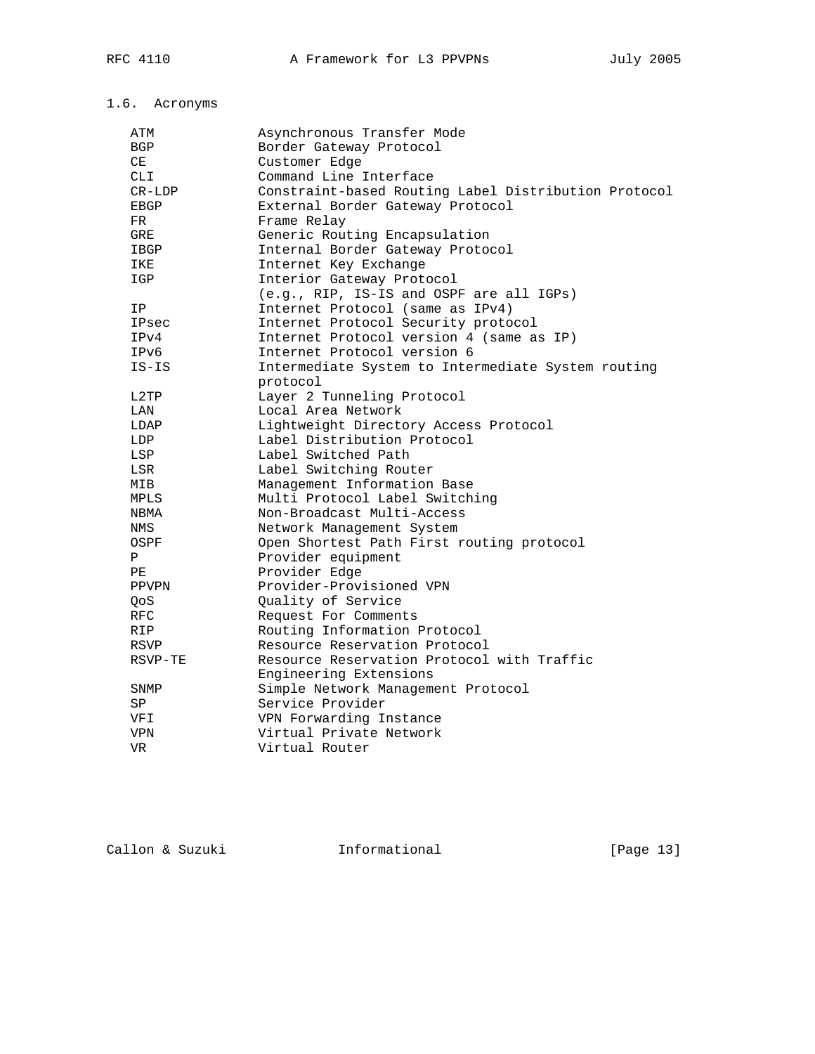# 1.6. Acronyms

| ATM        | Asynchronous Transfer Mode                           |
|------------|------------------------------------------------------|
| BGP        | Border Gateway Protocol                              |
| СE         | Customer Edge                                        |
| <b>CLI</b> | Command Line Interface                               |
| $CR-LDP$   | Constraint-based Routing Label Distribution Protocol |
| EBGP       | External Border Gateway Protocol                     |
| FR.        | Frame Relay                                          |
| <b>GRE</b> | Generic Routing Encapsulation                        |
| IBGP       | Internal Border Gateway Protocol                     |
| IKE        | Internet Key Exchange                                |
| IGP        | Interior Gateway Protocol                            |
|            | (e.g., RIP, IS-IS and OSPF are all IGPs)             |
| ΙP         | Internet Protocol (same as IPv4)                     |
| IPsec      | Internet Protocol Security protocol                  |
| IPv4       | Internet Protocol version 4 (same as IP)             |
| IPv6       | Internet Protocol version 6                          |
| $IS-IS$    | Intermediate System to Intermediate System routing   |
|            | protocol                                             |
| L2TP       | Layer 2 Tunneling Protocol                           |
| LAN        | Local Area Network                                   |
| LDAP       | Lightweight Directory Access Protocol                |
| LDP        | Label Distribution Protocol                          |
| LSP        | Label Switched Path                                  |
| LSR        | Label Switching Router                               |
| MIB        | Management Information Base                          |
| MPLS       | Multi Protocol Label Switching                       |
| NBMA       | Non-Broadcast Multi-Access                           |
| NMS        | Network Management System                            |
| OSPF       | Open Shortest Path First routing protocol            |
| Ρ          | Provider equipment                                   |
| PE         | Provider Edge                                        |
| PPVPN      | Provider-Provisioned VPN                             |
| QoS        | Quality of Service                                   |
| <b>RFC</b> | Request For Comments                                 |
| RIP        | Routing Information Protocol                         |
| RSVP       | Resource Reservation Protocol                        |
| RSVP-TE    | Resource Reservation Protocol with Traffic           |
|            | Engineering Extensions                               |
| SNMP       | Simple Network Management Protocol                   |
| SP         | Service Provider                                     |
| VFI        | VPN Forwarding Instance                              |
| VPN        | Virtual Private Network                              |
| VR.        | Virtual Router                                       |
|            |                                                      |

Callon & Suzuki **Informational** [Page 13]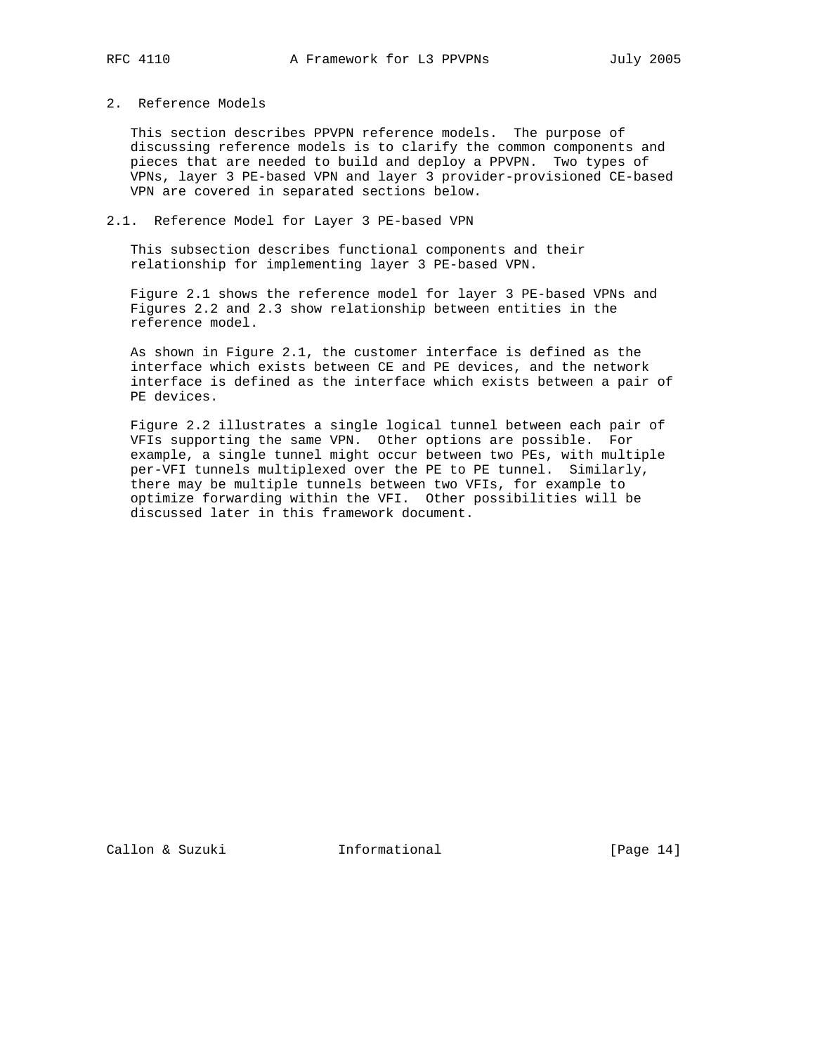# 2. Reference Models

 This section describes PPVPN reference models. The purpose of discussing reference models is to clarify the common components and pieces that are needed to build and deploy a PPVPN. Two types of VPNs, layer 3 PE-based VPN and layer 3 provider-provisioned CE-based VPN are covered in separated sections below.

# 2.1. Reference Model for Layer 3 PE-based VPN

 This subsection describes functional components and their relationship for implementing layer 3 PE-based VPN.

 Figure 2.1 shows the reference model for layer 3 PE-based VPNs and Figures 2.2 and 2.3 show relationship between entities in the reference model.

 As shown in Figure 2.1, the customer interface is defined as the interface which exists between CE and PE devices, and the network interface is defined as the interface which exists between a pair of PE devices.

 Figure 2.2 illustrates a single logical tunnel between each pair of VFIs supporting the same VPN. Other options are possible. For example, a single tunnel might occur between two PEs, with multiple per-VFI tunnels multiplexed over the PE to PE tunnel. Similarly, there may be multiple tunnels between two VFIs, for example to optimize forwarding within the VFI. Other possibilities will be discussed later in this framework document.

Callon & Suzuki Informational [Page 14]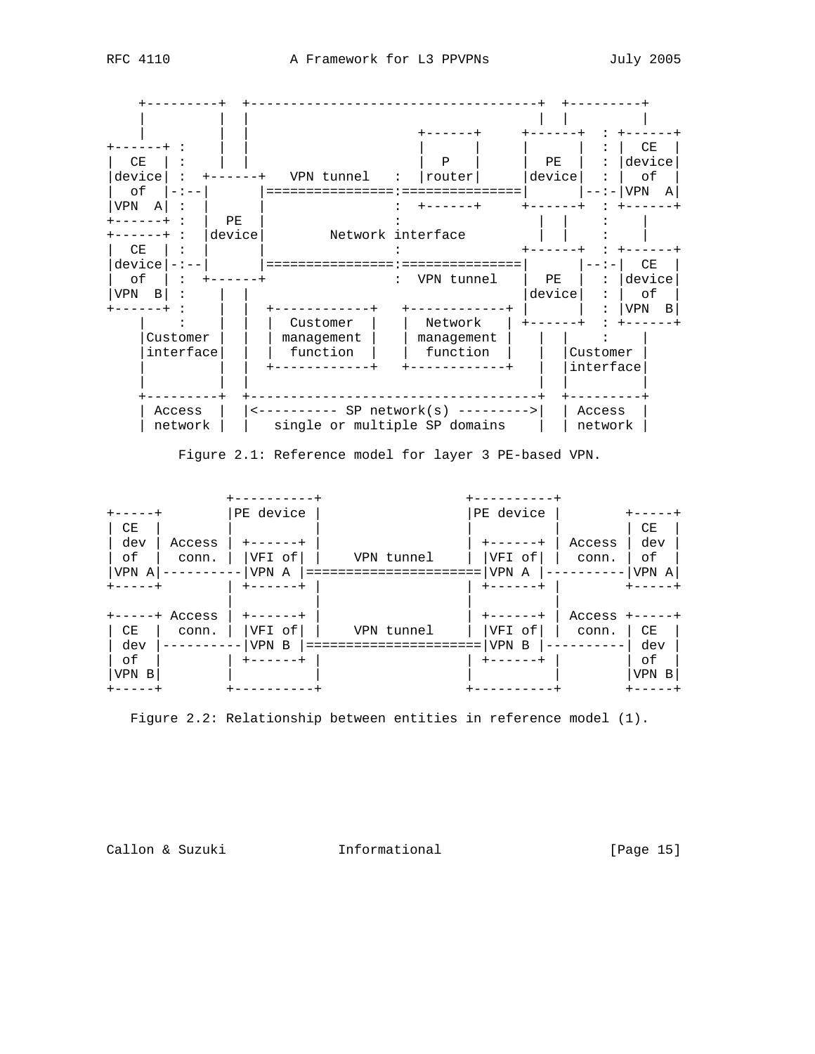

Figure 2.1: Reference model for layer 3 PE-based VPN.

|           |          | $- - - - - -$   |            | -------   |        |           |
|-----------|----------|-----------------|------------|-----------|--------|-----------|
|           |          | PE device       |            | PE device |        |           |
| CE<br>dev | Access   |                 |            | ----+     | Access | CE<br>dev |
| оf        | conn.    | VFI of          | VPN tunnel | VFI of    | conn.  | оf        |
| VPN A     |          | VPN<br>A        |            | VPN<br>A  |        | VPN<br>A  |
|           |          | -----           |            | ------    |        |           |
|           | + Access |                 |            |           | Access |           |
| CE        | conn.    | VFI of          | VPN tunnel | VFI of    | conn.  | СE        |
| dev       |          | <b>VPN</b><br>B |            | VPN<br>B  |        | dev       |
| оf        |          | $- - - - -$     |            | ----      |        | оf        |
| VPN B     |          |                 |            |           |        | VPN<br>B  |
|           |          |                 |            |           |        |           |

Figure 2.2: Relationship between entities in reference model (1).

Callon & Suzuki **Informational** [Page 15]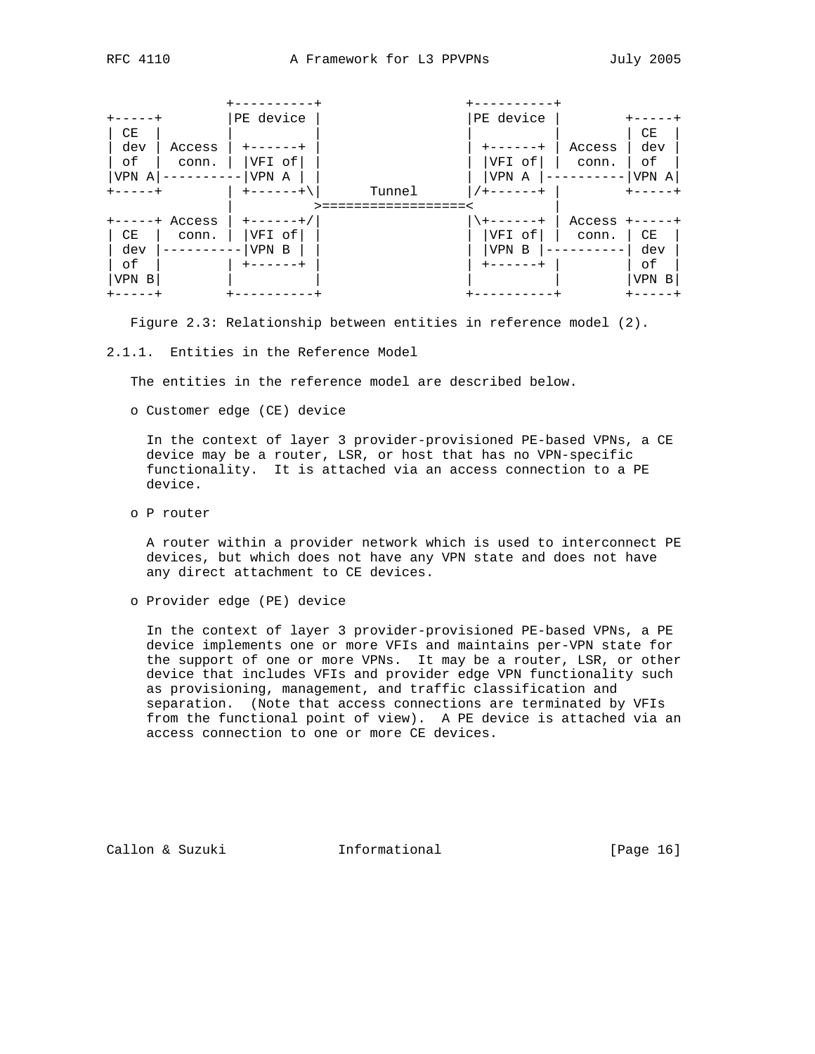

Figure 2.3: Relationship between entities in reference model (2).

#### 2.1.1. Entities in the Reference Model

The entities in the reference model are described below.

o Customer edge (CE) device

 In the context of layer 3 provider-provisioned PE-based VPNs, a CE device may be a router, LSR, or host that has no VPN-specific functionality. It is attached via an access connection to a PE device.

o P router

 A router within a provider network which is used to interconnect PE devices, but which does not have any VPN state and does not have any direct attachment to CE devices.

o Provider edge (PE) device

 In the context of layer 3 provider-provisioned PE-based VPNs, a PE device implements one or more VFIs and maintains per-VPN state for the support of one or more VPNs. It may be a router, LSR, or other device that includes VFIs and provider edge VPN functionality such as provisioning, management, and traffic classification and separation. (Note that access connections are terminated by VFIs from the functional point of view). A PE device is attached via an access connection to one or more CE devices.

Callon & Suzuki **Informational** [Page 16]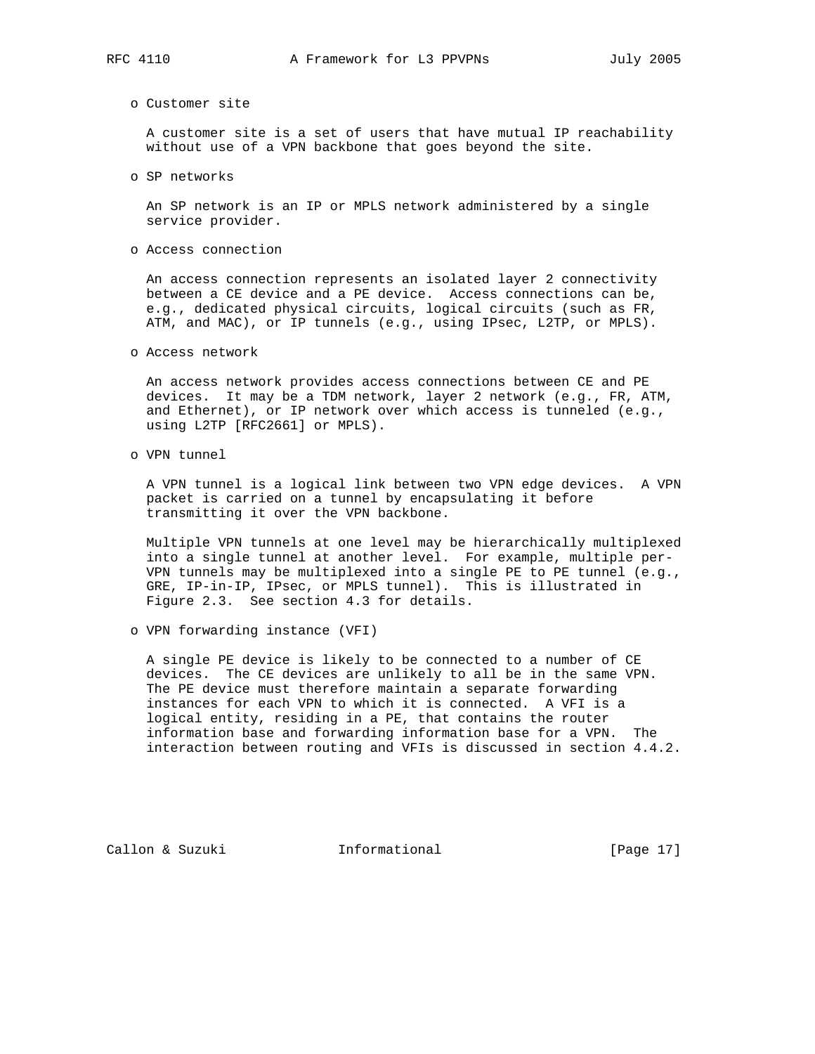o Customer site

 A customer site is a set of users that have mutual IP reachability without use of a VPN backbone that goes beyond the site.

o SP networks

 An SP network is an IP or MPLS network administered by a single service provider.

o Access connection

 An access connection represents an isolated layer 2 connectivity between a CE device and a PE device. Access connections can be, e.g., dedicated physical circuits, logical circuits (such as FR, ATM, and MAC), or IP tunnels (e.g., using IPsec, L2TP, or MPLS).

o Access network

 An access network provides access connections between CE and PE devices. It may be a TDM network, layer 2 network (e.g., FR, ATM, and Ethernet), or IP network over which access is tunneled (e.g., using L2TP [RFC2661] or MPLS).

o VPN tunnel

 A VPN tunnel is a logical link between two VPN edge devices. A VPN packet is carried on a tunnel by encapsulating it before transmitting it over the VPN backbone.

 Multiple VPN tunnels at one level may be hierarchically multiplexed into a single tunnel at another level. For example, multiple per- VPN tunnels may be multiplexed into a single PE to PE tunnel (e.g., GRE, IP-in-IP, IPsec, or MPLS tunnel). This is illustrated in Figure 2.3. See section 4.3 for details.

o VPN forwarding instance (VFI)

 A single PE device is likely to be connected to a number of CE devices. The CE devices are unlikely to all be in the same VPN. The PE device must therefore maintain a separate forwarding instances for each VPN to which it is connected. A VFI is a logical entity, residing in a PE, that contains the router information base and forwarding information base for a VPN. The interaction between routing and VFIs is discussed in section 4.4.2.

Callon & Suzuki Informational [Page 17]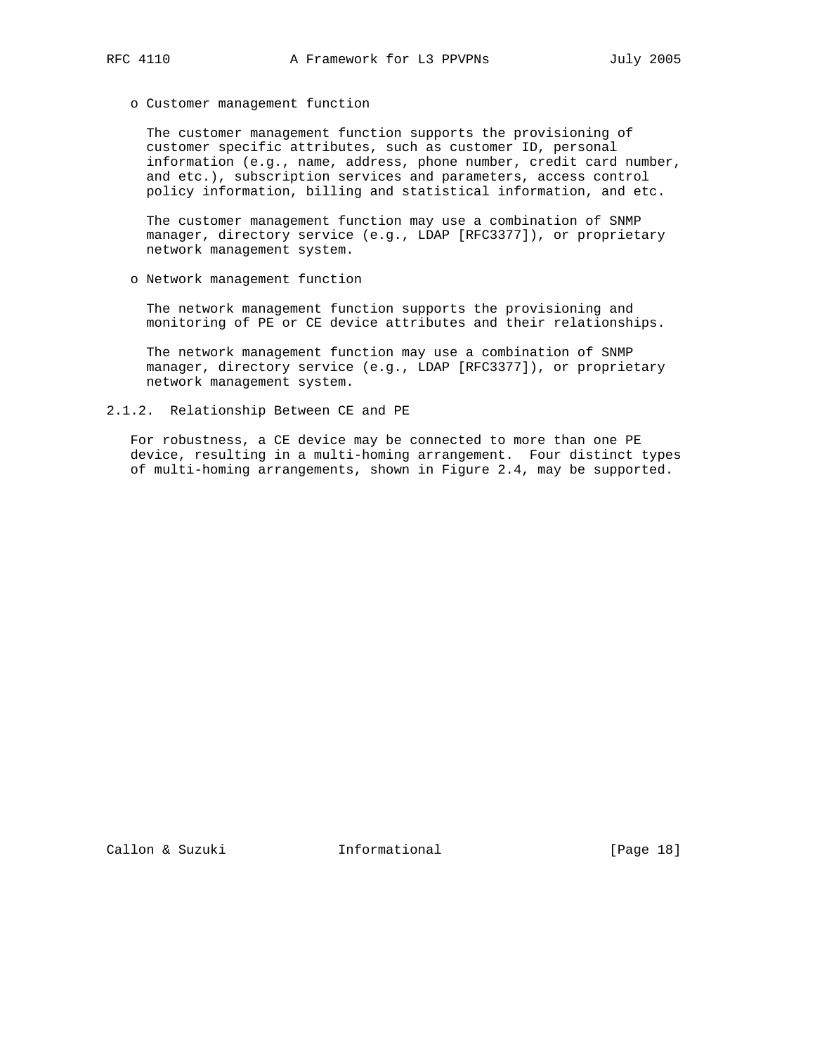o Customer management function

 The customer management function supports the provisioning of customer specific attributes, such as customer ID, personal information (e.g., name, address, phone number, credit card number, and etc.), subscription services and parameters, access control policy information, billing and statistical information, and etc.

 The customer management function may use a combination of SNMP manager, directory service (e.g., LDAP [RFC3377]), or proprietary network management system.

o Network management function

 The network management function supports the provisioning and monitoring of PE or CE device attributes and their relationships.

 The network management function may use a combination of SNMP manager, directory service (e.g., LDAP [RFC3377]), or proprietary network management system.

2.1.2. Relationship Between CE and PE

 For robustness, a CE device may be connected to more than one PE device, resulting in a multi-homing arrangement. Four distinct types of multi-homing arrangements, shown in Figure 2.4, may be supported.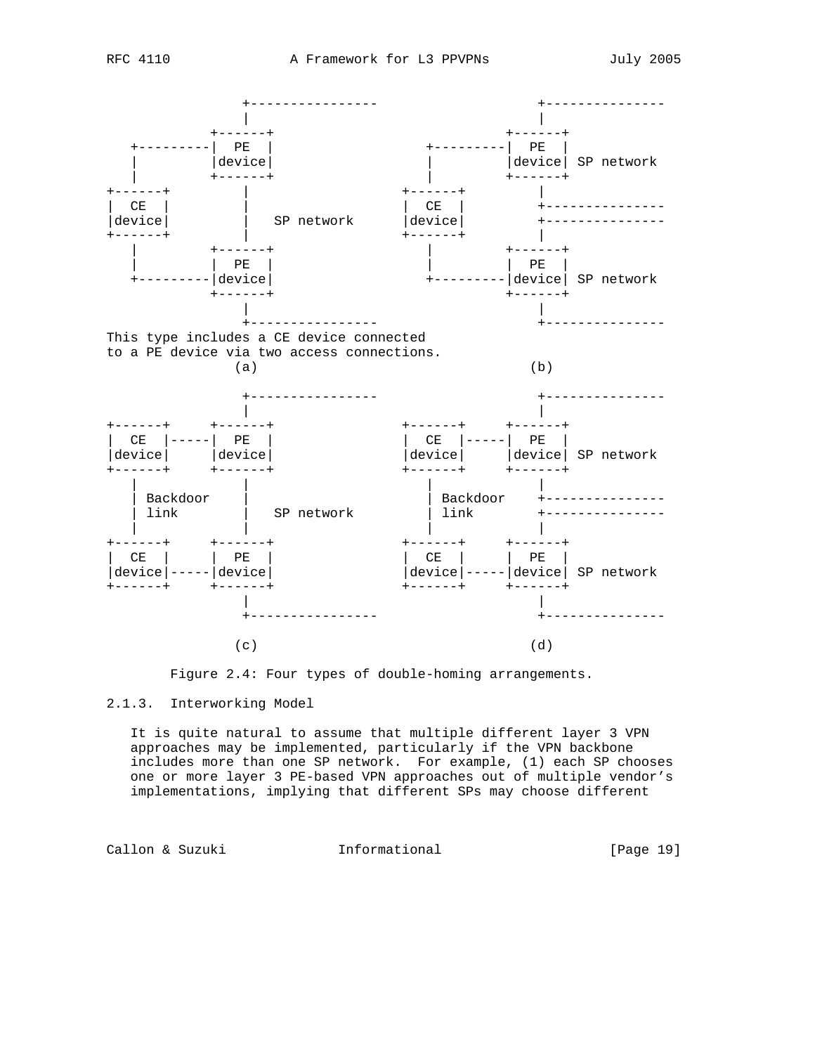



# 2.1.3. Interworking Model

 It is quite natural to assume that multiple different layer 3 VPN approaches may be implemented, particularly if the VPN backbone includes more than one SP network. For example, (1) each SP chooses one or more layer 3 PE-based VPN approaches out of multiple vendor's implementations, implying that different SPs may choose different

Callon & Suzuki **Informational** [Page 19]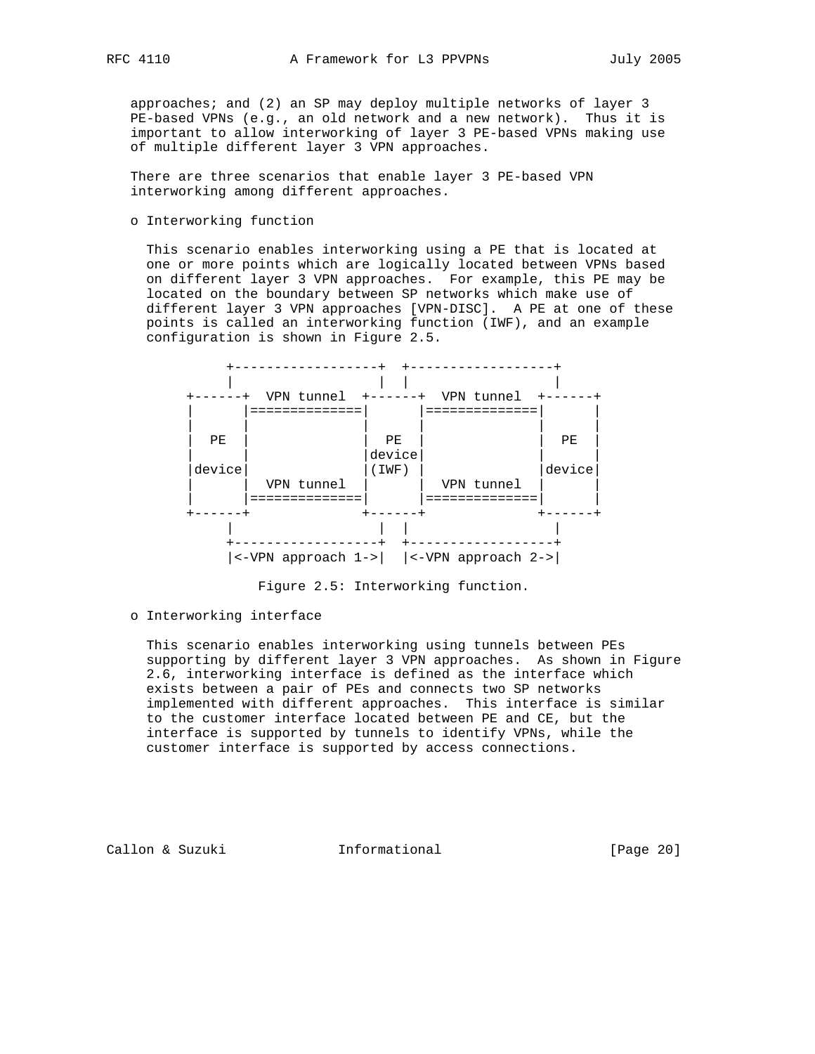approaches; and (2) an SP may deploy multiple networks of layer 3 PE-based VPNs (e.g., an old network and a new network). Thus it is important to allow interworking of layer 3 PE-based VPNs making use of multiple different layer 3 VPN approaches.

 There are three scenarios that enable layer 3 PE-based VPN interworking among different approaches.

o Interworking function

 This scenario enables interworking using a PE that is located at one or more points which are logically located between VPNs based on different layer 3 VPN approaches. For example, this PE may be located on the boundary between SP networks which make use of different layer 3 VPN approaches [VPN-DISC]. A PE at one of these points is called an interworking function (IWF), and an example configuration is shown in Figure 2.5.



Figure 2.5: Interworking function.

#### o Interworking interface

 This scenario enables interworking using tunnels between PEs supporting by different layer 3 VPN approaches. As shown in Figure 2.6, interworking interface is defined as the interface which exists between a pair of PEs and connects two SP networks implemented with different approaches. This interface is similar to the customer interface located between PE and CE, but the interface is supported by tunnels to identify VPNs, while the customer interface is supported by access connections.

Callon & Suzuki Informational [Page 20]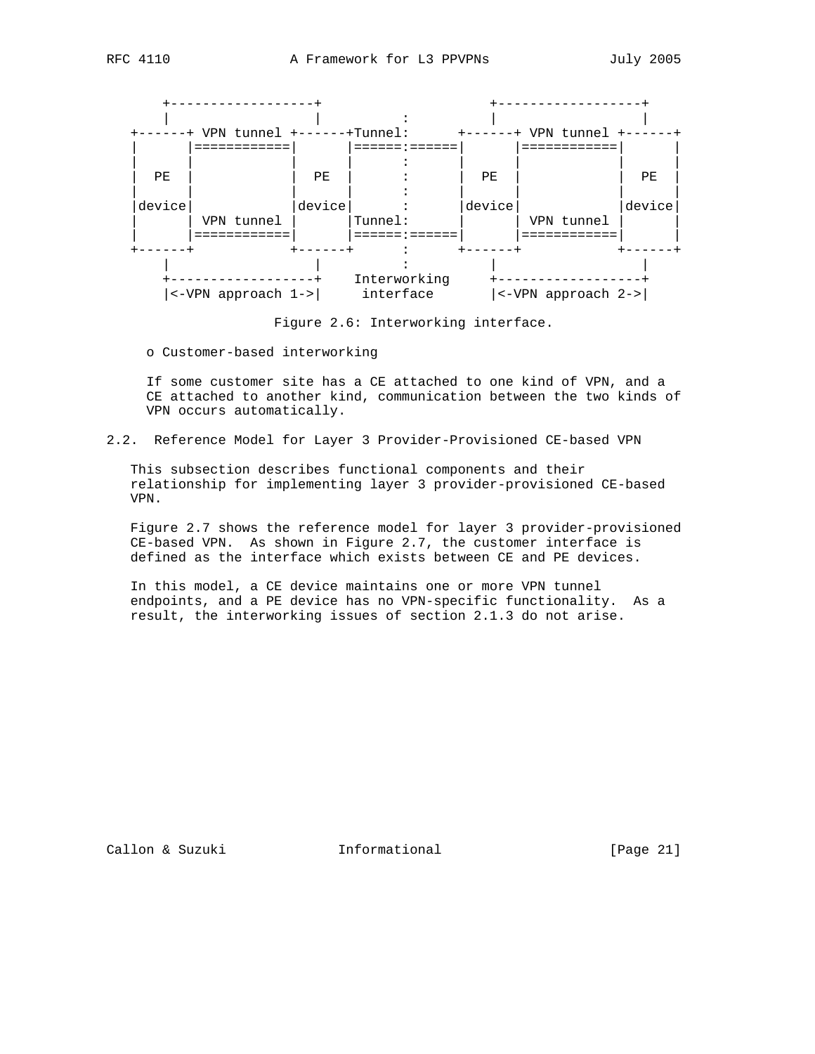

Figure 2.6: Interworking interface.

o Customer-based interworking

 If some customer site has a CE attached to one kind of VPN, and a CE attached to another kind, communication between the two kinds of VPN occurs automatically.

2.2. Reference Model for Layer 3 Provider-Provisioned CE-based VPN

 This subsection describes functional components and their relationship for implementing layer 3 provider-provisioned CE-based VPN.

 Figure 2.7 shows the reference model for layer 3 provider-provisioned CE-based VPN. As shown in Figure 2.7, the customer interface is defined as the interface which exists between CE and PE devices.

 In this model, a CE device maintains one or more VPN tunnel endpoints, and a PE device has no VPN-specific functionality. As a result, the interworking issues of section 2.1.3 do not arise.

Callon & Suzuki **Informational** [Page 21]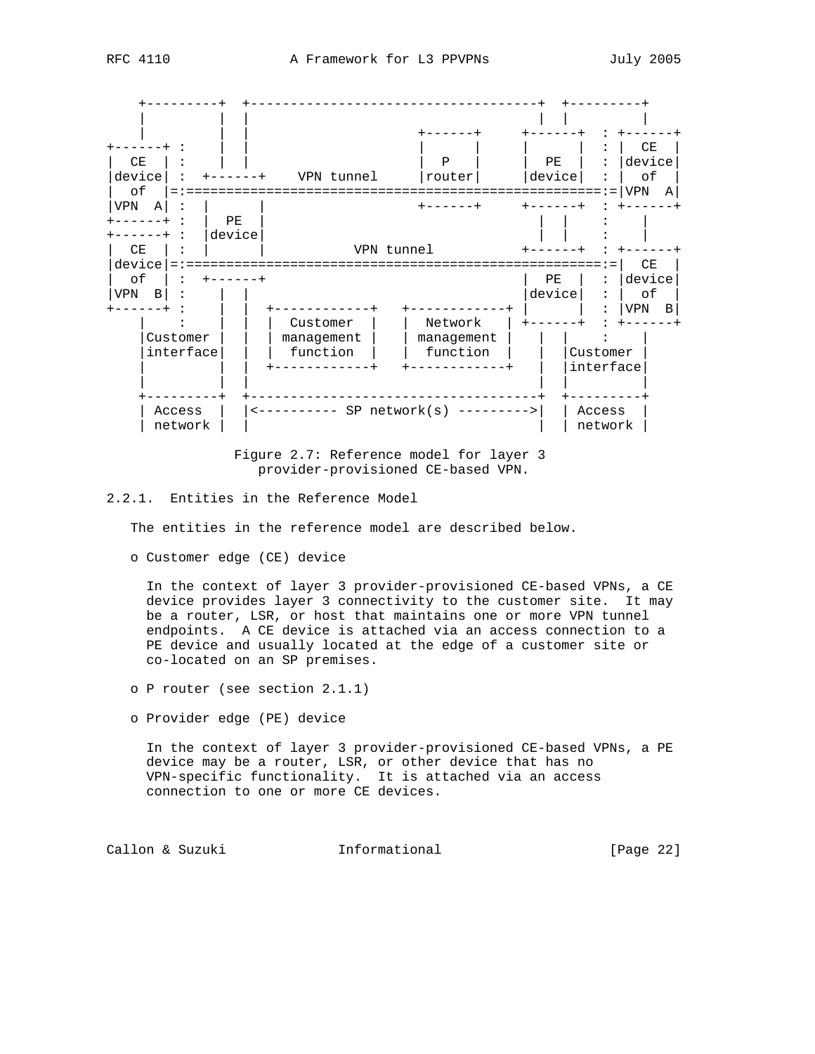

 Figure 2.7: Reference model for layer 3 provider-provisioned CE-based VPN.

# 2.2.1. Entities in the Reference Model

The entities in the reference model are described below.

o Customer edge (CE) device

 In the context of layer 3 provider-provisioned CE-based VPNs, a CE device provides layer 3 connectivity to the customer site. It may be a router, LSR, or host that maintains one or more VPN tunnel endpoints. A CE device is attached via an access connection to a PE device and usually located at the edge of a customer site or co-located on an SP premises.

- o P router (see section 2.1.1)
- o Provider edge (PE) device

 In the context of layer 3 provider-provisioned CE-based VPNs, a PE device may be a router, LSR, or other device that has no VPN-specific functionality. It is attached via an access connection to one or more CE devices.

Callon & Suzuki **Informational** [Page 22]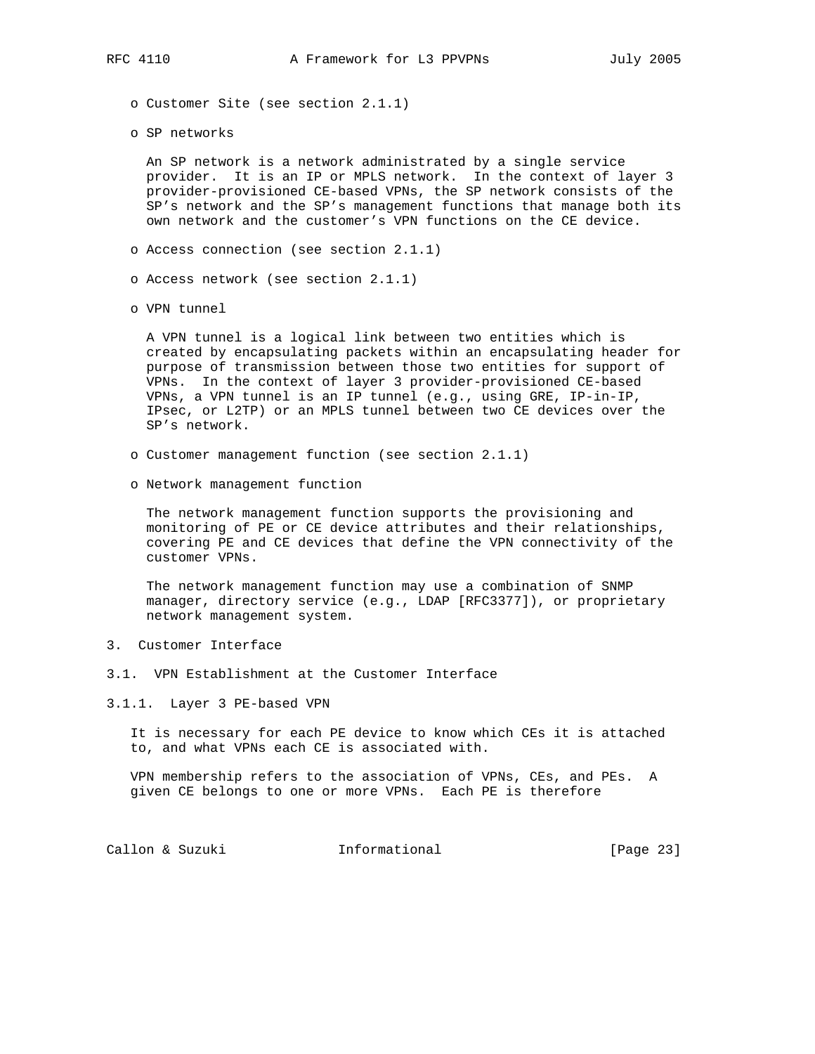- o Customer Site (see section 2.1.1)
- o SP networks

 An SP network is a network administrated by a single service provider. It is an IP or MPLS network. In the context of layer 3 provider-provisioned CE-based VPNs, the SP network consists of the SP's network and the SP's management functions that manage both its own network and the customer's VPN functions on the CE device.

- o Access connection (see section 2.1.1)
- o Access network (see section 2.1.1)
- o VPN tunnel

 A VPN tunnel is a logical link between two entities which is created by encapsulating packets within an encapsulating header for purpose of transmission between those two entities for support of VPNs. In the context of layer 3 provider-provisioned CE-based VPNs, a VPN tunnel is an IP tunnel (e.g., using GRE, IP-in-IP, IPsec, or L2TP) or an MPLS tunnel between two CE devices over the SP's network.

- o Customer management function (see section 2.1.1)
- o Network management function

 The network management function supports the provisioning and monitoring of PE or CE device attributes and their relationships, covering PE and CE devices that define the VPN connectivity of the customer VPNs.

 The network management function may use a combination of SNMP manager, directory service (e.g., LDAP [RFC3377]), or proprietary network management system.

- 3. Customer Interface
- 3.1. VPN Establishment at the Customer Interface
- 3.1.1. Layer 3 PE-based VPN

 It is necessary for each PE device to know which CEs it is attached to, and what VPNs each CE is associated with.

 VPN membership refers to the association of VPNs, CEs, and PEs. A given CE belongs to one or more VPNs. Each PE is therefore

Callon & Suzuki **Informational** [Page 23]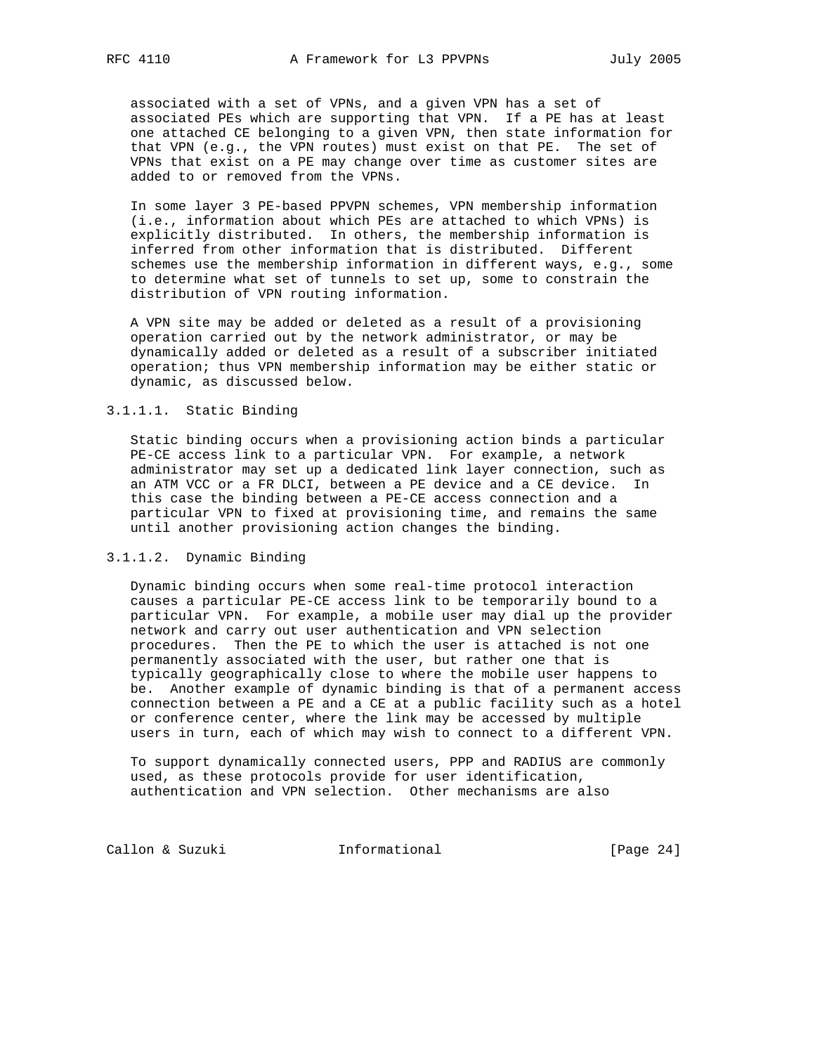associated with a set of VPNs, and a given VPN has a set of associated PEs which are supporting that VPN. If a PE has at least one attached CE belonging to a given VPN, then state information for that VPN (e.g., the VPN routes) must exist on that PE. The set of VPNs that exist on a PE may change over time as customer sites are added to or removed from the VPNs.

 In some layer 3 PE-based PPVPN schemes, VPN membership information (i.e., information about which PEs are attached to which VPNs) is explicitly distributed. In others, the membership information is inferred from other information that is distributed. Different schemes use the membership information in different ways, e.g., some to determine what set of tunnels to set up, some to constrain the distribution of VPN routing information.

 A VPN site may be added or deleted as a result of a provisioning operation carried out by the network administrator, or may be dynamically added or deleted as a result of a subscriber initiated operation; thus VPN membership information may be either static or dynamic, as discussed below.

# 3.1.1.1. Static Binding

 Static binding occurs when a provisioning action binds a particular PE-CE access link to a particular VPN. For example, a network administrator may set up a dedicated link layer connection, such as an ATM VCC or a FR DLCI, between a PE device and a CE device. In this case the binding between a PE-CE access connection and a particular VPN to fixed at provisioning time, and remains the same until another provisioning action changes the binding.

#### 3.1.1.2. Dynamic Binding

 Dynamic binding occurs when some real-time protocol interaction causes a particular PE-CE access link to be temporarily bound to a particular VPN. For example, a mobile user may dial up the provider network and carry out user authentication and VPN selection procedures. Then the PE to which the user is attached is not one permanently associated with the user, but rather one that is typically geographically close to where the mobile user happens to be. Another example of dynamic binding is that of a permanent access connection between a PE and a CE at a public facility such as a hotel or conference center, where the link may be accessed by multiple users in turn, each of which may wish to connect to a different VPN.

 To support dynamically connected users, PPP and RADIUS are commonly used, as these protocols provide for user identification, authentication and VPN selection. Other mechanisms are also

Callon & Suzuki **Informational** [Page 24]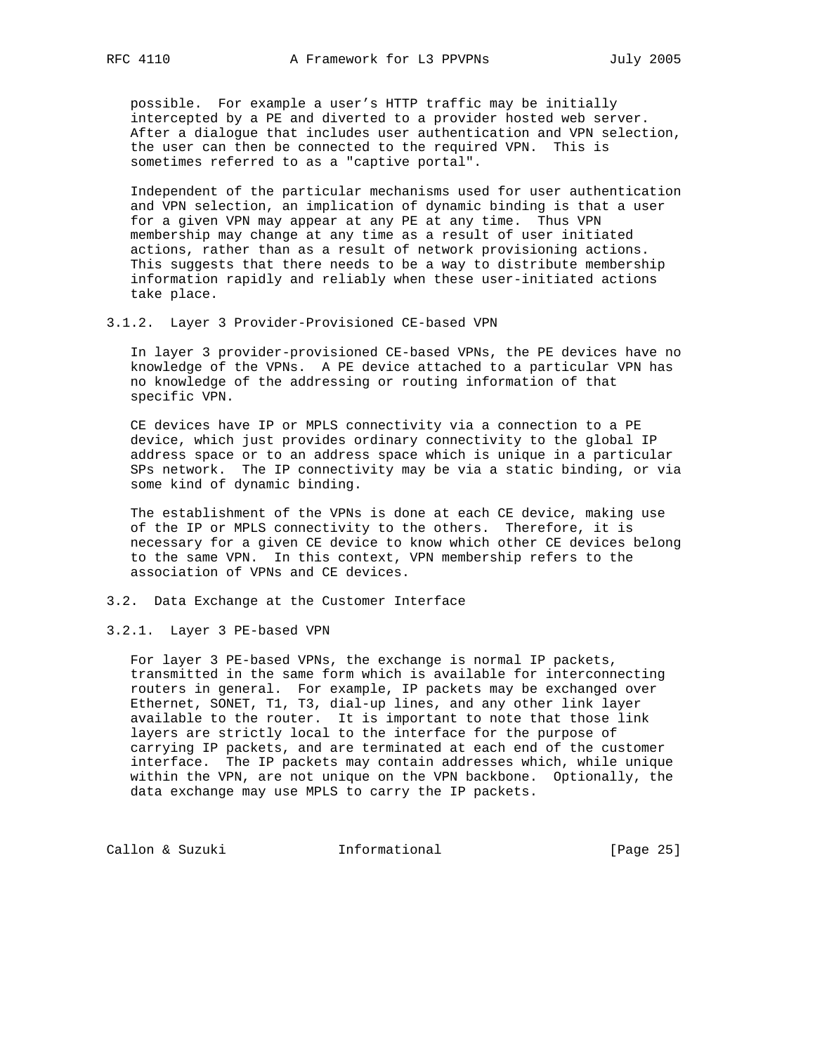possible. For example a user's HTTP traffic may be initially intercepted by a PE and diverted to a provider hosted web server. After a dialogue that includes user authentication and VPN selection, the user can then be connected to the required VPN. This is sometimes referred to as a "captive portal".

 Independent of the particular mechanisms used for user authentication and VPN selection, an implication of dynamic binding is that a user for a given VPN may appear at any PE at any time. Thus VPN membership may change at any time as a result of user initiated actions, rather than as a result of network provisioning actions. This suggests that there needs to be a way to distribute membership information rapidly and reliably when these user-initiated actions take place.

3.1.2. Layer 3 Provider-Provisioned CE-based VPN

 In layer 3 provider-provisioned CE-based VPNs, the PE devices have no knowledge of the VPNs. A PE device attached to a particular VPN has no knowledge of the addressing or routing information of that specific VPN.

 CE devices have IP or MPLS connectivity via a connection to a PE device, which just provides ordinary connectivity to the global IP address space or to an address space which is unique in a particular SPs network. The IP connectivity may be via a static binding, or via some kind of dynamic binding.

 The establishment of the VPNs is done at each CE device, making use of the IP or MPLS connectivity to the others. Therefore, it is necessary for a given CE device to know which other CE devices belong to the same VPN. In this context, VPN membership refers to the association of VPNs and CE devices.

- 3.2. Data Exchange at the Customer Interface
- 3.2.1. Layer 3 PE-based VPN

 For layer 3 PE-based VPNs, the exchange is normal IP packets, transmitted in the same form which is available for interconnecting routers in general. For example, IP packets may be exchanged over Ethernet, SONET, T1, T3, dial-up lines, and any other link layer available to the router. It is important to note that those link layers are strictly local to the interface for the purpose of carrying IP packets, and are terminated at each end of the customer interface. The IP packets may contain addresses which, while unique within the VPN, are not unique on the VPN backbone. Optionally, the data exchange may use MPLS to carry the IP packets.

Callon & Suzuki **Informational** [Page 25]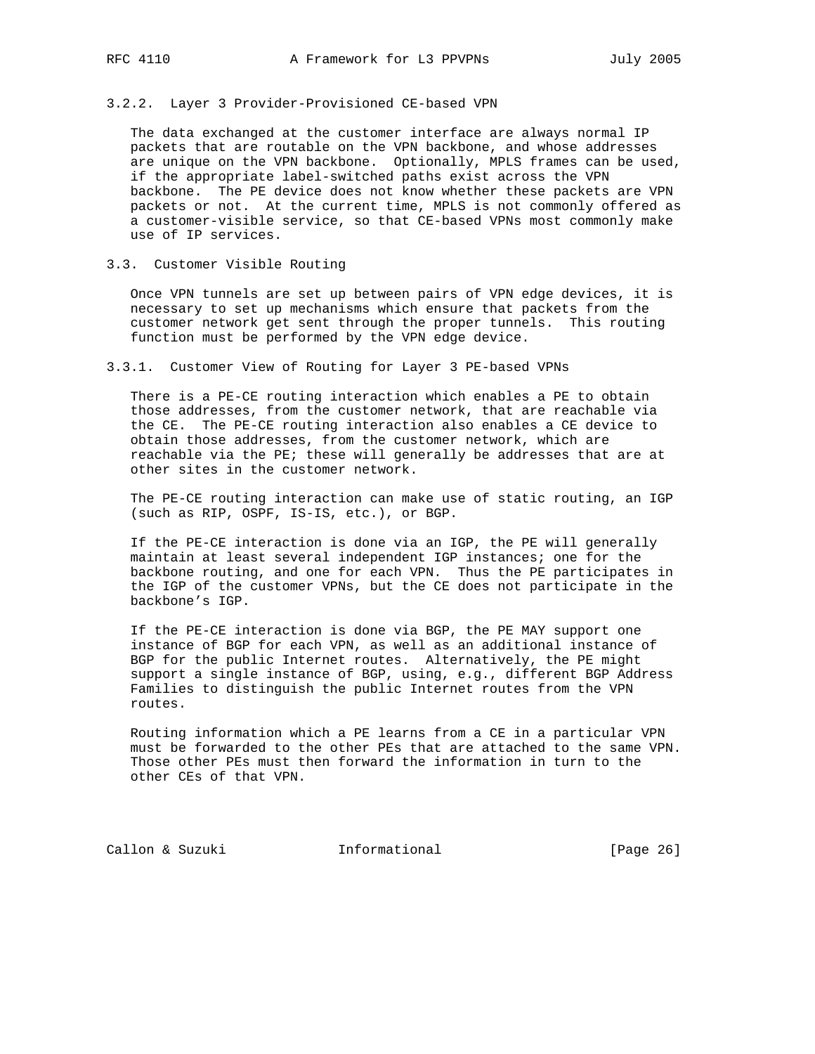# 3.2.2. Layer 3 Provider-Provisioned CE-based VPN

 The data exchanged at the customer interface are always normal IP packets that are routable on the VPN backbone, and whose addresses are unique on the VPN backbone. Optionally, MPLS frames can be used, if the appropriate label-switched paths exist across the VPN backbone. The PE device does not know whether these packets are VPN packets or not. At the current time, MPLS is not commonly offered as a customer-visible service, so that CE-based VPNs most commonly make use of IP services.

#### 3.3. Customer Visible Routing

 Once VPN tunnels are set up between pairs of VPN edge devices, it is necessary to set up mechanisms which ensure that packets from the customer network get sent through the proper tunnels. This routing function must be performed by the VPN edge device.

## 3.3.1. Customer View of Routing for Layer 3 PE-based VPNs

 There is a PE-CE routing interaction which enables a PE to obtain those addresses, from the customer network, that are reachable via the CE. The PE-CE routing interaction also enables a CE device to obtain those addresses, from the customer network, which are reachable via the PE; these will generally be addresses that are at other sites in the customer network.

 The PE-CE routing interaction can make use of static routing, an IGP (such as RIP, OSPF, IS-IS, etc.), or BGP.

 If the PE-CE interaction is done via an IGP, the PE will generally maintain at least several independent IGP instances; one for the backbone routing, and one for each VPN. Thus the PE participates in the IGP of the customer VPNs, but the CE does not participate in the backbone's IGP.

 If the PE-CE interaction is done via BGP, the PE MAY support one instance of BGP for each VPN, as well as an additional instance of BGP for the public Internet routes. Alternatively, the PE might support a single instance of BGP, using, e.g., different BGP Address Families to distinguish the public Internet routes from the VPN routes.

 Routing information which a PE learns from a CE in a particular VPN must be forwarded to the other PEs that are attached to the same VPN. Those other PEs must then forward the information in turn to the other CEs of that VPN.

Callon & Suzuki **Informational** [Page 26]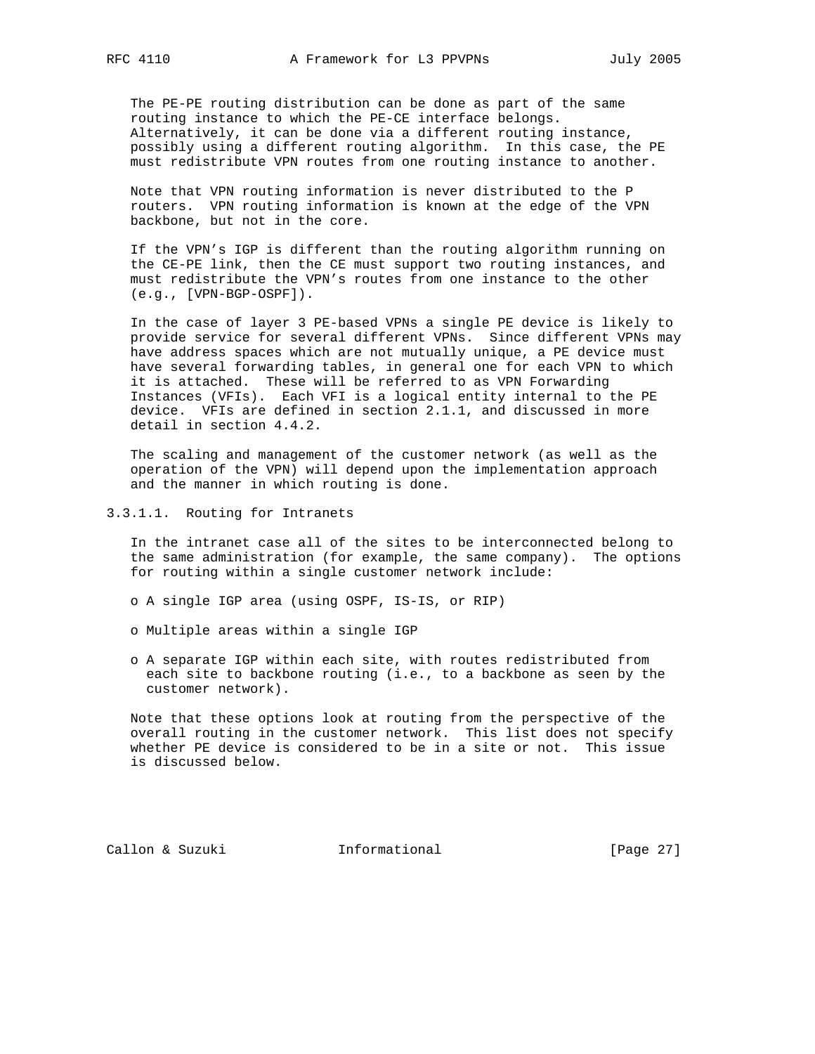The PE-PE routing distribution can be done as part of the same routing instance to which the PE-CE interface belongs. Alternatively, it can be done via a different routing instance, possibly using a different routing algorithm. In this case, the PE must redistribute VPN routes from one routing instance to another.

 Note that VPN routing information is never distributed to the P routers. VPN routing information is known at the edge of the VPN backbone, but not in the core.

 If the VPN's IGP is different than the routing algorithm running on the CE-PE link, then the CE must support two routing instances, and must redistribute the VPN's routes from one instance to the other (e.g., [VPN-BGP-OSPF]).

 In the case of layer 3 PE-based VPNs a single PE device is likely to provide service for several different VPNs. Since different VPNs may have address spaces which are not mutually unique, a PE device must have several forwarding tables, in general one for each VPN to which it is attached. These will be referred to as VPN Forwarding Instances (VFIs). Each VFI is a logical entity internal to the PE device. VFIs are defined in section 2.1.1, and discussed in more detail in section 4.4.2.

 The scaling and management of the customer network (as well as the operation of the VPN) will depend upon the implementation approach and the manner in which routing is done.

3.3.1.1. Routing for Intranets

 In the intranet case all of the sites to be interconnected belong to the same administration (for example, the same company). The options for routing within a single customer network include:

o A single IGP area (using OSPF, IS-IS, or RIP)

o Multiple areas within a single IGP

 o A separate IGP within each site, with routes redistributed from each site to backbone routing (i.e., to a backbone as seen by the customer network).

 Note that these options look at routing from the perspective of the overall routing in the customer network. This list does not specify whether PE device is considered to be in a site or not. This issue is discussed below.

Callon & Suzuki Informational [Page 27]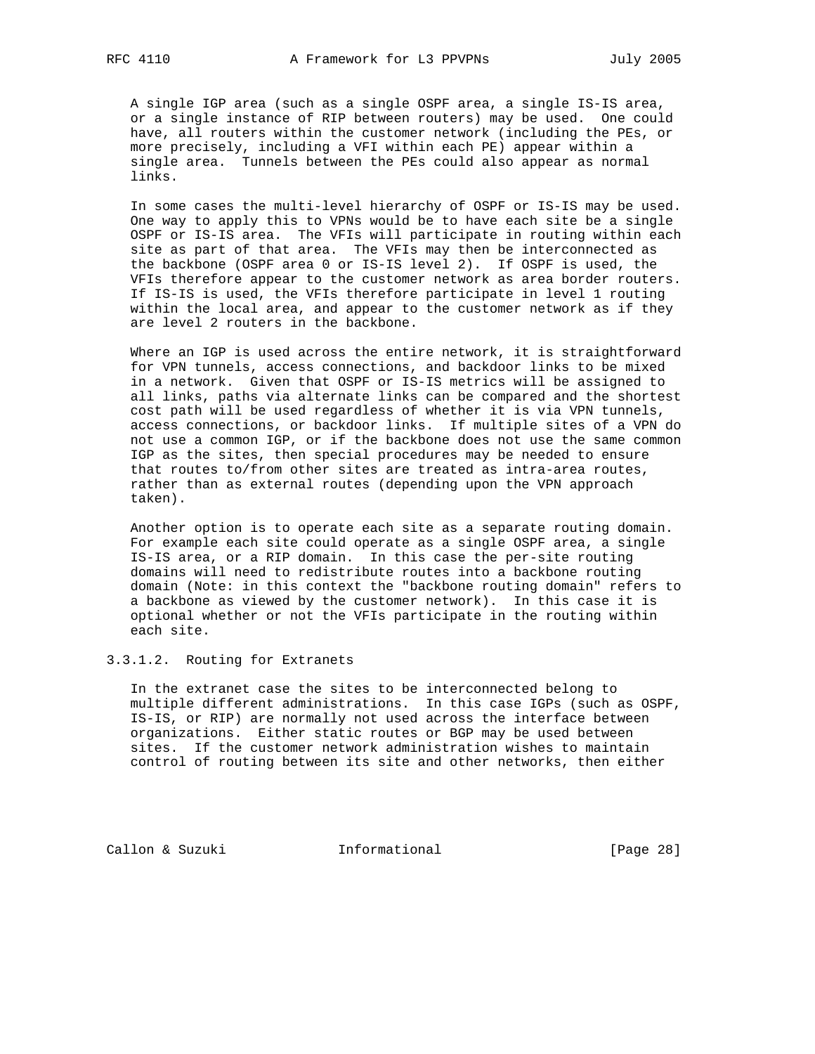A single IGP area (such as a single OSPF area, a single IS-IS area, or a single instance of RIP between routers) may be used. One could have, all routers within the customer network (including the PEs, or more precisely, including a VFI within each PE) appear within a single area. Tunnels between the PEs could also appear as normal links.

 In some cases the multi-level hierarchy of OSPF or IS-IS may be used. One way to apply this to VPNs would be to have each site be a single OSPF or IS-IS area. The VFIs will participate in routing within each site as part of that area. The VFIs may then be interconnected as the backbone (OSPF area 0 or IS-IS level 2). If OSPF is used, the VFIs therefore appear to the customer network as area border routers. If IS-IS is used, the VFIs therefore participate in level 1 routing within the local area, and appear to the customer network as if they are level 2 routers in the backbone.

Where an IGP is used across the entire network, it is straightforward for VPN tunnels, access connections, and backdoor links to be mixed in a network. Given that OSPF or IS-IS metrics will be assigned to all links, paths via alternate links can be compared and the shortest cost path will be used regardless of whether it is via VPN tunnels, access connections, or backdoor links. If multiple sites of a VPN do not use a common IGP, or if the backbone does not use the same common IGP as the sites, then special procedures may be needed to ensure that routes to/from other sites are treated as intra-area routes, rather than as external routes (depending upon the VPN approach taken).

 Another option is to operate each site as a separate routing domain. For example each site could operate as a single OSPF area, a single IS-IS area, or a RIP domain. In this case the per-site routing domains will need to redistribute routes into a backbone routing domain (Note: in this context the "backbone routing domain" refers to a backbone as viewed by the customer network). In this case it is optional whether or not the VFIs participate in the routing within each site.

3.3.1.2. Routing for Extranets

 In the extranet case the sites to be interconnected belong to multiple different administrations. In this case IGPs (such as OSPF, IS-IS, or RIP) are normally not used across the interface between organizations. Either static routes or BGP may be used between sites. If the customer network administration wishes to maintain control of routing between its site and other networks, then either

Callon & Suzuki **Informational** [Page 28]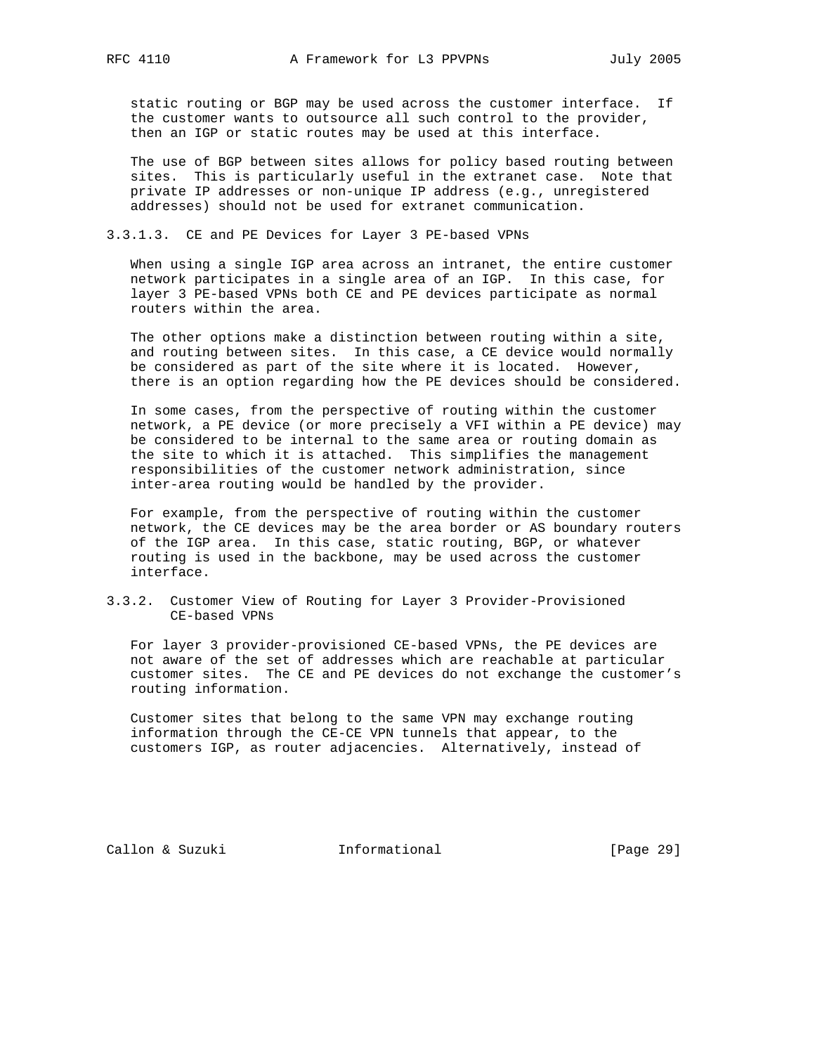static routing or BGP may be used across the customer interface. If the customer wants to outsource all such control to the provider, then an IGP or static routes may be used at this interface.

 The use of BGP between sites allows for policy based routing between sites. This is particularly useful in the extranet case. Note that private IP addresses or non-unique IP address (e.g., unregistered addresses) should not be used for extranet communication.

3.3.1.3. CE and PE Devices for Layer 3 PE-based VPNs

 When using a single IGP area across an intranet, the entire customer network participates in a single area of an IGP. In this case, for layer 3 PE-based VPNs both CE and PE devices participate as normal routers within the area.

 The other options make a distinction between routing within a site, and routing between sites. In this case, a CE device would normally be considered as part of the site where it is located. However, there is an option regarding how the PE devices should be considered.

 In some cases, from the perspective of routing within the customer network, a PE device (or more precisely a VFI within a PE device) may be considered to be internal to the same area or routing domain as the site to which it is attached. This simplifies the management responsibilities of the customer network administration, since inter-area routing would be handled by the provider.

 For example, from the perspective of routing within the customer network, the CE devices may be the area border or AS boundary routers of the IGP area. In this case, static routing, BGP, or whatever routing is used in the backbone, may be used across the customer interface.

3.3.2. Customer View of Routing for Layer 3 Provider-Provisioned CE-based VPNs

 For layer 3 provider-provisioned CE-based VPNs, the PE devices are not aware of the set of addresses which are reachable at particular customer sites. The CE and PE devices do not exchange the customer's routing information.

 Customer sites that belong to the same VPN may exchange routing information through the CE-CE VPN tunnels that appear, to the customers IGP, as router adjacencies. Alternatively, instead of

Callon & Suzuki Informational [Page 29]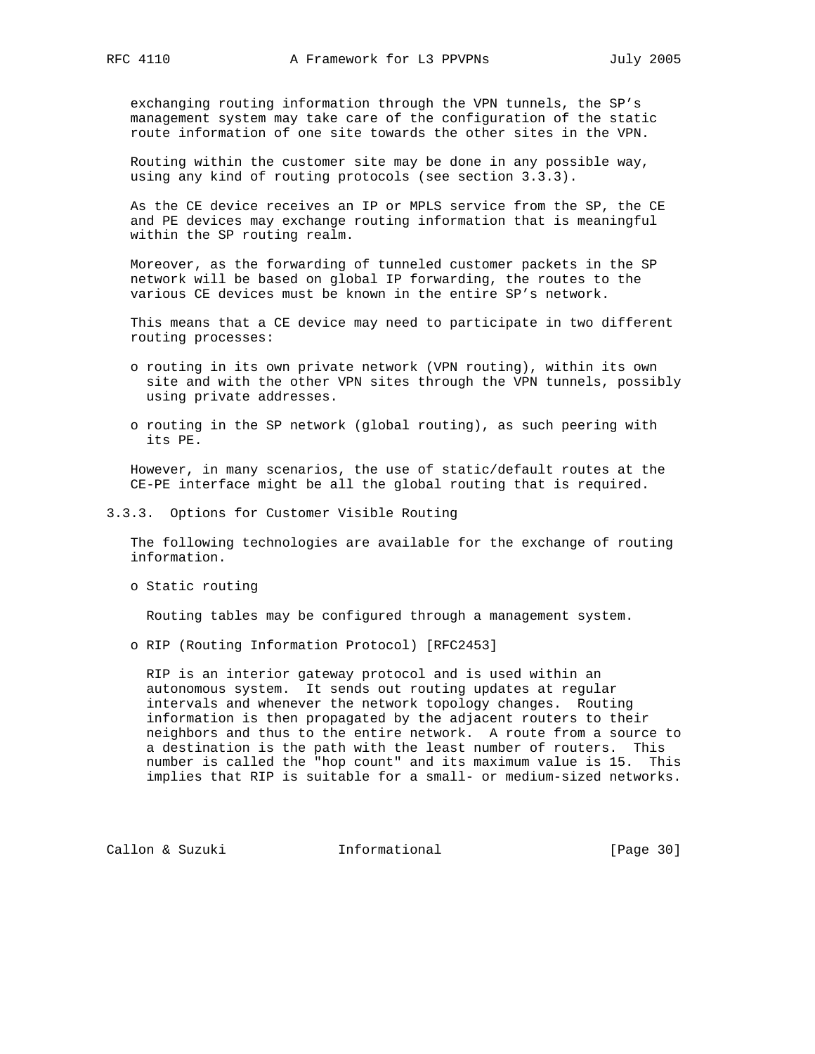exchanging routing information through the VPN tunnels, the SP's management system may take care of the configuration of the static route information of one site towards the other sites in the VPN.

 Routing within the customer site may be done in any possible way, using any kind of routing protocols (see section 3.3.3).

 As the CE device receives an IP or MPLS service from the SP, the CE and PE devices may exchange routing information that is meaningful within the SP routing realm.

 Moreover, as the forwarding of tunneled customer packets in the SP network will be based on global IP forwarding, the routes to the various CE devices must be known in the entire SP's network.

 This means that a CE device may need to participate in two different routing processes:

- o routing in its own private network (VPN routing), within its own site and with the other VPN sites through the VPN tunnels, possibly using private addresses.
- o routing in the SP network (global routing), as such peering with its PE.

 However, in many scenarios, the use of static/default routes at the CE-PE interface might be all the global routing that is required.

3.3.3. Options for Customer Visible Routing

 The following technologies are available for the exchange of routing information.

o Static routing

Routing tables may be configured through a management system.

o RIP (Routing Information Protocol) [RFC2453]

 RIP is an interior gateway protocol and is used within an autonomous system. It sends out routing updates at regular intervals and whenever the network topology changes. Routing information is then propagated by the adjacent routers to their neighbors and thus to the entire network. A route from a source to a destination is the path with the least number of routers. This number is called the "hop count" and its maximum value is 15. This implies that RIP is suitable for a small- or medium-sized networks.

Callon & Suzuki **Informational** [Page 30]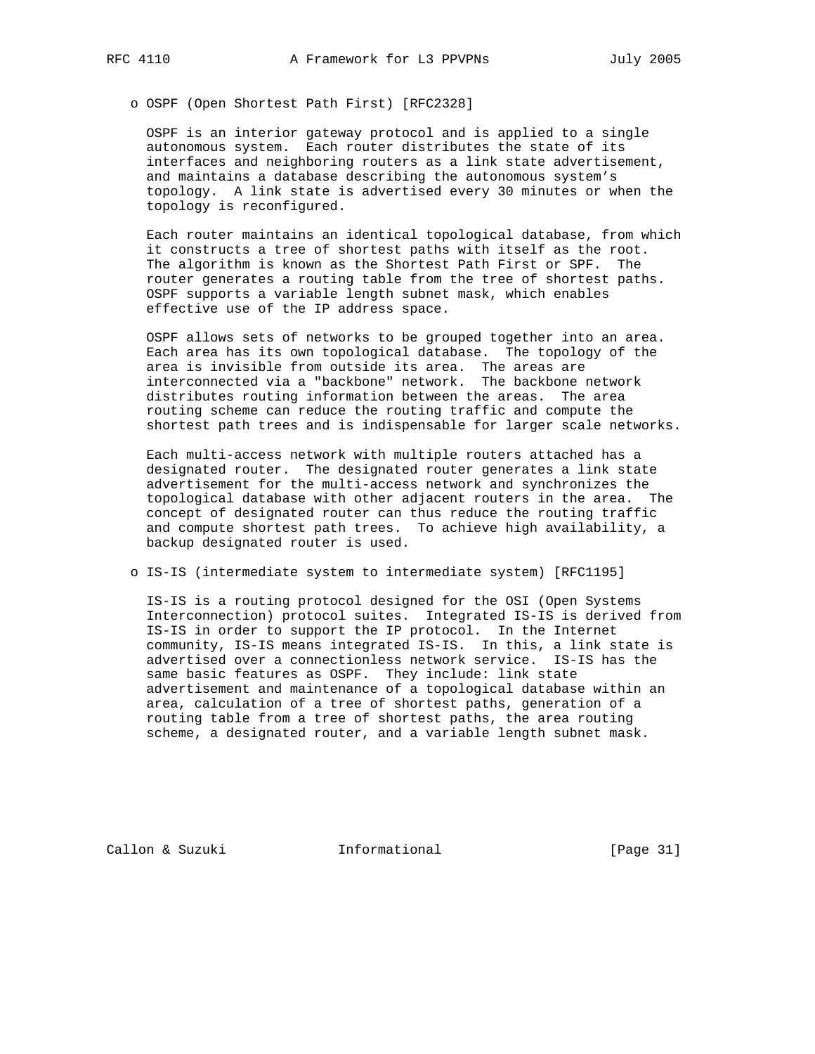o OSPF (Open Shortest Path First) [RFC2328]

 OSPF is an interior gateway protocol and is applied to a single autonomous system. Each router distributes the state of its interfaces and neighboring routers as a link state advertisement, and maintains a database describing the autonomous system's topology. A link state is advertised every 30 minutes or when the topology is reconfigured.

 Each router maintains an identical topological database, from which it constructs a tree of shortest paths with itself as the root. The algorithm is known as the Shortest Path First or SPF. The router generates a routing table from the tree of shortest paths. OSPF supports a variable length subnet mask, which enables effective use of the IP address space.

 OSPF allows sets of networks to be grouped together into an area. Each area has its own topological database. The topology of the area is invisible from outside its area. The areas are interconnected via a "backbone" network. The backbone network distributes routing information between the areas. The area routing scheme can reduce the routing traffic and compute the shortest path trees and is indispensable for larger scale networks.

 Each multi-access network with multiple routers attached has a designated router. The designated router generates a link state advertisement for the multi-access network and synchronizes the topological database with other adjacent routers in the area. The concept of designated router can thus reduce the routing traffic and compute shortest path trees. To achieve high availability, a backup designated router is used.

o IS-IS (intermediate system to intermediate system) [RFC1195]

 IS-IS is a routing protocol designed for the OSI (Open Systems Interconnection) protocol suites. Integrated IS-IS is derived from IS-IS in order to support the IP protocol. In the Internet community, IS-IS means integrated IS-IS. In this, a link state is advertised over a connectionless network service. IS-IS has the same basic features as OSPF. They include: link state advertisement and maintenance of a topological database within an area, calculation of a tree of shortest paths, generation of a routing table from a tree of shortest paths, the area routing scheme, a designated router, and a variable length subnet mask.

Callon & Suzuki Informational [Page 31]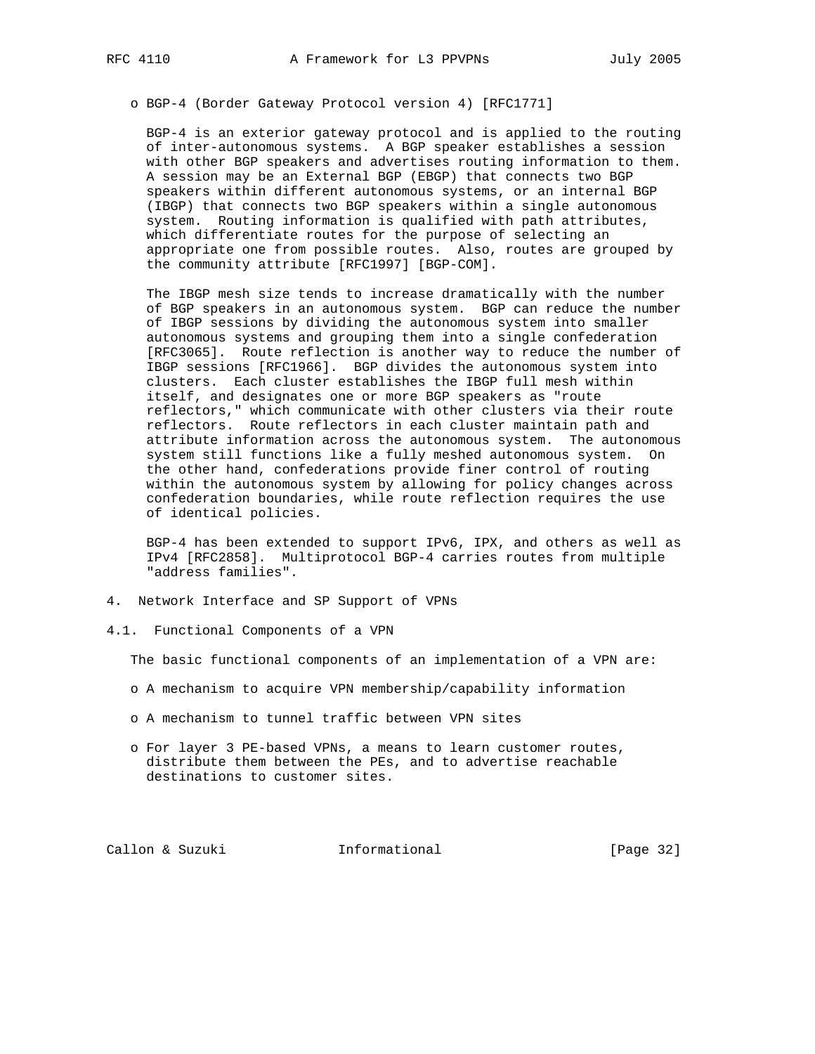o BGP-4 (Border Gateway Protocol version 4) [RFC1771]

 BGP-4 is an exterior gateway protocol and is applied to the routing of inter-autonomous systems. A BGP speaker establishes a session with other BGP speakers and advertises routing information to them. A session may be an External BGP (EBGP) that connects two BGP speakers within different autonomous systems, or an internal BGP (IBGP) that connects two BGP speakers within a single autonomous system. Routing information is qualified with path attributes, which differentiate routes for the purpose of selecting an appropriate one from possible routes. Also, routes are grouped by the community attribute [RFC1997] [BGP-COM].

 The IBGP mesh size tends to increase dramatically with the number of BGP speakers in an autonomous system. BGP can reduce the number of IBGP sessions by dividing the autonomous system into smaller autonomous systems and grouping them into a single confederation [RFC3065]. Route reflection is another way to reduce the number of IBGP sessions [RFC1966]. BGP divides the autonomous system into clusters. Each cluster establishes the IBGP full mesh within itself, and designates one or more BGP speakers as "route reflectors," which communicate with other clusters via their route reflectors. Route reflectors in each cluster maintain path and attribute information across the autonomous system. The autonomous system still functions like a fully meshed autonomous system. On the other hand, confederations provide finer control of routing within the autonomous system by allowing for policy changes across confederation boundaries, while route reflection requires the use of identical policies.

 BGP-4 has been extended to support IPv6, IPX, and others as well as IPv4 [RFC2858]. Multiprotocol BGP-4 carries routes from multiple "address families".

- 4. Network Interface and SP Support of VPNs
- 4.1. Functional Components of a VPN

The basic functional components of an implementation of a VPN are:

- o A mechanism to acquire VPN membership/capability information
- o A mechanism to tunnel traffic between VPN sites
- o For layer 3 PE-based VPNs, a means to learn customer routes, distribute them between the PEs, and to advertise reachable destinations to customer sites.

Callon & Suzuki Informational [Page 32]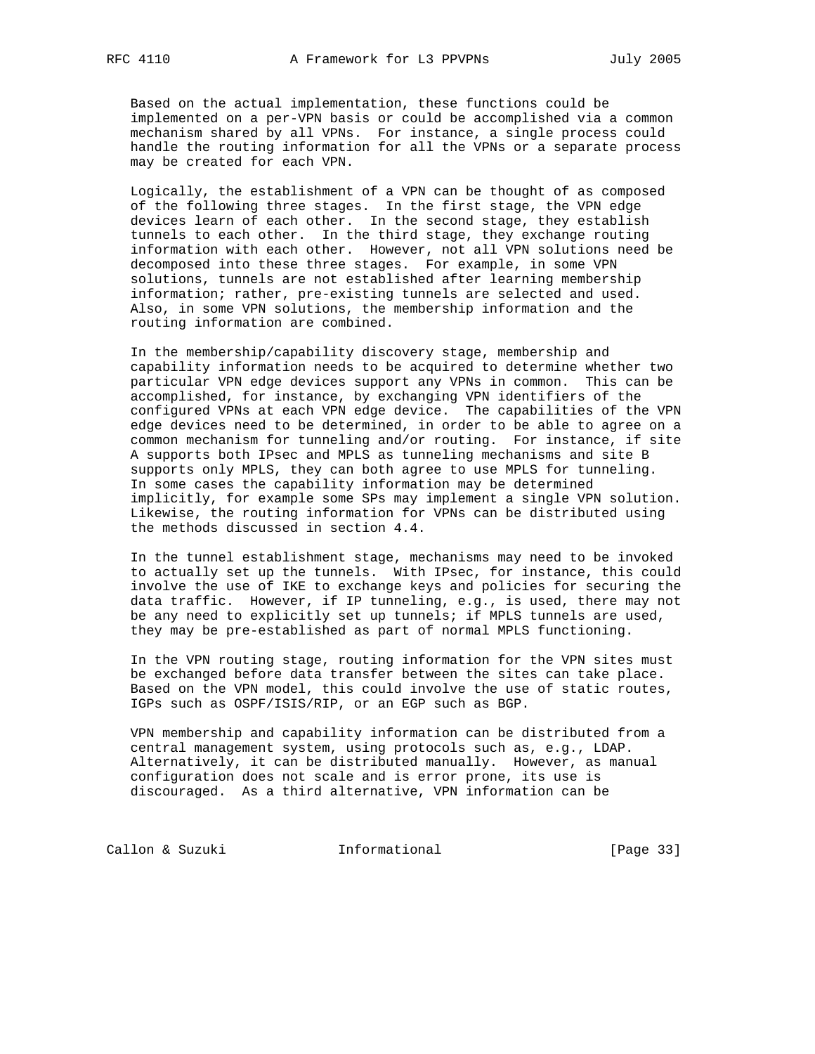Based on the actual implementation, these functions could be implemented on a per-VPN basis or could be accomplished via a common mechanism shared by all VPNs. For instance, a single process could handle the routing information for all the VPNs or a separate process may be created for each VPN.

 Logically, the establishment of a VPN can be thought of as composed of the following three stages. In the first stage, the VPN edge devices learn of each other. In the second stage, they establish tunnels to each other. In the third stage, they exchange routing information with each other. However, not all VPN solutions need be decomposed into these three stages. For example, in some VPN solutions, tunnels are not established after learning membership information; rather, pre-existing tunnels are selected and used. Also, in some VPN solutions, the membership information and the routing information are combined.

 In the membership/capability discovery stage, membership and capability information needs to be acquired to determine whether two particular VPN edge devices support any VPNs in common. This can be accomplished, for instance, by exchanging VPN identifiers of the configured VPNs at each VPN edge device. The capabilities of the VPN edge devices need to be determined, in order to be able to agree on a common mechanism for tunneling and/or routing. For instance, if site A supports both IPsec and MPLS as tunneling mechanisms and site B supports only MPLS, they can both agree to use MPLS for tunneling. In some cases the capability information may be determined implicitly, for example some SPs may implement a single VPN solution. Likewise, the routing information for VPNs can be distributed using the methods discussed in section 4.4.

 In the tunnel establishment stage, mechanisms may need to be invoked to actually set up the tunnels. With IPsec, for instance, this could involve the use of IKE to exchange keys and policies for securing the data traffic. However, if IP tunneling, e.g., is used, there may not be any need to explicitly set up tunnels; if MPLS tunnels are used, they may be pre-established as part of normal MPLS functioning.

 In the VPN routing stage, routing information for the VPN sites must be exchanged before data transfer between the sites can take place. Based on the VPN model, this could involve the use of static routes, IGPs such as OSPF/ISIS/RIP, or an EGP such as BGP.

 VPN membership and capability information can be distributed from a central management system, using protocols such as, e.g., LDAP. Alternatively, it can be distributed manually. However, as manual configuration does not scale and is error prone, its use is discouraged. As a third alternative, VPN information can be

Callon & Suzuki **Informational** [Page 33]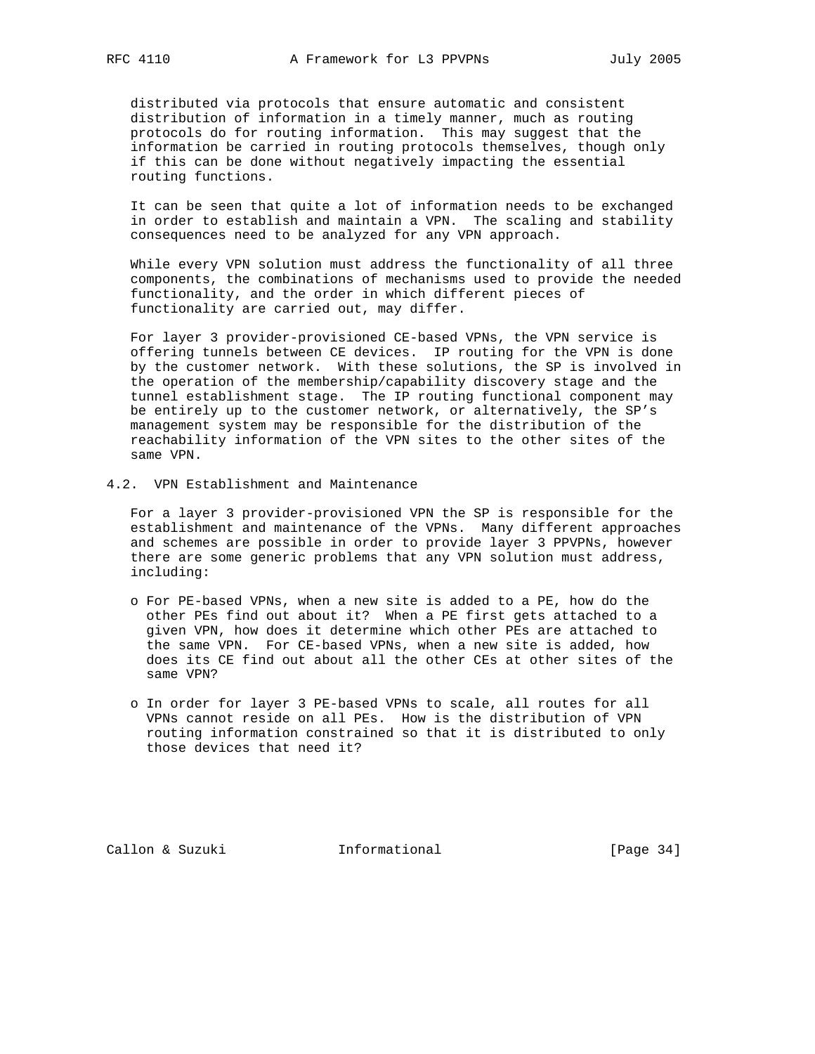distributed via protocols that ensure automatic and consistent distribution of information in a timely manner, much as routing protocols do for routing information. This may suggest that the information be carried in routing protocols themselves, though only if this can be done without negatively impacting the essential routing functions.

 It can be seen that quite a lot of information needs to be exchanged in order to establish and maintain a VPN. The scaling and stability consequences need to be analyzed for any VPN approach.

 While every VPN solution must address the functionality of all three components, the combinations of mechanisms used to provide the needed functionality, and the order in which different pieces of functionality are carried out, may differ.

 For layer 3 provider-provisioned CE-based VPNs, the VPN service is offering tunnels between CE devices. IP routing for the VPN is done by the customer network. With these solutions, the SP is involved in the operation of the membership/capability discovery stage and the tunnel establishment stage. The IP routing functional component may be entirely up to the customer network, or alternatively, the SP's management system may be responsible for the distribution of the reachability information of the VPN sites to the other sites of the same VPN.

4.2. VPN Establishment and Maintenance

 For a layer 3 provider-provisioned VPN the SP is responsible for the establishment and maintenance of the VPNs. Many different approaches and schemes are possible in order to provide layer 3 PPVPNs, however there are some generic problems that any VPN solution must address, including:

- o For PE-based VPNs, when a new site is added to a PE, how do the other PEs find out about it? When a PE first gets attached to a given VPN, how does it determine which other PEs are attached to the same VPN. For CE-based VPNs, when a new site is added, how does its CE find out about all the other CEs at other sites of the same VPN?
- o In order for layer 3 PE-based VPNs to scale, all routes for all VPNs cannot reside on all PEs. How is the distribution of VPN routing information constrained so that it is distributed to only those devices that need it?

Callon & Suzuki Informational [Page 34]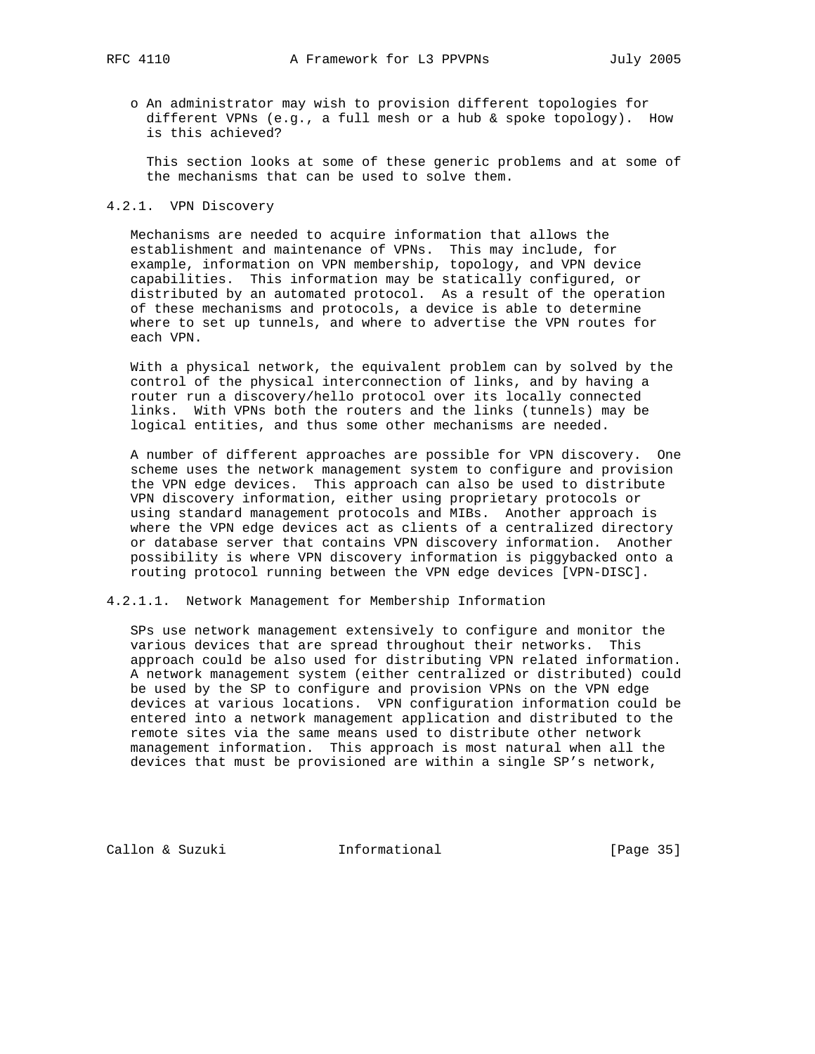o An administrator may wish to provision different topologies for different VPNs (e.g., a full mesh or a hub & spoke topology). How is this achieved?

 This section looks at some of these generic problems and at some of the mechanisms that can be used to solve them.

# 4.2.1. VPN Discovery

 Mechanisms are needed to acquire information that allows the establishment and maintenance of VPNs. This may include, for example, information on VPN membership, topology, and VPN device capabilities. This information may be statically configured, or distributed by an automated protocol. As a result of the operation of these mechanisms and protocols, a device is able to determine where to set up tunnels, and where to advertise the VPN routes for each VPN.

 With a physical network, the equivalent problem can by solved by the control of the physical interconnection of links, and by having a router run a discovery/hello protocol over its locally connected links. With VPNs both the routers and the links (tunnels) may be logical entities, and thus some other mechanisms are needed.

 A number of different approaches are possible for VPN discovery. One scheme uses the network management system to configure and provision the VPN edge devices. This approach can also be used to distribute VPN discovery information, either using proprietary protocols or using standard management protocols and MIBs. Another approach is where the VPN edge devices act as clients of a centralized directory or database server that contains VPN discovery information. Another possibility is where VPN discovery information is piggybacked onto a routing protocol running between the VPN edge devices [VPN-DISC].

#### 4.2.1.1. Network Management for Membership Information

 SPs use network management extensively to configure and monitor the various devices that are spread throughout their networks. This approach could be also used for distributing VPN related information. A network management system (either centralized or distributed) could be used by the SP to configure and provision VPNs on the VPN edge devices at various locations. VPN configuration information could be entered into a network management application and distributed to the remote sites via the same means used to distribute other network management information. This approach is most natural when all the devices that must be provisioned are within a single SP's network,

Callon & Suzuki **Informational** [Page 35]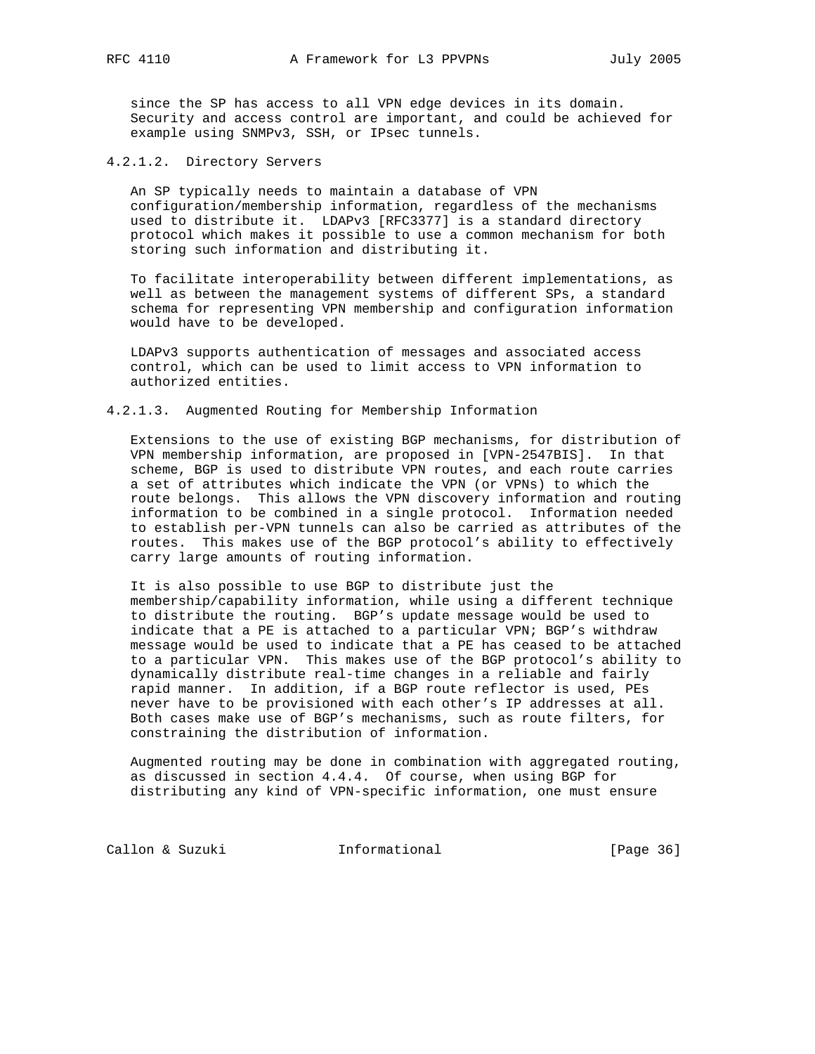since the SP has access to all VPN edge devices in its domain. Security and access control are important, and could be achieved for example using SNMPv3, SSH, or IPsec tunnels.

4.2.1.2. Directory Servers

 An SP typically needs to maintain a database of VPN configuration/membership information, regardless of the mechanisms used to distribute it. LDAPv3 [RFC3377] is a standard directory protocol which makes it possible to use a common mechanism for both storing such information and distributing it.

 To facilitate interoperability between different implementations, as well as between the management systems of different SPs, a standard schema for representing VPN membership and configuration information would have to be developed.

 LDAPv3 supports authentication of messages and associated access control, which can be used to limit access to VPN information to authorized entities.

4.2.1.3. Augmented Routing for Membership Information

 Extensions to the use of existing BGP mechanisms, for distribution of VPN membership information, are proposed in [VPN-2547BIS]. In that scheme, BGP is used to distribute VPN routes, and each route carries a set of attributes which indicate the VPN (or VPNs) to which the route belongs. This allows the VPN discovery information and routing information to be combined in a single protocol. Information needed to establish per-VPN tunnels can also be carried as attributes of the routes. This makes use of the BGP protocol's ability to effectively carry large amounts of routing information.

 It is also possible to use BGP to distribute just the membership/capability information, while using a different technique to distribute the routing. BGP's update message would be used to indicate that a PE is attached to a particular VPN; BGP's withdraw message would be used to indicate that a PE has ceased to be attached to a particular VPN. This makes use of the BGP protocol's ability to dynamically distribute real-time changes in a reliable and fairly rapid manner. In addition, if a BGP route reflector is used, PEs never have to be provisioned with each other's IP addresses at all. Both cases make use of BGP's mechanisms, such as route filters, for constraining the distribution of information.

 Augmented routing may be done in combination with aggregated routing, as discussed in section 4.4.4. Of course, when using BGP for distributing any kind of VPN-specific information, one must ensure

Callon & Suzuki **Informational** [Page 36]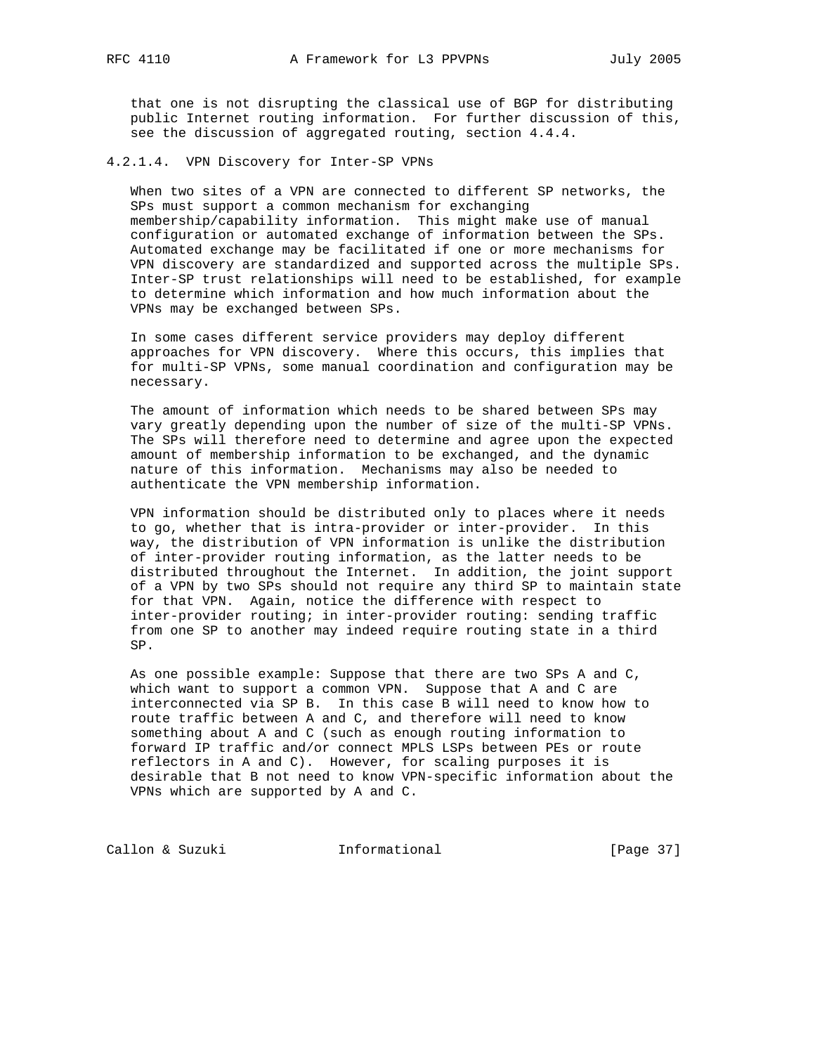that one is not disrupting the classical use of BGP for distributing public Internet routing information. For further discussion of this, see the discussion of aggregated routing, section 4.4.4.

### 4.2.1.4. VPN Discovery for Inter-SP VPNs

 When two sites of a VPN are connected to different SP networks, the SPs must support a common mechanism for exchanging membership/capability information. This might make use of manual configuration or automated exchange of information between the SPs. Automated exchange may be facilitated if one or more mechanisms for VPN discovery are standardized and supported across the multiple SPs. Inter-SP trust relationships will need to be established, for example to determine which information and how much information about the VPNs may be exchanged between SPs.

 In some cases different service providers may deploy different approaches for VPN discovery. Where this occurs, this implies that for multi-SP VPNs, some manual coordination and configuration may be necessary.

 The amount of information which needs to be shared between SPs may vary greatly depending upon the number of size of the multi-SP VPNs. The SPs will therefore need to determine and agree upon the expected amount of membership information to be exchanged, and the dynamic nature of this information. Mechanisms may also be needed to authenticate the VPN membership information.

 VPN information should be distributed only to places where it needs to go, whether that is intra-provider or inter-provider. In this way, the distribution of VPN information is unlike the distribution of inter-provider routing information, as the latter needs to be distributed throughout the Internet. In addition, the joint support of a VPN by two SPs should not require any third SP to maintain state for that VPN. Again, notice the difference with respect to inter-provider routing; in inter-provider routing: sending traffic from one SP to another may indeed require routing state in a third SP.

 As one possible example: Suppose that there are two SPs A and C, which want to support a common VPN. Suppose that A and C are interconnected via SP B. In this case B will need to know how to route traffic between A and C, and therefore will need to know something about A and C (such as enough routing information to forward IP traffic and/or connect MPLS LSPs between PEs or route reflectors in A and C). However, for scaling purposes it is desirable that B not need to know VPN-specific information about the VPNs which are supported by A and C.

Callon & Suzuki **Informational** [Page 37]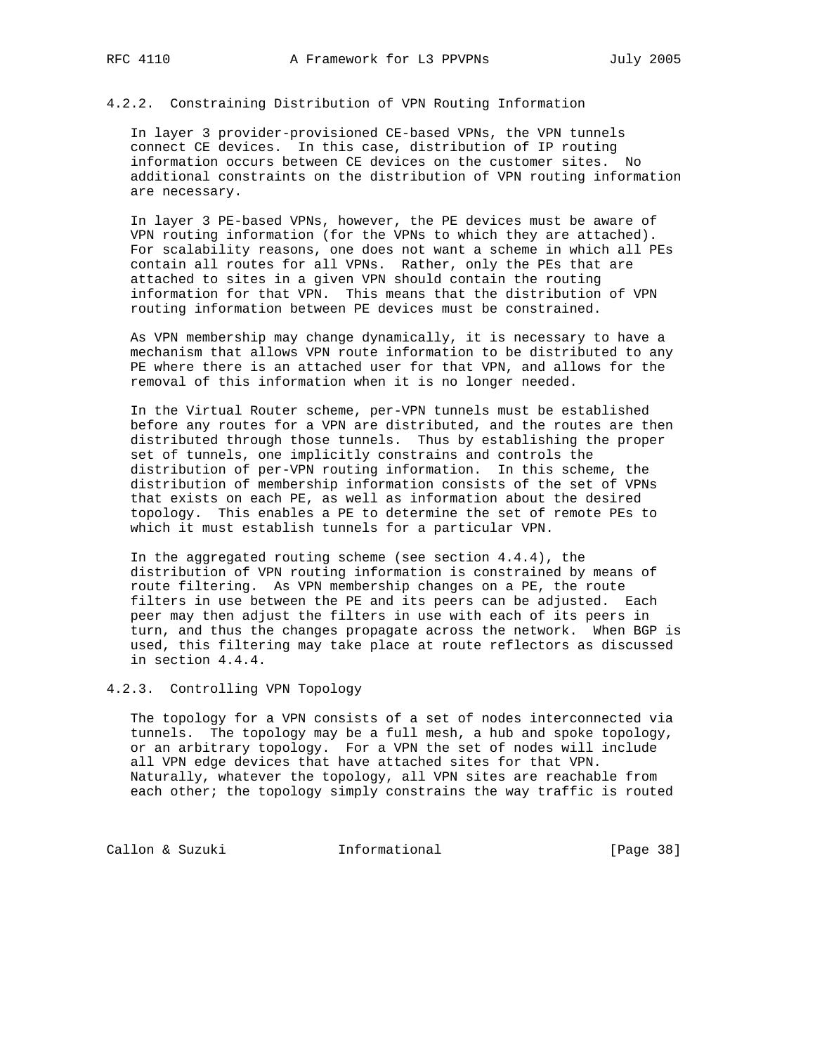# 4.2.2. Constraining Distribution of VPN Routing Information

 In layer 3 provider-provisioned CE-based VPNs, the VPN tunnels connect CE devices. In this case, distribution of IP routing information occurs between CE devices on the customer sites. No additional constraints on the distribution of VPN routing information are necessary.

 In layer 3 PE-based VPNs, however, the PE devices must be aware of VPN routing information (for the VPNs to which they are attached). For scalability reasons, one does not want a scheme in which all PEs contain all routes for all VPNs. Rather, only the PEs that are attached to sites in a given VPN should contain the routing information for that VPN. This means that the distribution of VPN routing information between PE devices must be constrained.

 As VPN membership may change dynamically, it is necessary to have a mechanism that allows VPN route information to be distributed to any PE where there is an attached user for that VPN, and allows for the removal of this information when it is no longer needed.

 In the Virtual Router scheme, per-VPN tunnels must be established before any routes for a VPN are distributed, and the routes are then distributed through those tunnels. Thus by establishing the proper set of tunnels, one implicitly constrains and controls the distribution of per-VPN routing information. In this scheme, the distribution of membership information consists of the set of VPNs that exists on each PE, as well as information about the desired topology. This enables a PE to determine the set of remote PEs to which it must establish tunnels for a particular VPN.

 In the aggregated routing scheme (see section 4.4.4), the distribution of VPN routing information is constrained by means of route filtering. As VPN membership changes on a PE, the route filters in use between the PE and its peers can be adjusted. Each peer may then adjust the filters in use with each of its peers in turn, and thus the changes propagate across the network. When BGP is used, this filtering may take place at route reflectors as discussed in section 4.4.4.

# 4.2.3. Controlling VPN Topology

 The topology for a VPN consists of a set of nodes interconnected via tunnels. The topology may be a full mesh, a hub and spoke topology, or an arbitrary topology. For a VPN the set of nodes will include all VPN edge devices that have attached sites for that VPN. Naturally, whatever the topology, all VPN sites are reachable from each other; the topology simply constrains the way traffic is routed

Callon & Suzuki **Informational** [Page 38]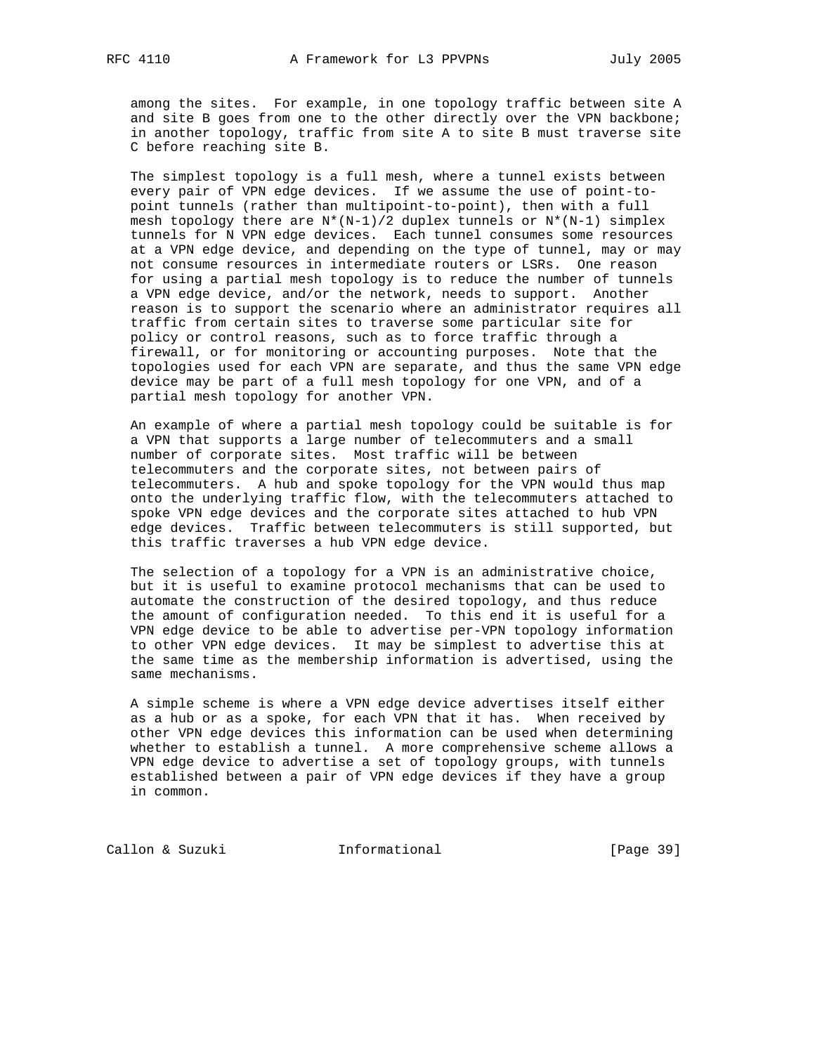among the sites. For example, in one topology traffic between site A and site B goes from one to the other directly over the VPN backbone; in another topology, traffic from site A to site B must traverse site C before reaching site B.

 The simplest topology is a full mesh, where a tunnel exists between every pair of VPN edge devices. If we assume the use of point-to point tunnels (rather than multipoint-to-point), then with a full mesh topology there are  $N^*(N-1)/2$  duplex tunnels or  $N^*(N-1)$  simplex tunnels for N VPN edge devices. Each tunnel consumes some resources at a VPN edge device, and depending on the type of tunnel, may or may not consume resources in intermediate routers or LSRs. One reason for using a partial mesh topology is to reduce the number of tunnels a VPN edge device, and/or the network, needs to support. Another reason is to support the scenario where an administrator requires all traffic from certain sites to traverse some particular site for policy or control reasons, such as to force traffic through a firewall, or for monitoring or accounting purposes. Note that the topologies used for each VPN are separate, and thus the same VPN edge device may be part of a full mesh topology for one VPN, and of a partial mesh topology for another VPN.

 An example of where a partial mesh topology could be suitable is for a VPN that supports a large number of telecommuters and a small number of corporate sites. Most traffic will be between telecommuters and the corporate sites, not between pairs of telecommuters. A hub and spoke topology for the VPN would thus map onto the underlying traffic flow, with the telecommuters attached to spoke VPN edge devices and the corporate sites attached to hub VPN edge devices. Traffic between telecommuters is still supported, but this traffic traverses a hub VPN edge device.

 The selection of a topology for a VPN is an administrative choice, but it is useful to examine protocol mechanisms that can be used to automate the construction of the desired topology, and thus reduce the amount of configuration needed. To this end it is useful for a VPN edge device to be able to advertise per-VPN topology information to other VPN edge devices. It may be simplest to advertise this at the same time as the membership information is advertised, using the same mechanisms.

 A simple scheme is where a VPN edge device advertises itself either as a hub or as a spoke, for each VPN that it has. When received by other VPN edge devices this information can be used when determining whether to establish a tunnel. A more comprehensive scheme allows a VPN edge device to advertise a set of topology groups, with tunnels established between a pair of VPN edge devices if they have a group in common.

Callon & Suzuki **Informational** [Page 39]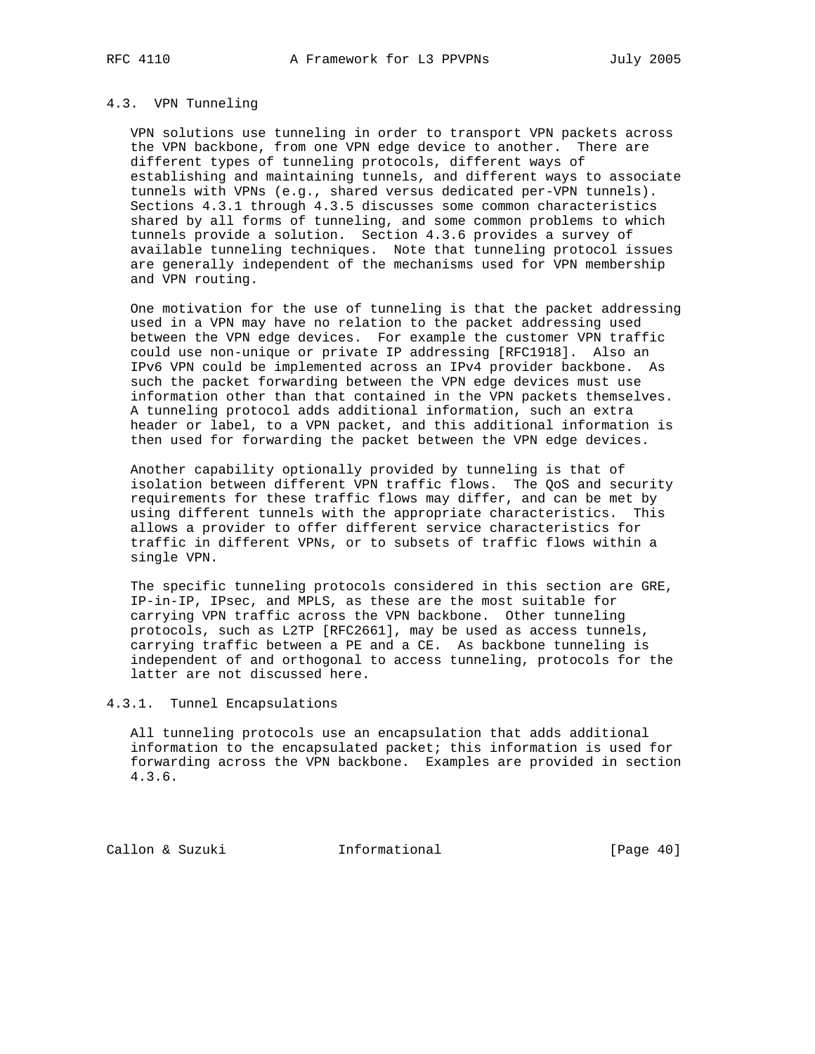#### 4.3. VPN Tunneling

 VPN solutions use tunneling in order to transport VPN packets across the VPN backbone, from one VPN edge device to another. There are different types of tunneling protocols, different ways of establishing and maintaining tunnels, and different ways to associate tunnels with VPNs (e.g., shared versus dedicated per-VPN tunnels). Sections 4.3.1 through 4.3.5 discusses some common characteristics shared by all forms of tunneling, and some common problems to which tunnels provide a solution. Section 4.3.6 provides a survey of available tunneling techniques. Note that tunneling protocol issues are generally independent of the mechanisms used for VPN membership and VPN routing.

 One motivation for the use of tunneling is that the packet addressing used in a VPN may have no relation to the packet addressing used between the VPN edge devices. For example the customer VPN traffic could use non-unique or private IP addressing [RFC1918]. Also an IPv6 VPN could be implemented across an IPv4 provider backbone. As such the packet forwarding between the VPN edge devices must use information other than that contained in the VPN packets themselves. A tunneling protocol adds additional information, such an extra header or label, to a VPN packet, and this additional information is then used for forwarding the packet between the VPN edge devices.

 Another capability optionally provided by tunneling is that of isolation between different VPN traffic flows. The QoS and security requirements for these traffic flows may differ, and can be met by using different tunnels with the appropriate characteristics. This allows a provider to offer different service characteristics for traffic in different VPNs, or to subsets of traffic flows within a single VPN.

 The specific tunneling protocols considered in this section are GRE, IP-in-IP, IPsec, and MPLS, as these are the most suitable for carrying VPN traffic across the VPN backbone. Other tunneling protocols, such as L2TP [RFC2661], may be used as access tunnels, carrying traffic between a PE and a CE. As backbone tunneling is independent of and orthogonal to access tunneling, protocols for the latter are not discussed here.

# 4.3.1. Tunnel Encapsulations

 All tunneling protocols use an encapsulation that adds additional information to the encapsulated packet; this information is used for forwarding across the VPN backbone. Examples are provided in section 4.3.6.

Callon & Suzuki **Informational** [Page 40]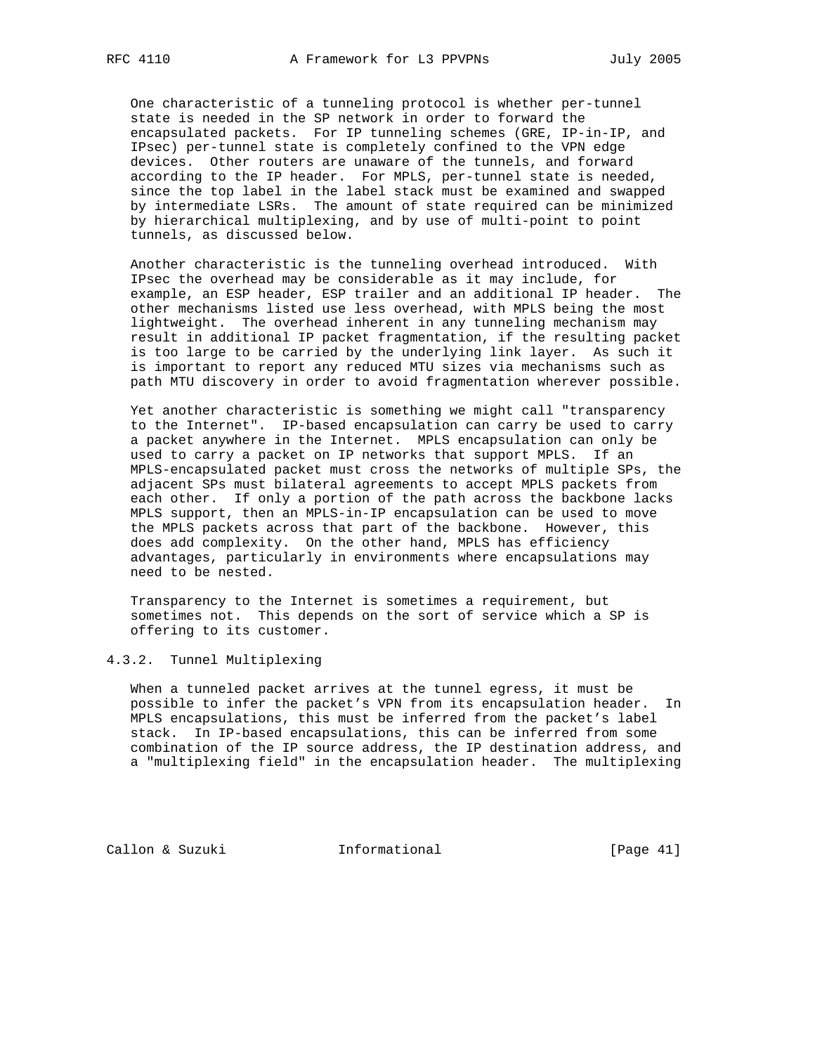One characteristic of a tunneling protocol is whether per-tunnel state is needed in the SP network in order to forward the encapsulated packets. For IP tunneling schemes (GRE, IP-in-IP, and IPsec) per-tunnel state is completely confined to the VPN edge devices. Other routers are unaware of the tunnels, and forward according to the IP header. For MPLS, per-tunnel state is needed, since the top label in the label stack must be examined and swapped by intermediate LSRs. The amount of state required can be minimized by hierarchical multiplexing, and by use of multi-point to point tunnels, as discussed below.

 Another characteristic is the tunneling overhead introduced. With IPsec the overhead may be considerable as it may include, for example, an ESP header, ESP trailer and an additional IP header. The other mechanisms listed use less overhead, with MPLS being the most lightweight. The overhead inherent in any tunneling mechanism may result in additional IP packet fragmentation, if the resulting packet is too large to be carried by the underlying link layer. As such it is important to report any reduced MTU sizes via mechanisms such as path MTU discovery in order to avoid fragmentation wherever possible.

 Yet another characteristic is something we might call "transparency to the Internet". IP-based encapsulation can carry be used to carry a packet anywhere in the Internet. MPLS encapsulation can only be used to carry a packet on IP networks that support MPLS. If an MPLS-encapsulated packet must cross the networks of multiple SPs, the adjacent SPs must bilateral agreements to accept MPLS packets from each other. If only a portion of the path across the backbone lacks MPLS support, then an MPLS-in-IP encapsulation can be used to move the MPLS packets across that part of the backbone. However, this does add complexity. On the other hand, MPLS has efficiency advantages, particularly in environments where encapsulations may need to be nested.

 Transparency to the Internet is sometimes a requirement, but sometimes not. This depends on the sort of service which a SP is offering to its customer.

## 4.3.2. Tunnel Multiplexing

 When a tunneled packet arrives at the tunnel egress, it must be possible to infer the packet's VPN from its encapsulation header. In MPLS encapsulations, this must be inferred from the packet's label stack. In IP-based encapsulations, this can be inferred from some combination of the IP source address, the IP destination address, and a "multiplexing field" in the encapsulation header. The multiplexing

Callon & Suzuki **Informational** [Page 41]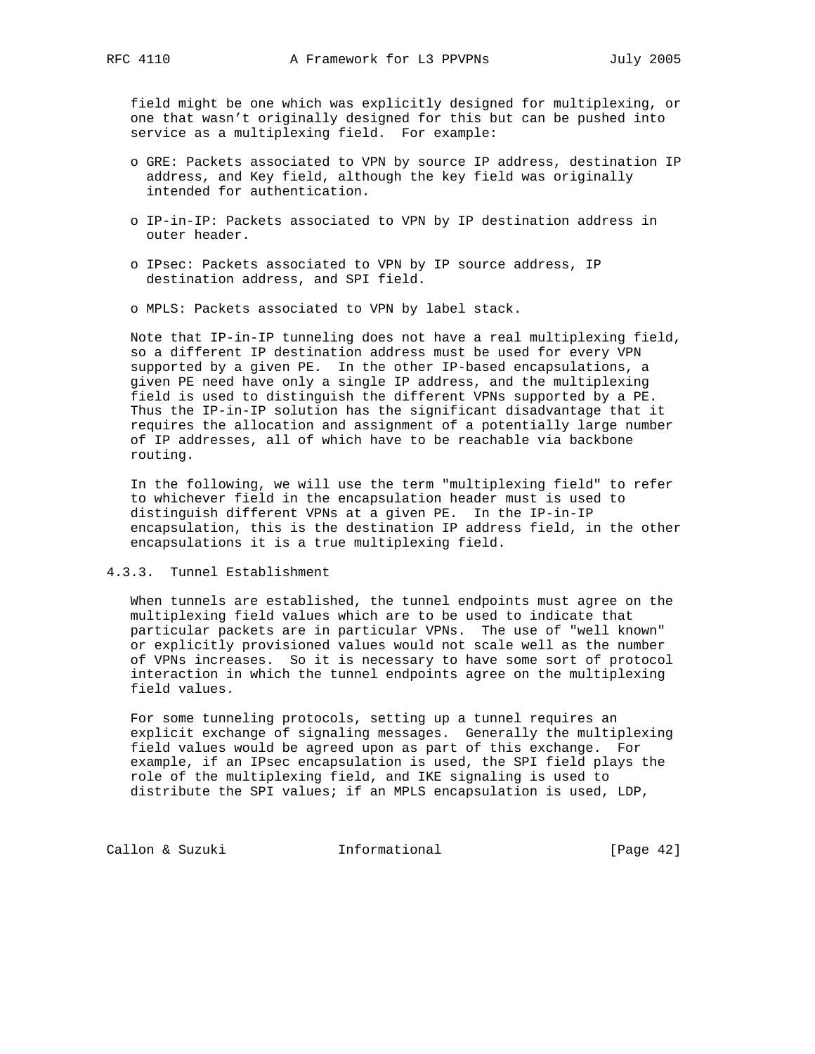field might be one which was explicitly designed for multiplexing, or one that wasn't originally designed for this but can be pushed into service as a multiplexing field. For example:

- o GRE: Packets associated to VPN by source IP address, destination IP address, and Key field, although the key field was originally intended for authentication.
- o IP-in-IP: Packets associated to VPN by IP destination address in outer header.
- o IPsec: Packets associated to VPN by IP source address, IP destination address, and SPI field.
- o MPLS: Packets associated to VPN by label stack.

 Note that IP-in-IP tunneling does not have a real multiplexing field, so a different IP destination address must be used for every VPN supported by a given PE. In the other IP-based encapsulations, a given PE need have only a single IP address, and the multiplexing field is used to distinguish the different VPNs supported by a PE. Thus the IP-in-IP solution has the significant disadvantage that it requires the allocation and assignment of a potentially large number of IP addresses, all of which have to be reachable via backbone routing.

 In the following, we will use the term "multiplexing field" to refer to whichever field in the encapsulation header must is used to distinguish different VPNs at a given PE. In the IP-in-IP encapsulation, this is the destination IP address field, in the other encapsulations it is a true multiplexing field.

## 4.3.3. Tunnel Establishment

 When tunnels are established, the tunnel endpoints must agree on the multiplexing field values which are to be used to indicate that particular packets are in particular VPNs. The use of "well known" or explicitly provisioned values would not scale well as the number of VPNs increases. So it is necessary to have some sort of protocol interaction in which the tunnel endpoints agree on the multiplexing field values.

 For some tunneling protocols, setting up a tunnel requires an explicit exchange of signaling messages. Generally the multiplexing field values would be agreed upon as part of this exchange. For example, if an IPsec encapsulation is used, the SPI field plays the role of the multiplexing field, and IKE signaling is used to distribute the SPI values; if an MPLS encapsulation is used, LDP,

Callon & Suzuki **Informational** [Page 42]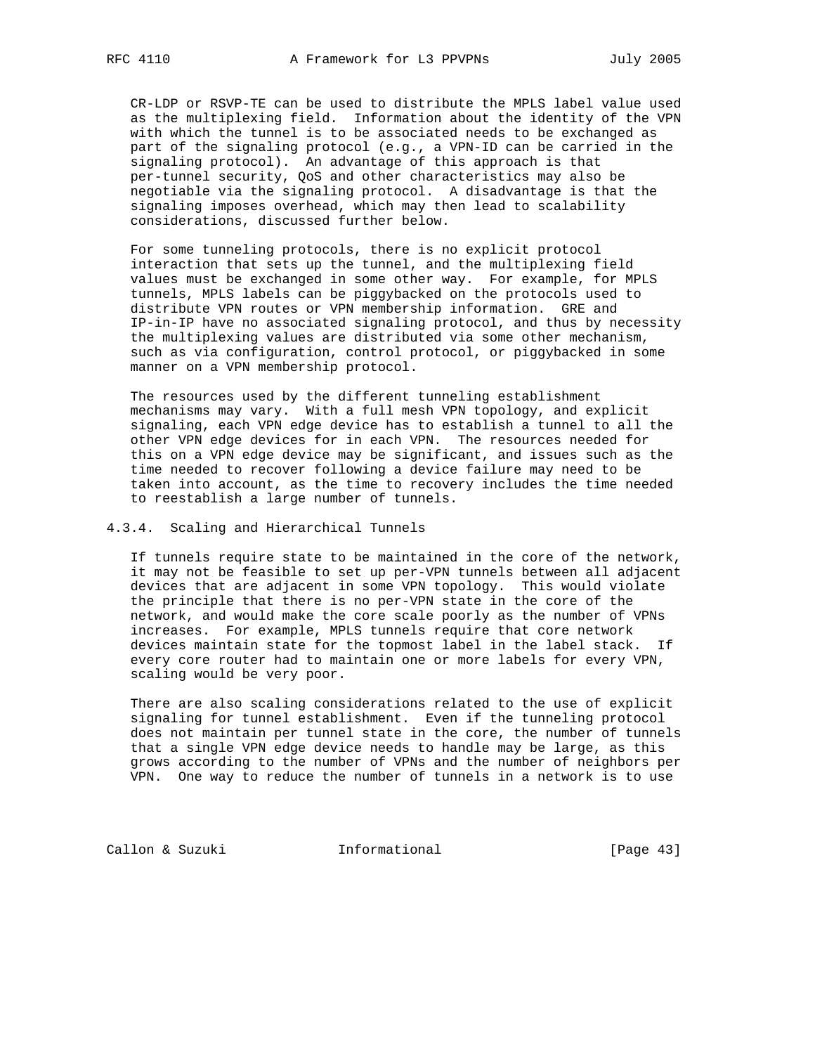CR-LDP or RSVP-TE can be used to distribute the MPLS label value used as the multiplexing field. Information about the identity of the VPN with which the tunnel is to be associated needs to be exchanged as part of the signaling protocol (e.g., a VPN-ID can be carried in the signaling protocol). An advantage of this approach is that per-tunnel security, QoS and other characteristics may also be negotiable via the signaling protocol. A disadvantage is that the signaling imposes overhead, which may then lead to scalability considerations, discussed further below.

 For some tunneling protocols, there is no explicit protocol interaction that sets up the tunnel, and the multiplexing field values must be exchanged in some other way. For example, for MPLS tunnels, MPLS labels can be piggybacked on the protocols used to distribute VPN routes or VPN membership information. GRE and IP-in-IP have no associated signaling protocol, and thus by necessity the multiplexing values are distributed via some other mechanism, such as via configuration, control protocol, or piggybacked in some manner on a VPN membership protocol.

 The resources used by the different tunneling establishment mechanisms may vary. With a full mesh VPN topology, and explicit signaling, each VPN edge device has to establish a tunnel to all the other VPN edge devices for in each VPN. The resources needed for this on a VPN edge device may be significant, and issues such as the time needed to recover following a device failure may need to be taken into account, as the time to recovery includes the time needed to reestablish a large number of tunnels.

## 4.3.4. Scaling and Hierarchical Tunnels

 If tunnels require state to be maintained in the core of the network, it may not be feasible to set up per-VPN tunnels between all adjacent devices that are adjacent in some VPN topology. This would violate the principle that there is no per-VPN state in the core of the network, and would make the core scale poorly as the number of VPNs increases. For example, MPLS tunnels require that core network devices maintain state for the topmost label in the label stack. If every core router had to maintain one or more labels for every VPN, scaling would be very poor.

 There are also scaling considerations related to the use of explicit signaling for tunnel establishment. Even if the tunneling protocol does not maintain per tunnel state in the core, the number of tunnels that a single VPN edge device needs to handle may be large, as this grows according to the number of VPNs and the number of neighbors per VPN. One way to reduce the number of tunnels in a network is to use

Callon & Suzuki **Informational** [Page 43]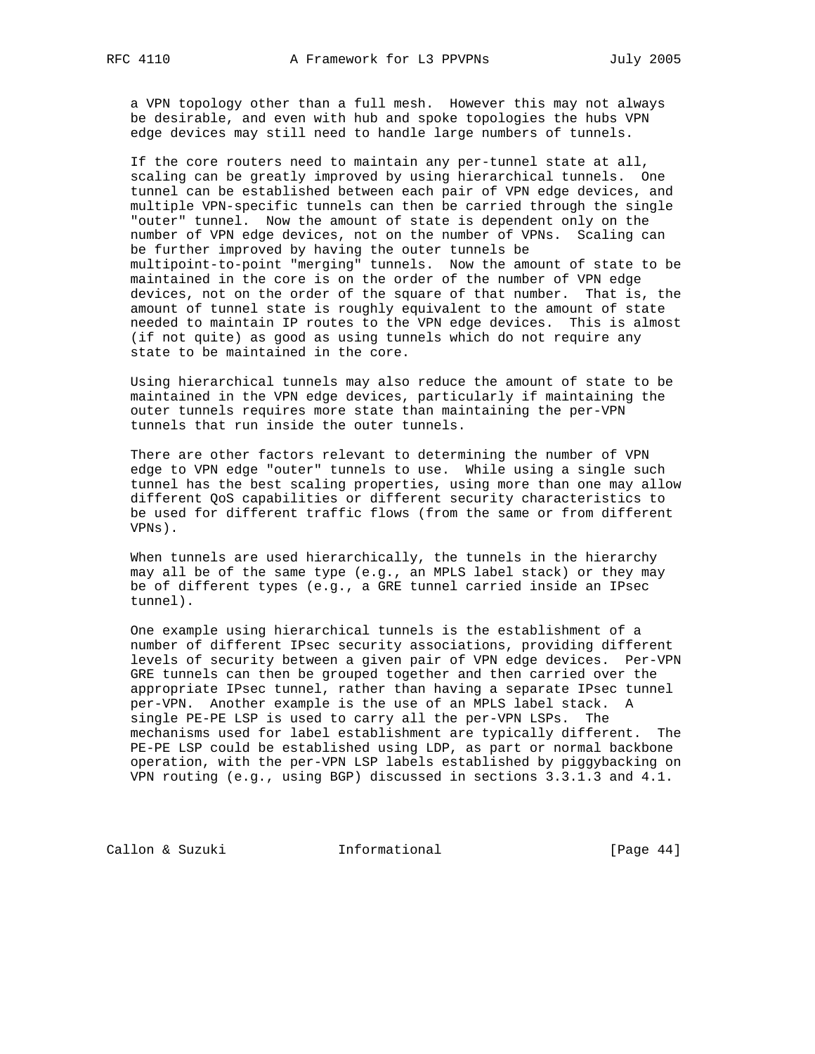a VPN topology other than a full mesh. However this may not always be desirable, and even with hub and spoke topologies the hubs VPN edge devices may still need to handle large numbers of tunnels.

 If the core routers need to maintain any per-tunnel state at all, scaling can be greatly improved by using hierarchical tunnels. One tunnel can be established between each pair of VPN edge devices, and multiple VPN-specific tunnels can then be carried through the single "outer" tunnel. Now the amount of state is dependent only on the number of VPN edge devices, not on the number of VPNs. Scaling can be further improved by having the outer tunnels be multipoint-to-point "merging" tunnels. Now the amount of state to be maintained in the core is on the order of the number of VPN edge devices, not on the order of the square of that number. That is, the amount of tunnel state is roughly equivalent to the amount of state needed to maintain IP routes to the VPN edge devices. This is almost (if not quite) as good as using tunnels which do not require any state to be maintained in the core.

 Using hierarchical tunnels may also reduce the amount of state to be maintained in the VPN edge devices, particularly if maintaining the outer tunnels requires more state than maintaining the per-VPN tunnels that run inside the outer tunnels.

 There are other factors relevant to determining the number of VPN edge to VPN edge "outer" tunnels to use. While using a single such tunnel has the best scaling properties, using more than one may allow different QoS capabilities or different security characteristics to be used for different traffic flows (from the same or from different VPNs).

 When tunnels are used hierarchically, the tunnels in the hierarchy may all be of the same type (e.g., an MPLS label stack) or they may be of different types (e.g., a GRE tunnel carried inside an IPsec tunnel).

 One example using hierarchical tunnels is the establishment of a number of different IPsec security associations, providing different levels of security between a given pair of VPN edge devices. Per-VPN GRE tunnels can then be grouped together and then carried over the appropriate IPsec tunnel, rather than having a separate IPsec tunnel per-VPN. Another example is the use of an MPLS label stack. A single PE-PE LSP is used to carry all the per-VPN LSPs. The mechanisms used for label establishment are typically different. The PE-PE LSP could be established using LDP, as part or normal backbone operation, with the per-VPN LSP labels established by piggybacking on VPN routing (e.g., using BGP) discussed in sections 3.3.1.3 and 4.1.

Callon & Suzuki **Informational** [Page 44]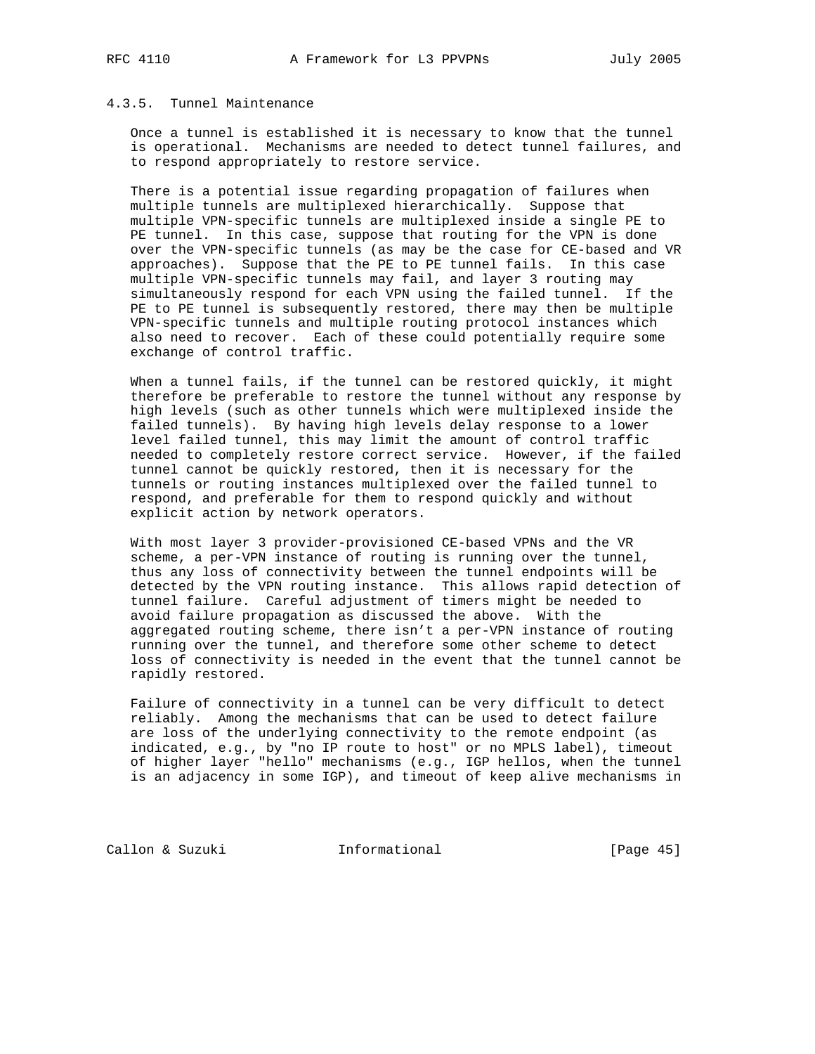# 4.3.5. Tunnel Maintenance

 Once a tunnel is established it is necessary to know that the tunnel is operational. Mechanisms are needed to detect tunnel failures, and to respond appropriately to restore service.

 There is a potential issue regarding propagation of failures when multiple tunnels are multiplexed hierarchically. Suppose that multiple VPN-specific tunnels are multiplexed inside a single PE to PE tunnel. In this case, suppose that routing for the VPN is done over the VPN-specific tunnels (as may be the case for CE-based and VR approaches). Suppose that the PE to PE tunnel fails. In this case multiple VPN-specific tunnels may fail, and layer 3 routing may simultaneously respond for each VPN using the failed tunnel. If the PE to PE tunnel is subsequently restored, there may then be multiple VPN-specific tunnels and multiple routing protocol instances which also need to recover. Each of these could potentially require some exchange of control traffic.

 When a tunnel fails, if the tunnel can be restored quickly, it might therefore be preferable to restore the tunnel without any response by high levels (such as other tunnels which were multiplexed inside the failed tunnels). By having high levels delay response to a lower level failed tunnel, this may limit the amount of control traffic needed to completely restore correct service. However, if the failed tunnel cannot be quickly restored, then it is necessary for the tunnels or routing instances multiplexed over the failed tunnel to respond, and preferable for them to respond quickly and without explicit action by network operators.

 With most layer 3 provider-provisioned CE-based VPNs and the VR scheme, a per-VPN instance of routing is running over the tunnel, thus any loss of connectivity between the tunnel endpoints will be detected by the VPN routing instance. This allows rapid detection of tunnel failure. Careful adjustment of timers might be needed to avoid failure propagation as discussed the above. With the aggregated routing scheme, there isn't a per-VPN instance of routing running over the tunnel, and therefore some other scheme to detect loss of connectivity is needed in the event that the tunnel cannot be rapidly restored.

 Failure of connectivity in a tunnel can be very difficult to detect reliably. Among the mechanisms that can be used to detect failure are loss of the underlying connectivity to the remote endpoint (as indicated, e.g., by "no IP route to host" or no MPLS label), timeout of higher layer "hello" mechanisms (e.g., IGP hellos, when the tunnel is an adjacency in some IGP), and timeout of keep alive mechanisms in

Callon & Suzuki **Informational** [Page 45]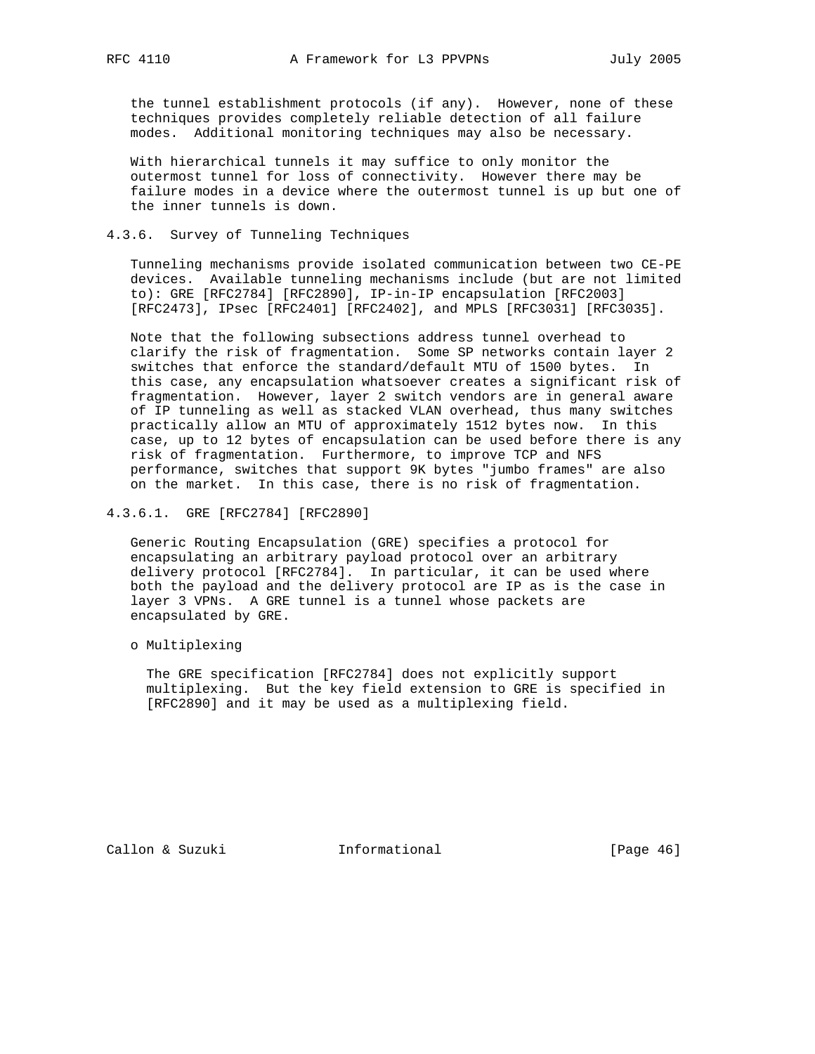the tunnel establishment protocols (if any). However, none of these techniques provides completely reliable detection of all failure modes. Additional monitoring techniques may also be necessary.

 With hierarchical tunnels it may suffice to only monitor the outermost tunnel for loss of connectivity. However there may be failure modes in a device where the outermost tunnel is up but one of the inner tunnels is down.

# 4.3.6. Survey of Tunneling Techniques

 Tunneling mechanisms provide isolated communication between two CE-PE devices. Available tunneling mechanisms include (but are not limited to): GRE [RFC2784] [RFC2890], IP-in-IP encapsulation [RFC2003] [RFC2473], IPsec [RFC2401] [RFC2402], and MPLS [RFC3031] [RFC3035].

 Note that the following subsections address tunnel overhead to clarify the risk of fragmentation. Some SP networks contain layer 2 switches that enforce the standard/default MTU of 1500 bytes. In this case, any encapsulation whatsoever creates a significant risk of fragmentation. However, layer 2 switch vendors are in general aware of IP tunneling as well as stacked VLAN overhead, thus many switches practically allow an MTU of approximately 1512 bytes now. In this case, up to 12 bytes of encapsulation can be used before there is any risk of fragmentation. Furthermore, to improve TCP and NFS performance, switches that support 9K bytes "jumbo frames" are also on the market. In this case, there is no risk of fragmentation.

4.3.6.1. GRE [RFC2784] [RFC2890]

 Generic Routing Encapsulation (GRE) specifies a protocol for encapsulating an arbitrary payload protocol over an arbitrary delivery protocol [RFC2784]. In particular, it can be used where both the payload and the delivery protocol are IP as is the case in layer 3 VPNs. A GRE tunnel is a tunnel whose packets are encapsulated by GRE.

o Multiplexing

 The GRE specification [RFC2784] does not explicitly support multiplexing. But the key field extension to GRE is specified in [RFC2890] and it may be used as a multiplexing field.

Callon & Suzuki Informational [Page 46]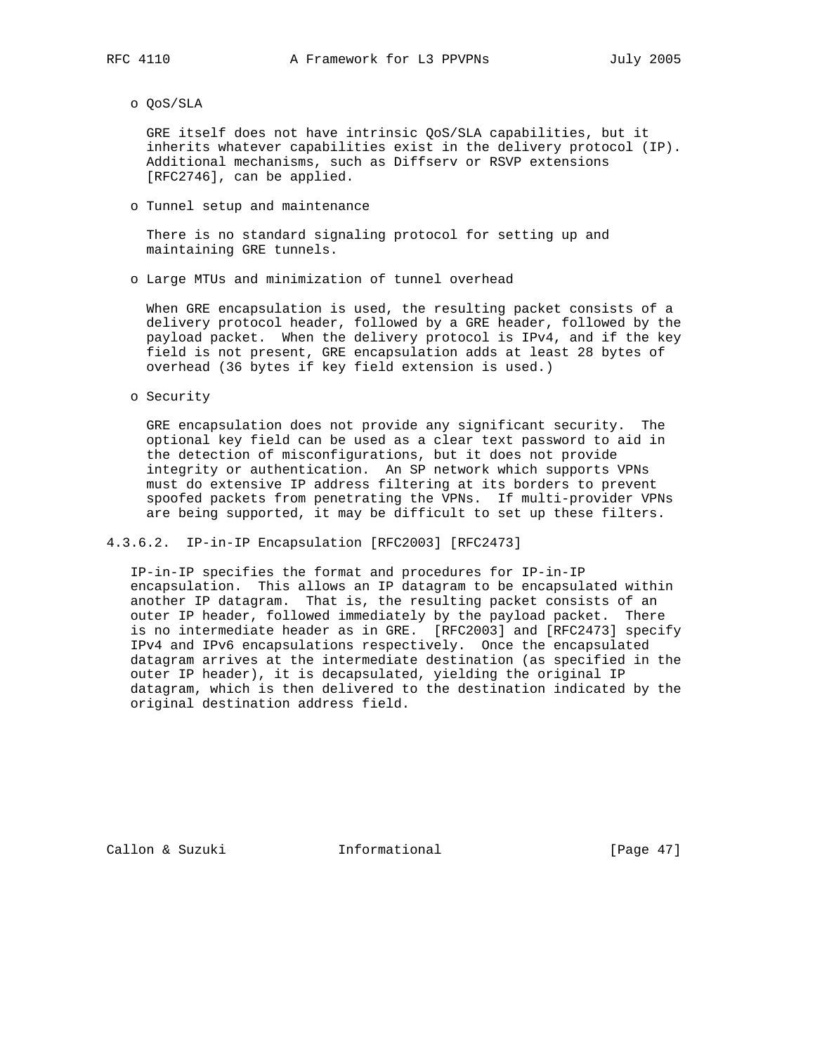o QoS/SLA

 GRE itself does not have intrinsic QoS/SLA capabilities, but it inherits whatever capabilities exist in the delivery protocol (IP). Additional mechanisms, such as Diffserv or RSVP extensions [RFC2746], can be applied.

o Tunnel setup and maintenance

 There is no standard signaling protocol for setting up and maintaining GRE tunnels.

o Large MTUs and minimization of tunnel overhead

 When GRE encapsulation is used, the resulting packet consists of a delivery protocol header, followed by a GRE header, followed by the payload packet. When the delivery protocol is IPv4, and if the key field is not present, GRE encapsulation adds at least 28 bytes of overhead (36 bytes if key field extension is used.)

o Security

 GRE encapsulation does not provide any significant security. The optional key field can be used as a clear text password to aid in the detection of misconfigurations, but it does not provide integrity or authentication. An SP network which supports VPNs must do extensive IP address filtering at its borders to prevent spoofed packets from penetrating the VPNs. If multi-provider VPNs are being supported, it may be difficult to set up these filters.

4.3.6.2. IP-in-IP Encapsulation [RFC2003] [RFC2473]

 IP-in-IP specifies the format and procedures for IP-in-IP encapsulation. This allows an IP datagram to be encapsulated within another IP datagram. That is, the resulting packet consists of an outer IP header, followed immediately by the payload packet. There is no intermediate header as in GRE. [RFC2003] and [RFC2473] specify IPv4 and IPv6 encapsulations respectively. Once the encapsulated datagram arrives at the intermediate destination (as specified in the outer IP header), it is decapsulated, yielding the original IP datagram, which is then delivered to the destination indicated by the original destination address field.

Callon & Suzuki Informational [Page 47]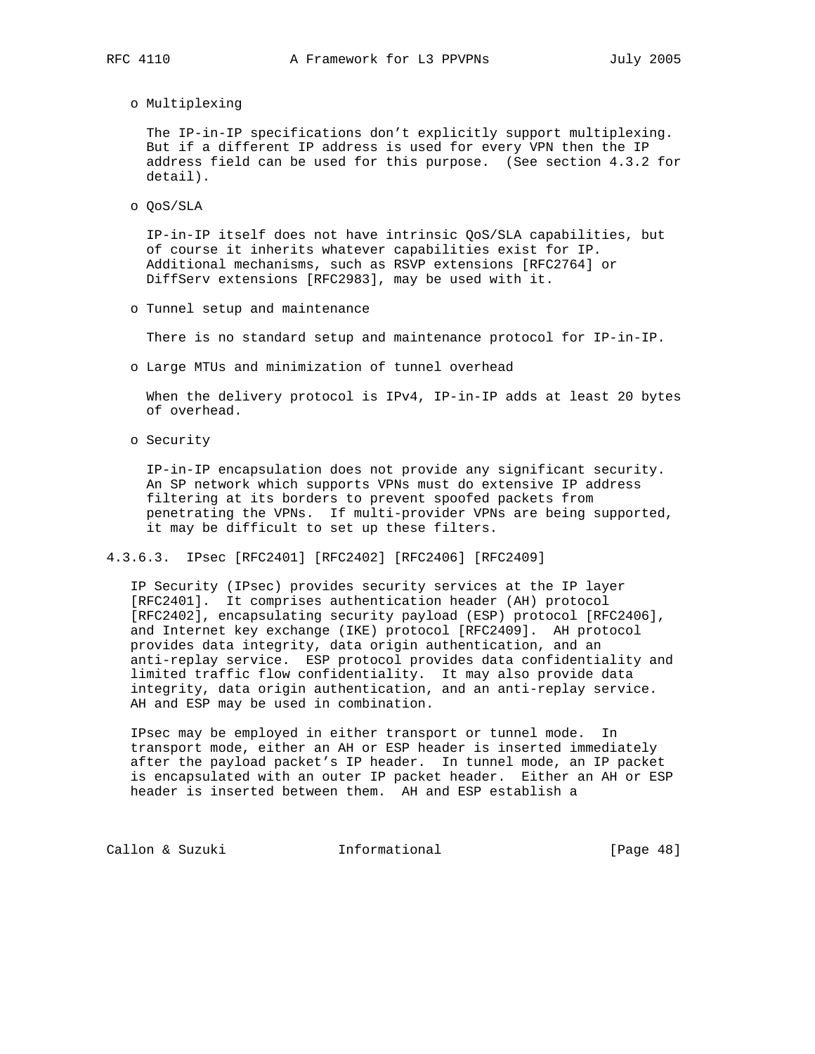o Multiplexing

 The IP-in-IP specifications don't explicitly support multiplexing. But if a different IP address is used for every VPN then the IP address field can be used for this purpose. (See section 4.3.2 for detail).

o QoS/SLA

 IP-in-IP itself does not have intrinsic QoS/SLA capabilities, but of course it inherits whatever capabilities exist for IP. Additional mechanisms, such as RSVP extensions [RFC2764] or DiffServ extensions [RFC2983], may be used with it.

o Tunnel setup and maintenance

There is no standard setup and maintenance protocol for IP-in-IP.

o Large MTUs and minimization of tunnel overhead

When the delivery protocol is IPv4, IP-in-IP adds at least 20 bytes of overhead.

o Security

 IP-in-IP encapsulation does not provide any significant security. An SP network which supports VPNs must do extensive IP address filtering at its borders to prevent spoofed packets from penetrating the VPNs. If multi-provider VPNs are being supported, it may be difficult to set up these filters.

4.3.6.3. IPsec [RFC2401] [RFC2402] [RFC2406] [RFC2409]

 IP Security (IPsec) provides security services at the IP layer [RFC2401]. It comprises authentication header (AH) protocol [RFC2402], encapsulating security payload (ESP) protocol [RFC2406], and Internet key exchange (IKE) protocol [RFC2409]. AH protocol provides data integrity, data origin authentication, and an anti-replay service. ESP protocol provides data confidentiality and limited traffic flow confidentiality. It may also provide data integrity, data origin authentication, and an anti-replay service. AH and ESP may be used in combination.

 IPsec may be employed in either transport or tunnel mode. In transport mode, either an AH or ESP header is inserted immediately after the payload packet's IP header. In tunnel mode, an IP packet is encapsulated with an outer IP packet header. Either an AH or ESP header is inserted between them. AH and ESP establish a

Callon & Suzuki **Informational** [Page 48]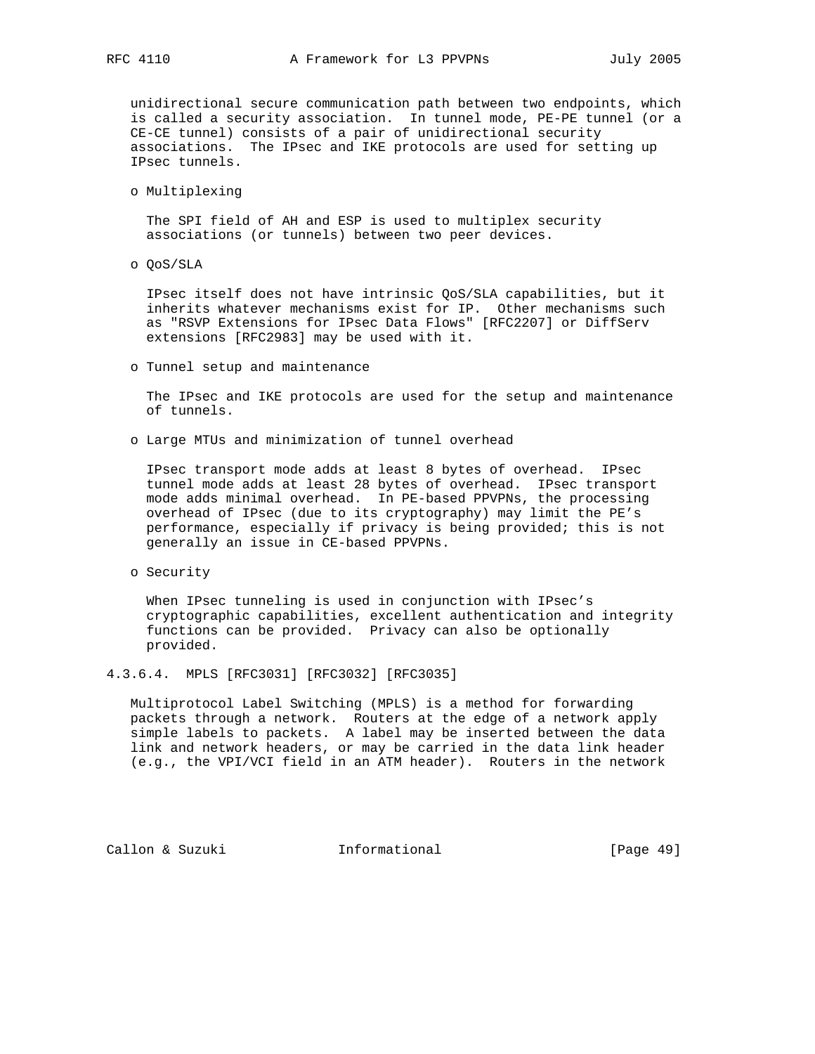unidirectional secure communication path between two endpoints, which is called a security association. In tunnel mode, PE-PE tunnel (or a CE-CE tunnel) consists of a pair of unidirectional security associations. The IPsec and IKE protocols are used for setting up IPsec tunnels.

o Multiplexing

 The SPI field of AH and ESP is used to multiplex security associations (or tunnels) between two peer devices.

o QoS/SLA

 IPsec itself does not have intrinsic QoS/SLA capabilities, but it inherits whatever mechanisms exist for IP. Other mechanisms such as "RSVP Extensions for IPsec Data Flows" [RFC2207] or DiffServ extensions [RFC2983] may be used with it.

o Tunnel setup and maintenance

 The IPsec and IKE protocols are used for the setup and maintenance of tunnels.

o Large MTUs and minimization of tunnel overhead

 IPsec transport mode adds at least 8 bytes of overhead. IPsec tunnel mode adds at least 28 bytes of overhead. IPsec transport mode adds minimal overhead. In PE-based PPVPNs, the processing overhead of IPsec (due to its cryptography) may limit the PE's performance, especially if privacy is being provided; this is not generally an issue in CE-based PPVPNs.

o Security

 When IPsec tunneling is used in conjunction with IPsec's cryptographic capabilities, excellent authentication and integrity functions can be provided. Privacy can also be optionally provided.

# 4.3.6.4. MPLS [RFC3031] [RFC3032] [RFC3035]

 Multiprotocol Label Switching (MPLS) is a method for forwarding packets through a network. Routers at the edge of a network apply simple labels to packets. A label may be inserted between the data link and network headers, or may be carried in the data link header (e.g., the VPI/VCI field in an ATM header). Routers in the network

Callon & Suzuki Informational [Page 49]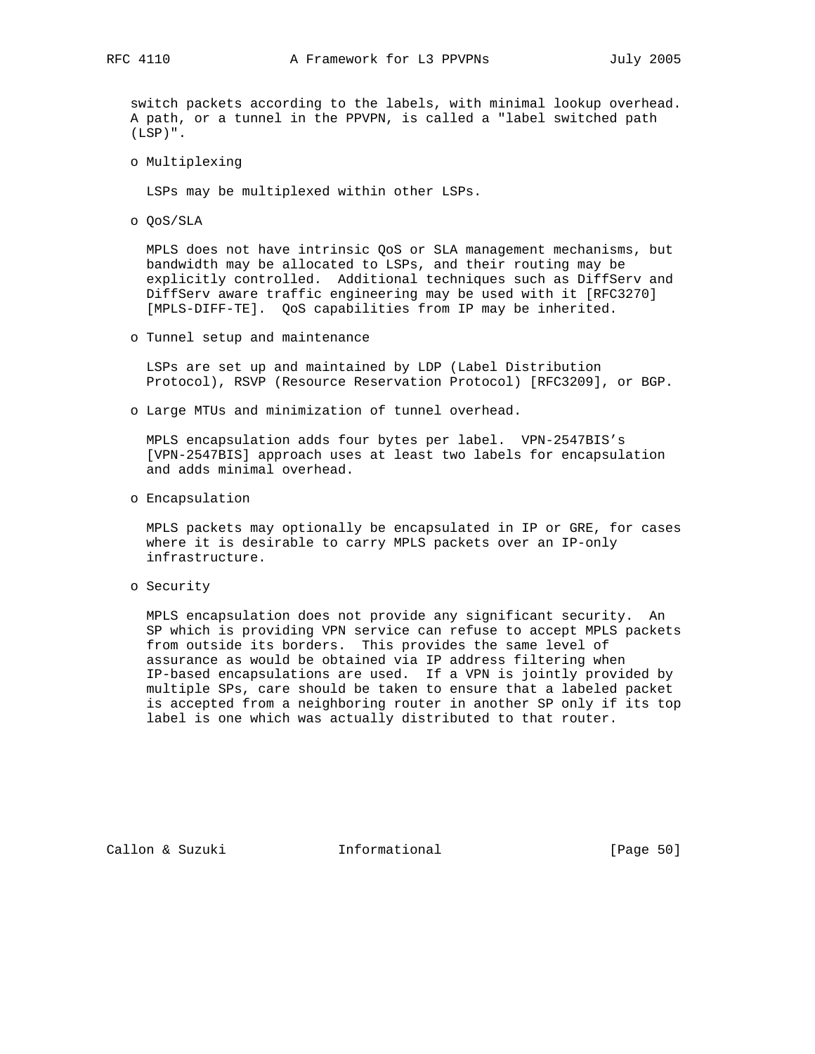switch packets according to the labels, with minimal lookup overhead. A path, or a tunnel in the PPVPN, is called a "label switched path (LSP)".

o Multiplexing

LSPs may be multiplexed within other LSPs.

o QoS/SLA

 MPLS does not have intrinsic QoS or SLA management mechanisms, but bandwidth may be allocated to LSPs, and their routing may be explicitly controlled. Additional techniques such as DiffServ and DiffServ aware traffic engineering may be used with it [RFC3270] [MPLS-DIFF-TE]. QoS capabilities from IP may be inherited.

o Tunnel setup and maintenance

 LSPs are set up and maintained by LDP (Label Distribution Protocol), RSVP (Resource Reservation Protocol) [RFC3209], or BGP.

o Large MTUs and minimization of tunnel overhead.

 MPLS encapsulation adds four bytes per label. VPN-2547BIS's [VPN-2547BIS] approach uses at least two labels for encapsulation and adds minimal overhead.

o Encapsulation

 MPLS packets may optionally be encapsulated in IP or GRE, for cases where it is desirable to carry MPLS packets over an IP-only infrastructure.

o Security

 MPLS encapsulation does not provide any significant security. An SP which is providing VPN service can refuse to accept MPLS packets from outside its borders. This provides the same level of assurance as would be obtained via IP address filtering when IP-based encapsulations are used. If a VPN is jointly provided by multiple SPs, care should be taken to ensure that a labeled packet is accepted from a neighboring router in another SP only if its top label is one which was actually distributed to that router.

Callon & Suzuki Informational [Page 50]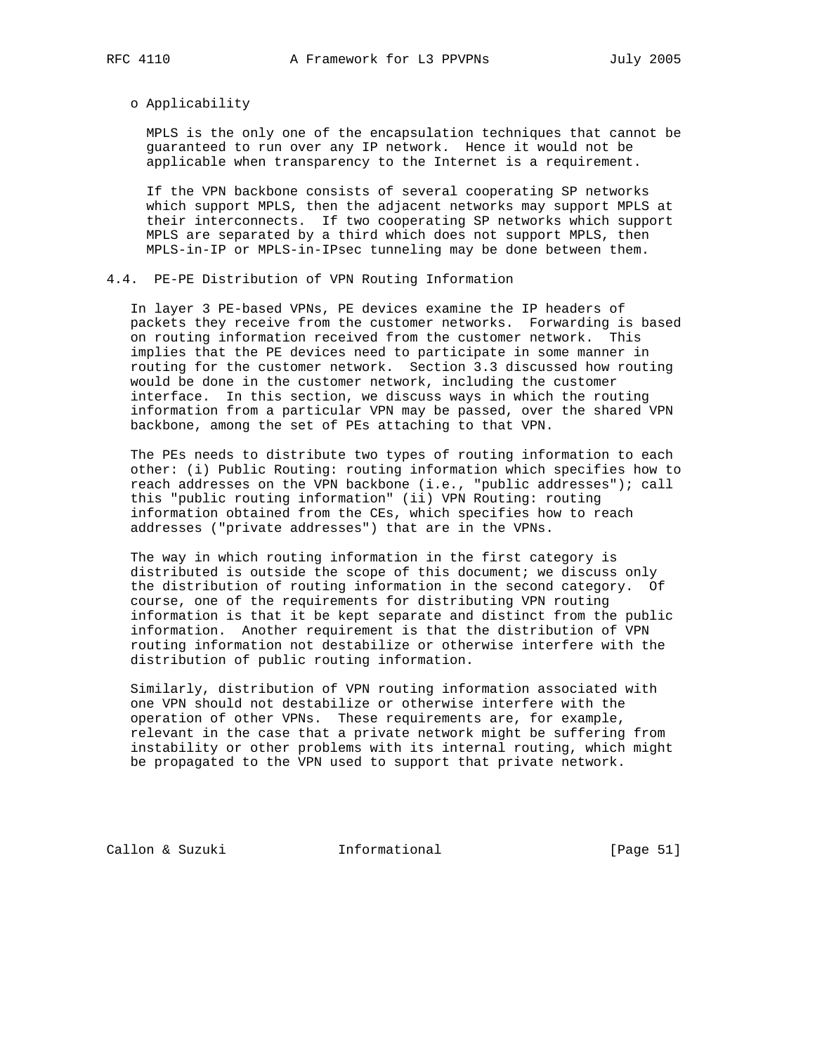### o Applicability

 MPLS is the only one of the encapsulation techniques that cannot be guaranteed to run over any IP network. Hence it would not be applicable when transparency to the Internet is a requirement.

 If the VPN backbone consists of several cooperating SP networks which support MPLS, then the adjacent networks may support MPLS at their interconnects. If two cooperating SP networks which support MPLS are separated by a third which does not support MPLS, then MPLS-in-IP or MPLS-in-IPsec tunneling may be done between them.

# 4.4. PE-PE Distribution of VPN Routing Information

 In layer 3 PE-based VPNs, PE devices examine the IP headers of packets they receive from the customer networks. Forwarding is based on routing information received from the customer network. This implies that the PE devices need to participate in some manner in routing for the customer network. Section 3.3 discussed how routing would be done in the customer network, including the customer interface. In this section, we discuss ways in which the routing information from a particular VPN may be passed, over the shared VPN backbone, among the set of PEs attaching to that VPN.

 The PEs needs to distribute two types of routing information to each other: (i) Public Routing: routing information which specifies how to reach addresses on the VPN backbone (i.e., "public addresses"); call this "public routing information" (ii) VPN Routing: routing information obtained from the CEs, which specifies how to reach addresses ("private addresses") that are in the VPNs.

 The way in which routing information in the first category is distributed is outside the scope of this document; we discuss only the distribution of routing information in the second category. Of course, one of the requirements for distributing VPN routing information is that it be kept separate and distinct from the public information. Another requirement is that the distribution of VPN routing information not destabilize or otherwise interfere with the distribution of public routing information.

 Similarly, distribution of VPN routing information associated with one VPN should not destabilize or otherwise interfere with the operation of other VPNs. These requirements are, for example, relevant in the case that a private network might be suffering from instability or other problems with its internal routing, which might be propagated to the VPN used to support that private network.

Callon & Suzuki **Informational** [Page 51]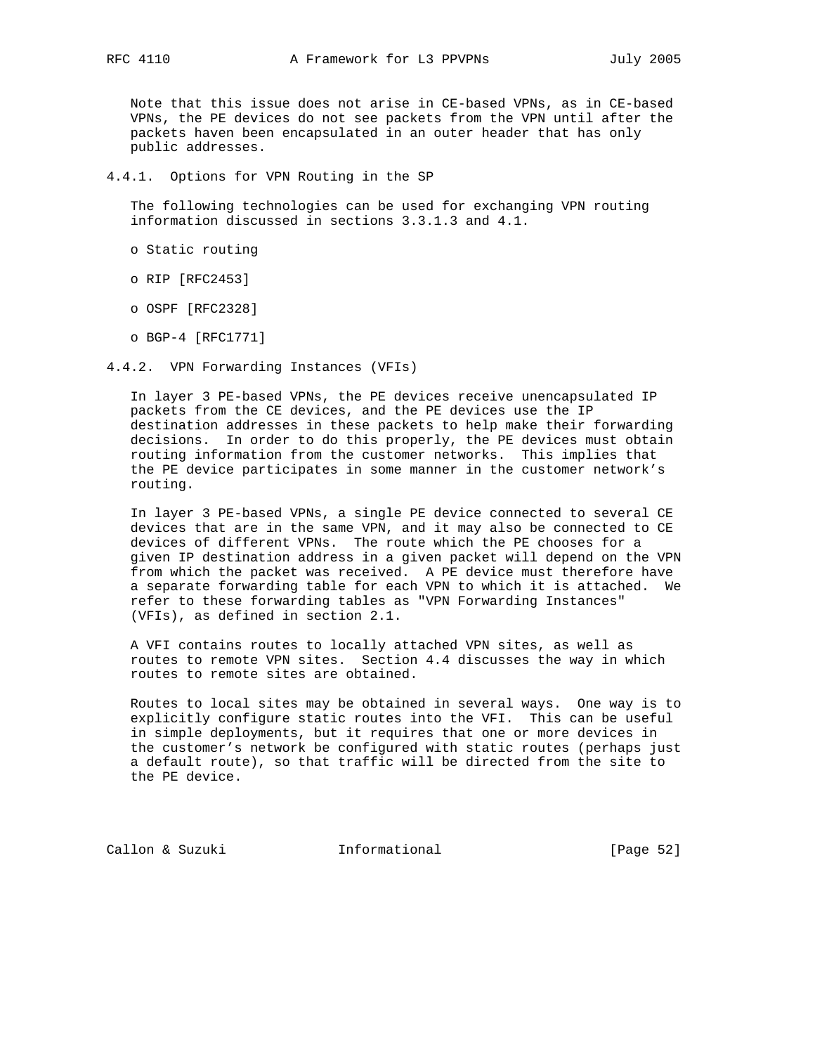Note that this issue does not arise in CE-based VPNs, as in CE-based VPNs, the PE devices do not see packets from the VPN until after the packets haven been encapsulated in an outer header that has only public addresses.

4.4.1. Options for VPN Routing in the SP

 The following technologies can be used for exchanging VPN routing information discussed in sections 3.3.1.3 and 4.1.

- o Static routing
- o RIP [RFC2453]
- o OSPF [RFC2328]
- o BGP-4 [RFC1771]
- 4.4.2. VPN Forwarding Instances (VFIs)

 In layer 3 PE-based VPNs, the PE devices receive unencapsulated IP packets from the CE devices, and the PE devices use the IP destination addresses in these packets to help make their forwarding decisions. In order to do this properly, the PE devices must obtain routing information from the customer networks. This implies that the PE device participates in some manner in the customer network's routing.

 In layer 3 PE-based VPNs, a single PE device connected to several CE devices that are in the same VPN, and it may also be connected to CE devices of different VPNs. The route which the PE chooses for a given IP destination address in a given packet will depend on the VPN from which the packet was received. A PE device must therefore have a separate forwarding table for each VPN to which it is attached. We refer to these forwarding tables as "VPN Forwarding Instances" (VFIs), as defined in section 2.1.

 A VFI contains routes to locally attached VPN sites, as well as routes to remote VPN sites. Section 4.4 discusses the way in which routes to remote sites are obtained.

 Routes to local sites may be obtained in several ways. One way is to explicitly configure static routes into the VFI. This can be useful in simple deployments, but it requires that one or more devices in the customer's network be configured with static routes (perhaps just a default route), so that traffic will be directed from the site to the PE device.

Callon & Suzuki Informational [Page 52]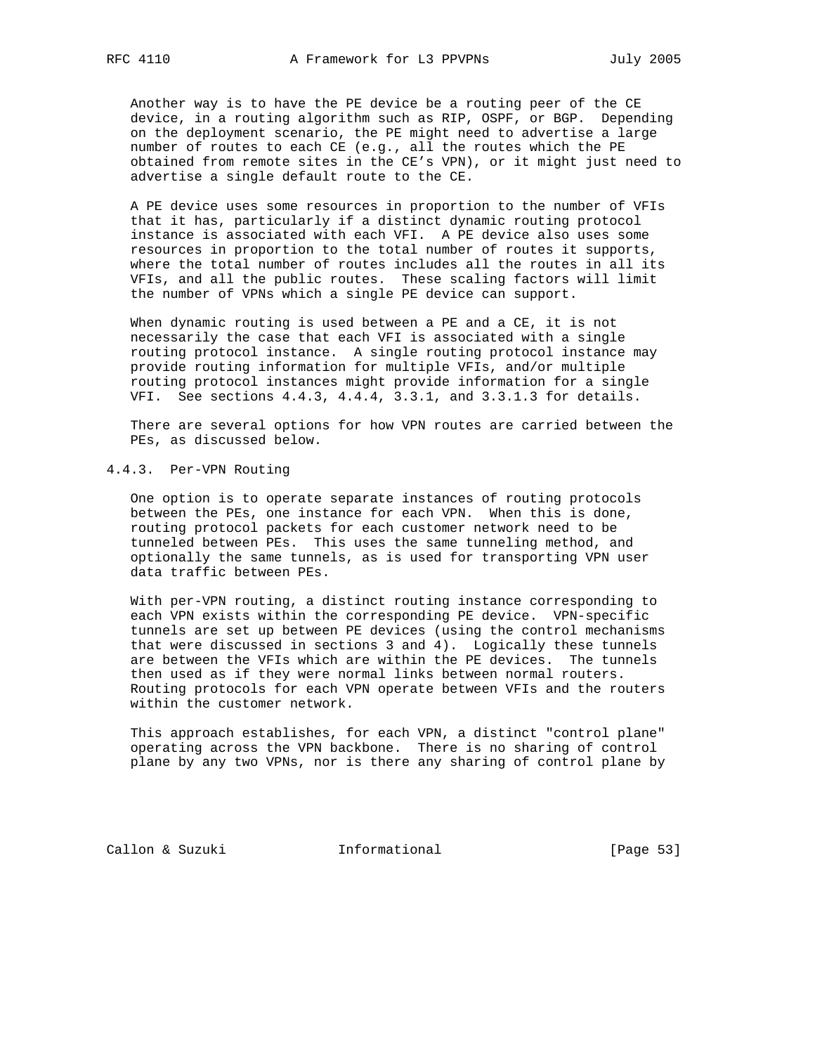Another way is to have the PE device be a routing peer of the CE device, in a routing algorithm such as RIP, OSPF, or BGP. Depending on the deployment scenario, the PE might need to advertise a large number of routes to each CE (e.g., all the routes which the PE obtained from remote sites in the CE's VPN), or it might just need to advertise a single default route to the CE.

 A PE device uses some resources in proportion to the number of VFIs that it has, particularly if a distinct dynamic routing protocol instance is associated with each VFI. A PE device also uses some resources in proportion to the total number of routes it supports, where the total number of routes includes all the routes in all its VFIs, and all the public routes. These scaling factors will limit the number of VPNs which a single PE device can support.

 When dynamic routing is used between a PE and a CE, it is not necessarily the case that each VFI is associated with a single routing protocol instance. A single routing protocol instance may provide routing information for multiple VFIs, and/or multiple routing protocol instances might provide information for a single VFI. See sections 4.4.3, 4.4.4, 3.3.1, and 3.3.1.3 for details.

 There are several options for how VPN routes are carried between the PEs, as discussed below.

# 4.4.3. Per-VPN Routing

 One option is to operate separate instances of routing protocols between the PEs, one instance for each VPN. When this is done, routing protocol packets for each customer network need to be tunneled between PEs. This uses the same tunneling method, and optionally the same tunnels, as is used for transporting VPN user data traffic between PEs.

 With per-VPN routing, a distinct routing instance corresponding to each VPN exists within the corresponding PE device. VPN-specific tunnels are set up between PE devices (using the control mechanisms that were discussed in sections 3 and 4). Logically these tunnels are between the VFIs which are within the PE devices. The tunnels then used as if they were normal links between normal routers. Routing protocols for each VPN operate between VFIs and the routers within the customer network.

 This approach establishes, for each VPN, a distinct "control plane" operating across the VPN backbone. There is no sharing of control plane by any two VPNs, nor is there any sharing of control plane by

Callon & Suzuki **Informational** [Page 53]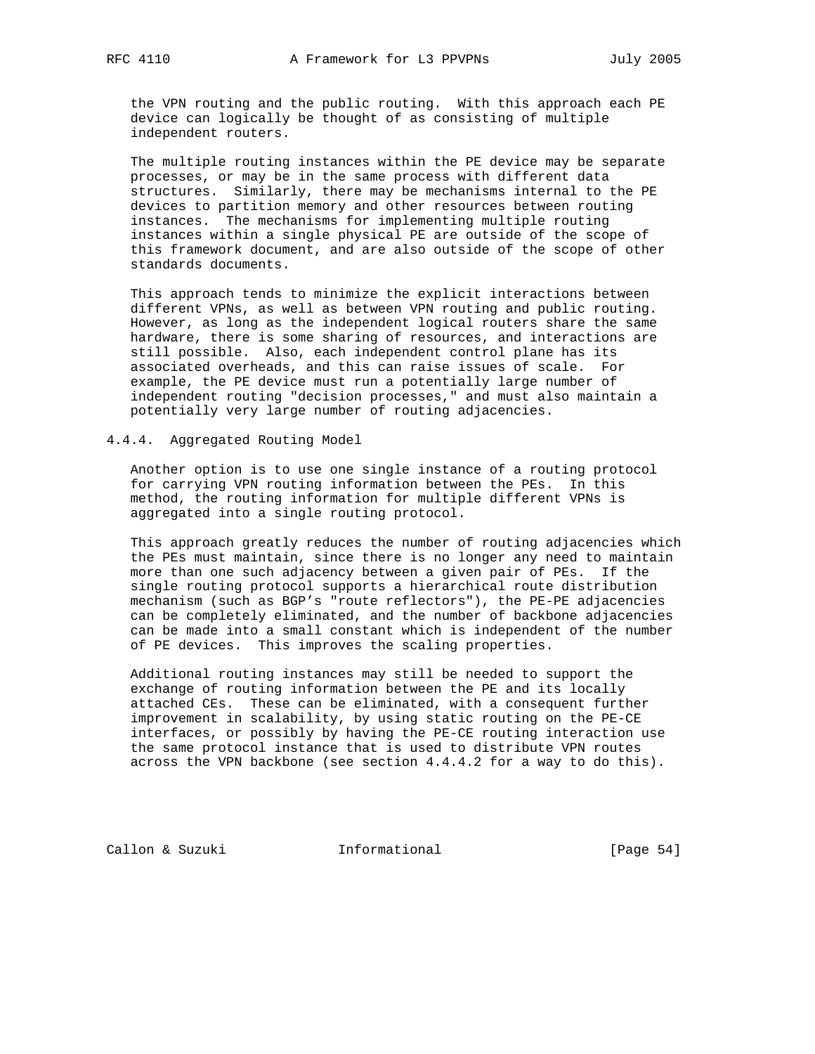the VPN routing and the public routing. With this approach each PE device can logically be thought of as consisting of multiple independent routers.

 The multiple routing instances within the PE device may be separate processes, or may be in the same process with different data structures. Similarly, there may be mechanisms internal to the PE devices to partition memory and other resources between routing instances. The mechanisms for implementing multiple routing instances within a single physical PE are outside of the scope of this framework document, and are also outside of the scope of other standards documents.

 This approach tends to minimize the explicit interactions between different VPNs, as well as between VPN routing and public routing. However, as long as the independent logical routers share the same hardware, there is some sharing of resources, and interactions are still possible. Also, each independent control plane has its associated overheads, and this can raise issues of scale. For example, the PE device must run a potentially large number of independent routing "decision processes," and must also maintain a potentially very large number of routing adjacencies.

4.4.4. Aggregated Routing Model

 Another option is to use one single instance of a routing protocol for carrying VPN routing information between the PEs. In this method, the routing information for multiple different VPNs is aggregated into a single routing protocol.

 This approach greatly reduces the number of routing adjacencies which the PEs must maintain, since there is no longer any need to maintain more than one such adjacency between a given pair of PEs. If the single routing protocol supports a hierarchical route distribution mechanism (such as BGP's "route reflectors"), the PE-PE adjacencies can be completely eliminated, and the number of backbone adjacencies can be made into a small constant which is independent of the number of PE devices. This improves the scaling properties.

 Additional routing instances may still be needed to support the exchange of routing information between the PE and its locally attached CEs. These can be eliminated, with a consequent further improvement in scalability, by using static routing on the PE-CE interfaces, or possibly by having the PE-CE routing interaction use the same protocol instance that is used to distribute VPN routes across the VPN backbone (see section 4.4.4.2 for a way to do this).

Callon & Suzuki **Informational** [Page 54]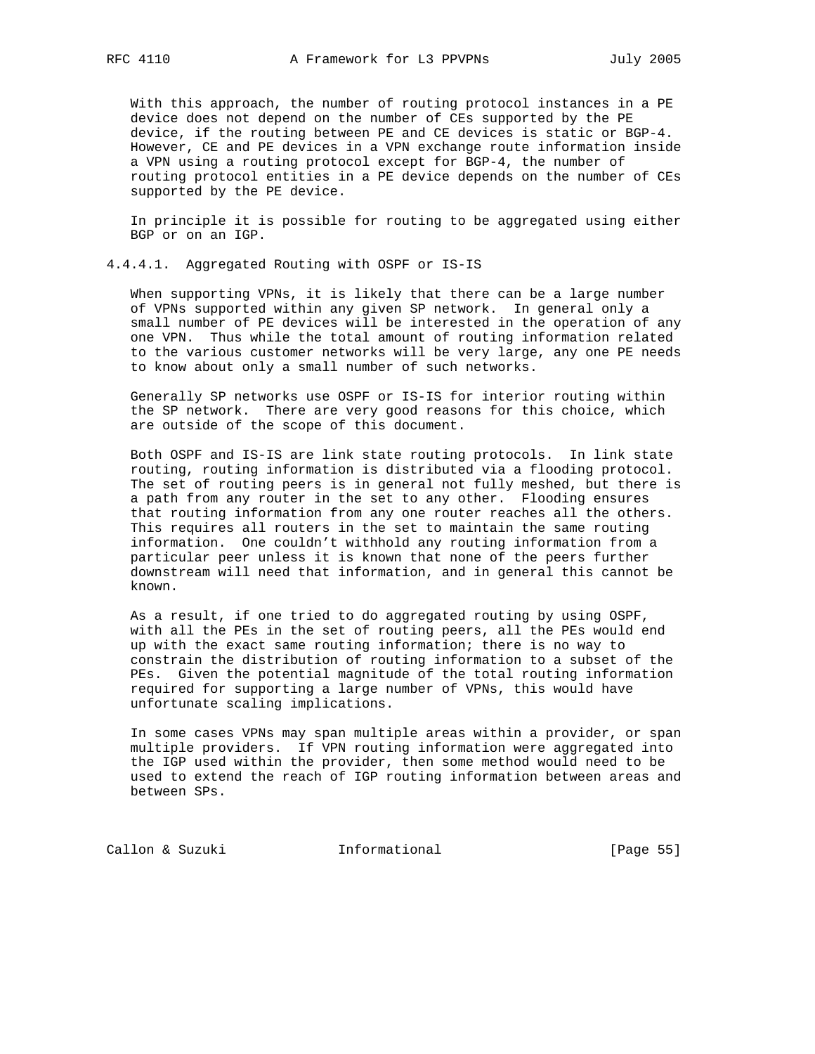With this approach, the number of routing protocol instances in a PE device does not depend on the number of CEs supported by the PE device, if the routing between PE and CE devices is static or BGP-4. However, CE and PE devices in a VPN exchange route information inside a VPN using a routing protocol except for BGP-4, the number of routing protocol entities in a PE device depends on the number of CEs supported by the PE device.

 In principle it is possible for routing to be aggregated using either BGP or on an IGP.

## 4.4.4.1. Aggregated Routing with OSPF or IS-IS

 When supporting VPNs, it is likely that there can be a large number of VPNs supported within any given SP network. In general only a small number of PE devices will be interested in the operation of any one VPN. Thus while the total amount of routing information related to the various customer networks will be very large, any one PE needs to know about only a small number of such networks.

 Generally SP networks use OSPF or IS-IS for interior routing within the SP network. There are very good reasons for this choice, which are outside of the scope of this document.

 Both OSPF and IS-IS are link state routing protocols. In link state routing, routing information is distributed via a flooding protocol. The set of routing peers is in general not fully meshed, but there is a path from any router in the set to any other. Flooding ensures that routing information from any one router reaches all the others. This requires all routers in the set to maintain the same routing information. One couldn't withhold any routing information from a particular peer unless it is known that none of the peers further downstream will need that information, and in general this cannot be known.

 As a result, if one tried to do aggregated routing by using OSPF, with all the PEs in the set of routing peers, all the PEs would end up with the exact same routing information; there is no way to constrain the distribution of routing information to a subset of the PEs. Given the potential magnitude of the total routing information required for supporting a large number of VPNs, this would have unfortunate scaling implications.

 In some cases VPNs may span multiple areas within a provider, or span multiple providers. If VPN routing information were aggregated into the IGP used within the provider, then some method would need to be used to extend the reach of IGP routing information between areas and between SPs.

Callon & Suzuki **Informational** [Page 55]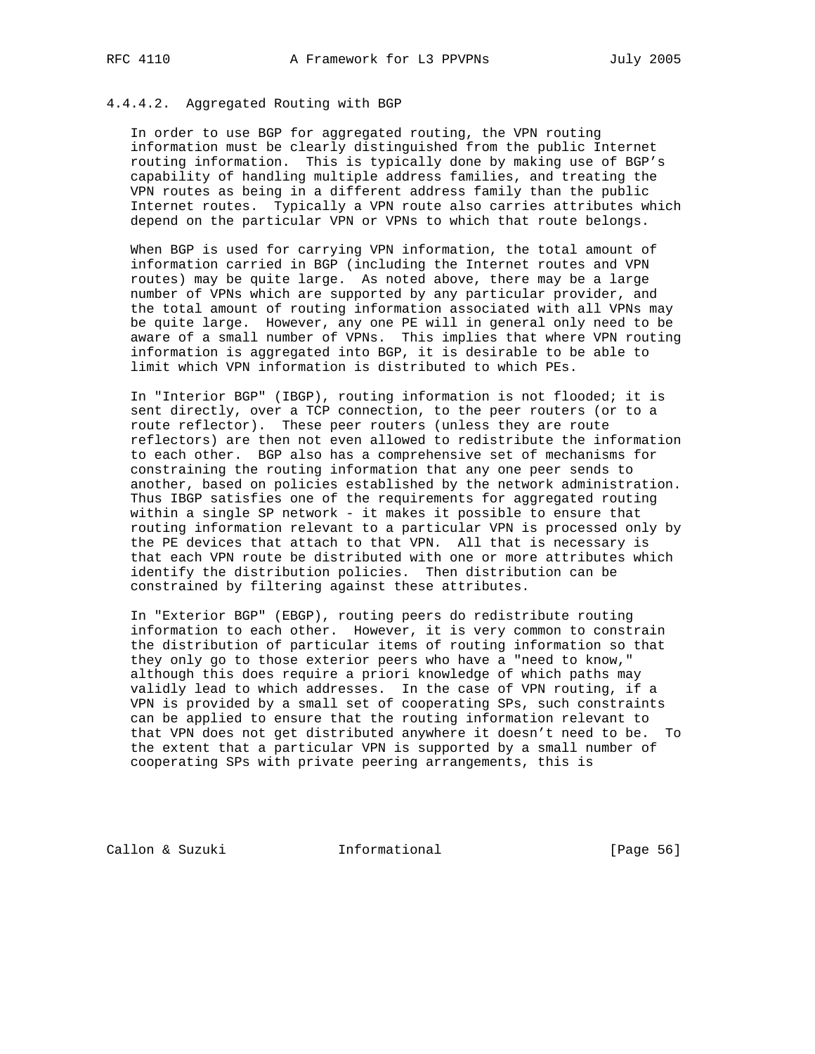## 4.4.4.2. Aggregated Routing with BGP

 In order to use BGP for aggregated routing, the VPN routing information must be clearly distinguished from the public Internet routing information. This is typically done by making use of BGP's capability of handling multiple address families, and treating the VPN routes as being in a different address family than the public Internet routes. Typically a VPN route also carries attributes which depend on the particular VPN or VPNs to which that route belongs.

 When BGP is used for carrying VPN information, the total amount of information carried in BGP (including the Internet routes and VPN routes) may be quite large. As noted above, there may be a large number of VPNs which are supported by any particular provider, and the total amount of routing information associated with all VPNs may be quite large. However, any one PE will in general only need to be aware of a small number of VPNs. This implies that where VPN routing information is aggregated into BGP, it is desirable to be able to limit which VPN information is distributed to which PEs.

 In "Interior BGP" (IBGP), routing information is not flooded; it is sent directly, over a TCP connection, to the peer routers (or to a route reflector). These peer routers (unless they are route reflectors) are then not even allowed to redistribute the information to each other. BGP also has a comprehensive set of mechanisms for constraining the routing information that any one peer sends to another, based on policies established by the network administration. Thus IBGP satisfies one of the requirements for aggregated routing within a single SP network - it makes it possible to ensure that routing information relevant to a particular VPN is processed only by the PE devices that attach to that VPN. All that is necessary is that each VPN route be distributed with one or more attributes which identify the distribution policies. Then distribution can be constrained by filtering against these attributes.

 In "Exterior BGP" (EBGP), routing peers do redistribute routing information to each other. However, it is very common to constrain the distribution of particular items of routing information so that they only go to those exterior peers who have a "need to know," although this does require a priori knowledge of which paths may validly lead to which addresses. In the case of VPN routing, if a VPN is provided by a small set of cooperating SPs, such constraints can be applied to ensure that the routing information relevant to that VPN does not get distributed anywhere it doesn't need to be. To the extent that a particular VPN is supported by a small number of cooperating SPs with private peering arrangements, this is

Callon & Suzuki **Informational** [Page 56]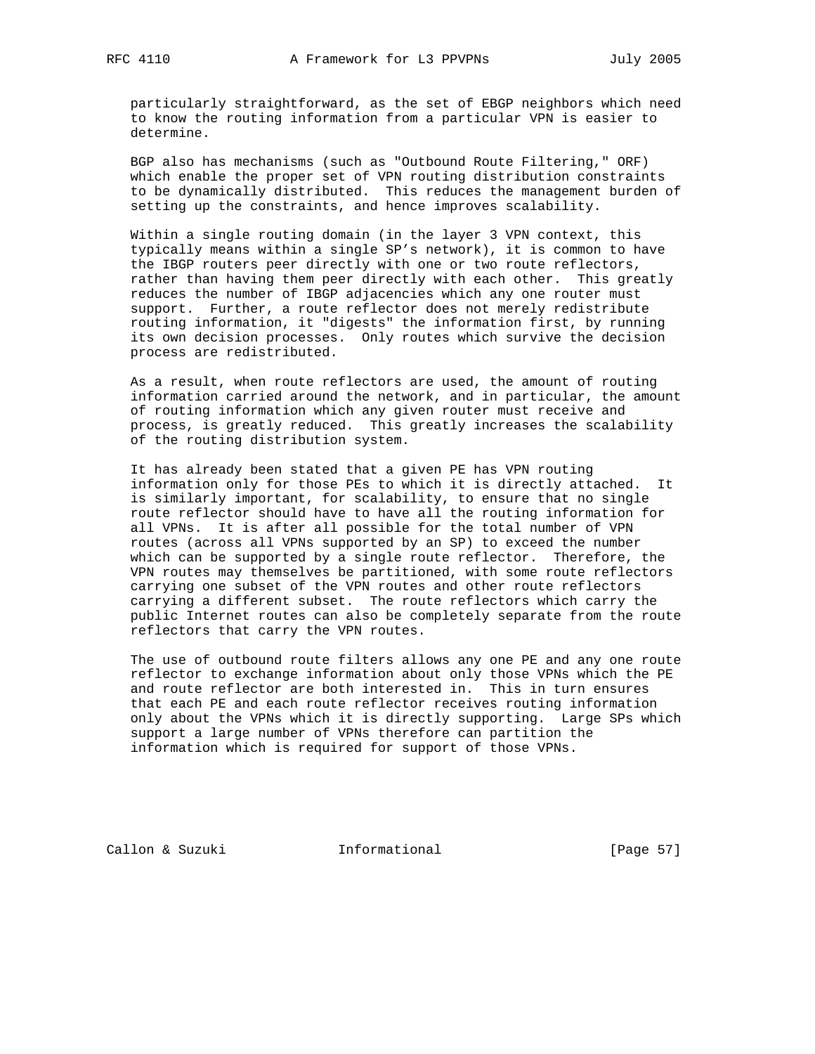particularly straightforward, as the set of EBGP neighbors which need to know the routing information from a particular VPN is easier to determine.

 BGP also has mechanisms (such as "Outbound Route Filtering," ORF) which enable the proper set of VPN routing distribution constraints to be dynamically distributed. This reduces the management burden of setting up the constraints, and hence improves scalability.

 Within a single routing domain (in the layer 3 VPN context, this typically means within a single SP's network), it is common to have the IBGP routers peer directly with one or two route reflectors, rather than having them peer directly with each other. This greatly reduces the number of IBGP adjacencies which any one router must support. Further, a route reflector does not merely redistribute routing information, it "digests" the information first, by running its own decision processes. Only routes which survive the decision process are redistributed.

 As a result, when route reflectors are used, the amount of routing information carried around the network, and in particular, the amount of routing information which any given router must receive and process, is greatly reduced. This greatly increases the scalability of the routing distribution system.

 It has already been stated that a given PE has VPN routing information only for those PEs to which it is directly attached. It is similarly important, for scalability, to ensure that no single route reflector should have to have all the routing information for all VPNs. It is after all possible for the total number of VPN routes (across all VPNs supported by an SP) to exceed the number which can be supported by a single route reflector. Therefore, the VPN routes may themselves be partitioned, with some route reflectors carrying one subset of the VPN routes and other route reflectors carrying a different subset. The route reflectors which carry the public Internet routes can also be completely separate from the route reflectors that carry the VPN routes.

 The use of outbound route filters allows any one PE and any one route reflector to exchange information about only those VPNs which the PE and route reflector are both interested in. This in turn ensures that each PE and each route reflector receives routing information only about the VPNs which it is directly supporting. Large SPs which support a large number of VPNs therefore can partition the information which is required for support of those VPNs.

Callon & Suzuki Informational [Page 57]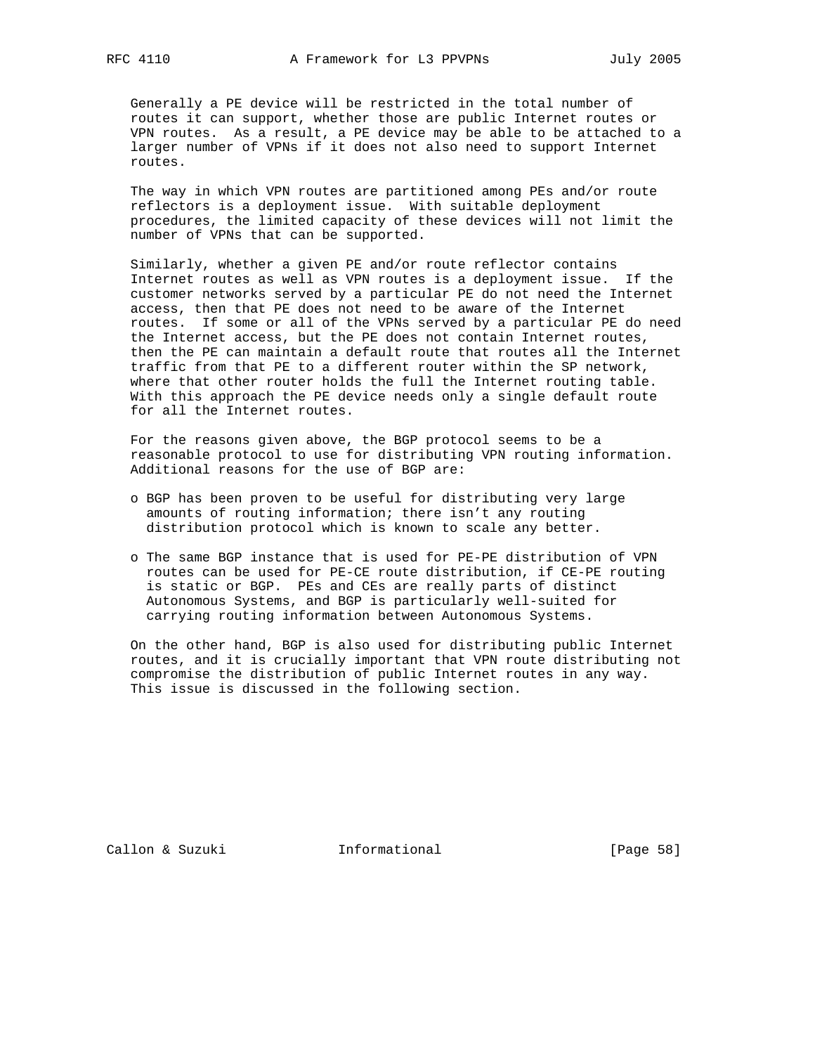Generally a PE device will be restricted in the total number of routes it can support, whether those are public Internet routes or VPN routes. As a result, a PE device may be able to be attached to a larger number of VPNs if it does not also need to support Internet routes.

 The way in which VPN routes are partitioned among PEs and/or route reflectors is a deployment issue. With suitable deployment procedures, the limited capacity of these devices will not limit the number of VPNs that can be supported.

 Similarly, whether a given PE and/or route reflector contains Internet routes as well as VPN routes is a deployment issue. If the customer networks served by a particular PE do not need the Internet access, then that PE does not need to be aware of the Internet routes. If some or all of the VPNs served by a particular PE do need the Internet access, but the PE does not contain Internet routes, then the PE can maintain a default route that routes all the Internet traffic from that PE to a different router within the SP network, where that other router holds the full the Internet routing table. With this approach the PE device needs only a single default route for all the Internet routes.

 For the reasons given above, the BGP protocol seems to be a reasonable protocol to use for distributing VPN routing information. Additional reasons for the use of BGP are:

- o BGP has been proven to be useful for distributing very large amounts of routing information; there isn't any routing distribution protocol which is known to scale any better.
- o The same BGP instance that is used for PE-PE distribution of VPN routes can be used for PE-CE route distribution, if CE-PE routing is static or BGP. PEs and CEs are really parts of distinct Autonomous Systems, and BGP is particularly well-suited for carrying routing information between Autonomous Systems.

 On the other hand, BGP is also used for distributing public Internet routes, and it is crucially important that VPN route distributing not compromise the distribution of public Internet routes in any way. This issue is discussed in the following section.

Callon & Suzuki **Informational** [Page 58]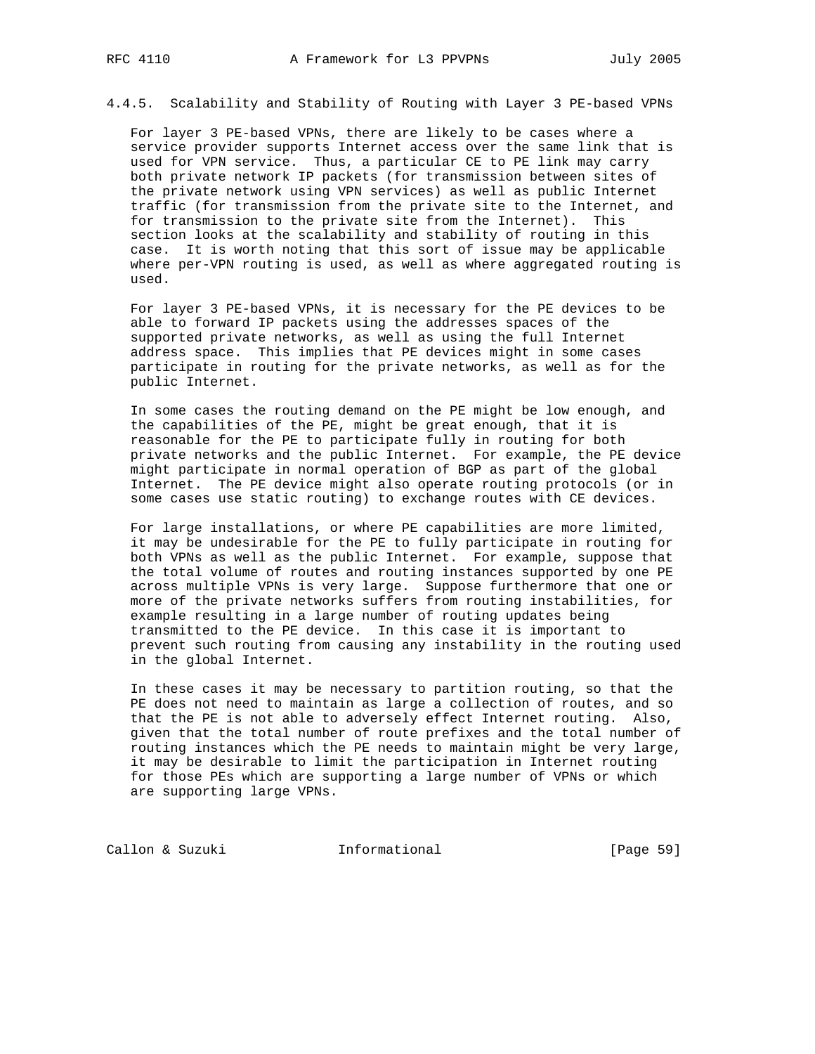4.4.5. Scalability and Stability of Routing with Layer 3 PE-based VPNs

 For layer 3 PE-based VPNs, there are likely to be cases where a service provider supports Internet access over the same link that is used for VPN service. Thus, a particular CE to PE link may carry both private network IP packets (for transmission between sites of the private network using VPN services) as well as public Internet traffic (for transmission from the private site to the Internet, and for transmission to the private site from the Internet). This section looks at the scalability and stability of routing in this case. It is worth noting that this sort of issue may be applicable where per-VPN routing is used, as well as where aggregated routing is used.

 For layer 3 PE-based VPNs, it is necessary for the PE devices to be able to forward IP packets using the addresses spaces of the supported private networks, as well as using the full Internet address space. This implies that PE devices might in some cases participate in routing for the private networks, as well as for the public Internet.

 In some cases the routing demand on the PE might be low enough, and the capabilities of the PE, might be great enough, that it is reasonable for the PE to participate fully in routing for both private networks and the public Internet. For example, the PE device might participate in normal operation of BGP as part of the global Internet. The PE device might also operate routing protocols (or in some cases use static routing) to exchange routes with CE devices.

 For large installations, or where PE capabilities are more limited, it may be undesirable for the PE to fully participate in routing for both VPNs as well as the public Internet. For example, suppose that the total volume of routes and routing instances supported by one PE across multiple VPNs is very large. Suppose furthermore that one or more of the private networks suffers from routing instabilities, for example resulting in a large number of routing updates being transmitted to the PE device. In this case it is important to prevent such routing from causing any instability in the routing used in the global Internet.

 In these cases it may be necessary to partition routing, so that the PE does not need to maintain as large a collection of routes, and so that the PE is not able to adversely effect Internet routing. Also, given that the total number of route prefixes and the total number of routing instances which the PE needs to maintain might be very large, it may be desirable to limit the participation in Internet routing for those PEs which are supporting a large number of VPNs or which are supporting large VPNs.

Callon & Suzuki **Informational** [Page 59]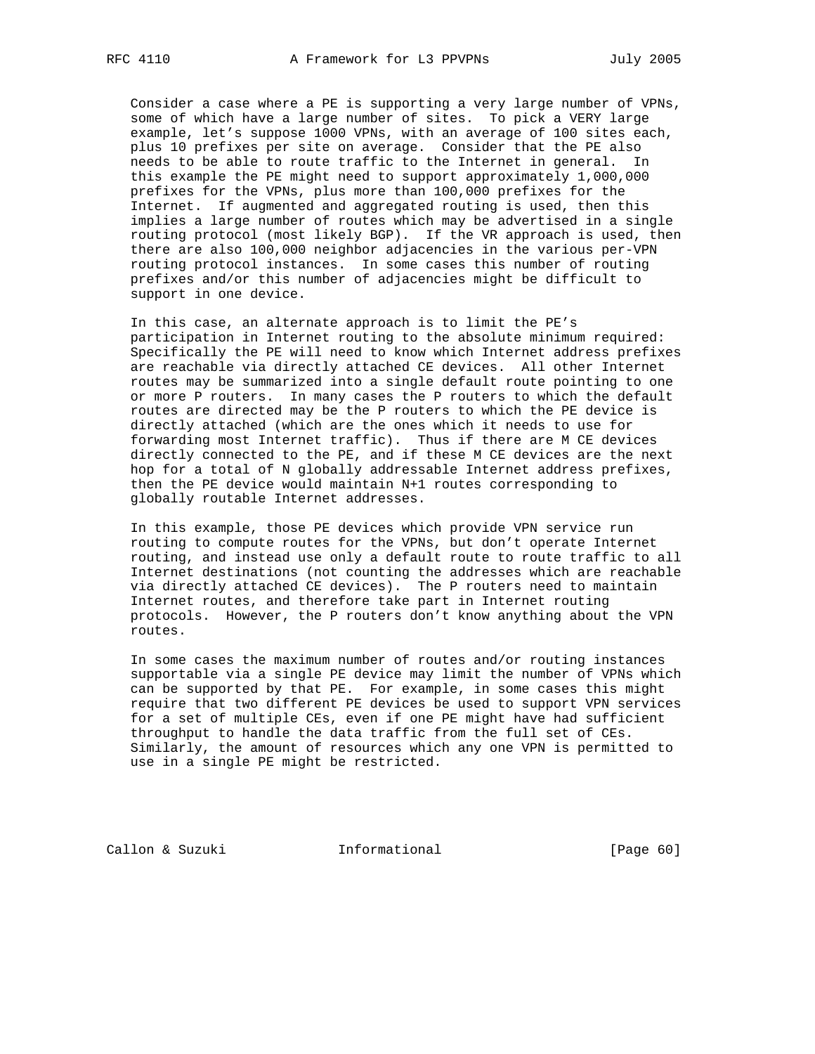Consider a case where a PE is supporting a very large number of VPNs, some of which have a large number of sites. To pick a VERY large example, let's suppose 1000 VPNs, with an average of 100 sites each, plus 10 prefixes per site on average. Consider that the PE also needs to be able to route traffic to the Internet in general. In this example the PE might need to support approximately 1,000,000 prefixes for the VPNs, plus more than 100,000 prefixes for the Internet. If augmented and aggregated routing is used, then this implies a large number of routes which may be advertised in a single routing protocol (most likely BGP). If the VR approach is used, then there are also 100,000 neighbor adjacencies in the various per-VPN routing protocol instances. In some cases this number of routing prefixes and/or this number of adjacencies might be difficult to support in one device.

 In this case, an alternate approach is to limit the PE's participation in Internet routing to the absolute minimum required: Specifically the PE will need to know which Internet address prefixes are reachable via directly attached CE devices. All other Internet routes may be summarized into a single default route pointing to one or more P routers. In many cases the P routers to which the default routes are directed may be the P routers to which the PE device is directly attached (which are the ones which it needs to use for forwarding most Internet traffic). Thus if there are M CE devices directly connected to the PE, and if these M CE devices are the next hop for a total of N globally addressable Internet address prefixes, then the PE device would maintain N+1 routes corresponding to globally routable Internet addresses.

 In this example, those PE devices which provide VPN service run routing to compute routes for the VPNs, but don't operate Internet routing, and instead use only a default route to route traffic to all Internet destinations (not counting the addresses which are reachable via directly attached CE devices). The P routers need to maintain Internet routes, and therefore take part in Internet routing protocols. However, the P routers don't know anything about the VPN routes.

 In some cases the maximum number of routes and/or routing instances supportable via a single PE device may limit the number of VPNs which can be supported by that PE. For example, in some cases this might require that two different PE devices be used to support VPN services for a set of multiple CEs, even if one PE might have had sufficient throughput to handle the data traffic from the full set of CEs. Similarly, the amount of resources which any one VPN is permitted to use in a single PE might be restricted.

Callon & Suzuki **Informational** [Page 60]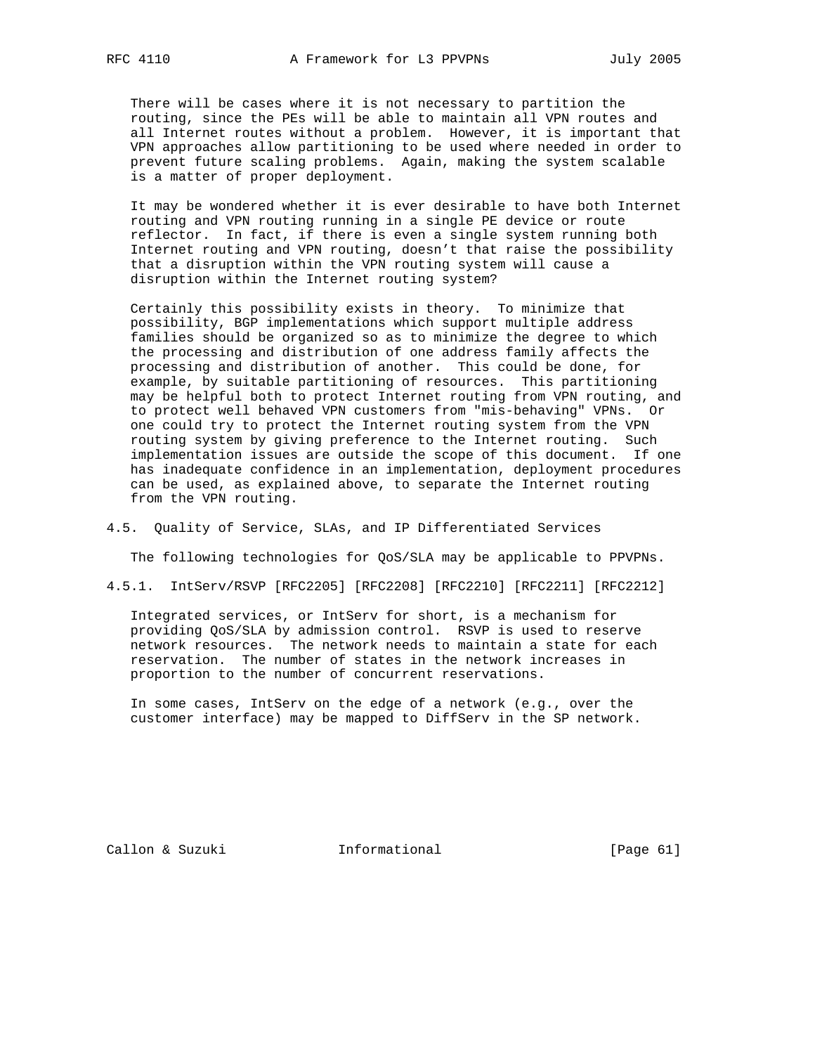There will be cases where it is not necessary to partition the routing, since the PEs will be able to maintain all VPN routes and all Internet routes without a problem. However, it is important that VPN approaches allow partitioning to be used where needed in order to prevent future scaling problems. Again, making the system scalable is a matter of proper deployment.

 It may be wondered whether it is ever desirable to have both Internet routing and VPN routing running in a single PE device or route reflector. In fact, if there is even a single system running both Internet routing and VPN routing, doesn't that raise the possibility that a disruption within the VPN routing system will cause a disruption within the Internet routing system?

 Certainly this possibility exists in theory. To minimize that possibility, BGP implementations which support multiple address families should be organized so as to minimize the degree to which the processing and distribution of one address family affects the processing and distribution of another. This could be done, for example, by suitable partitioning of resources. This partitioning may be helpful both to protect Internet routing from VPN routing, and to protect well behaved VPN customers from "mis-behaving" VPNs. Or one could try to protect the Internet routing system from the VPN routing system by giving preference to the Internet routing. Such implementation issues are outside the scope of this document. If one has inadequate confidence in an implementation, deployment procedures can be used, as explained above, to separate the Internet routing from the VPN routing.

# 4.5. Quality of Service, SLAs, and IP Differentiated Services

The following technologies for QoS/SLA may be applicable to PPVPNs.

4.5.1. IntServ/RSVP [RFC2205] [RFC2208] [RFC2210] [RFC2211] [RFC2212]

 Integrated services, or IntServ for short, is a mechanism for providing QoS/SLA by admission control. RSVP is used to reserve network resources. The network needs to maintain a state for each reservation. The number of states in the network increases in proportion to the number of concurrent reservations.

 In some cases, IntServ on the edge of a network (e.g., over the customer interface) may be mapped to DiffServ in the SP network.

Callon & Suzuki **Informational** [Page 61]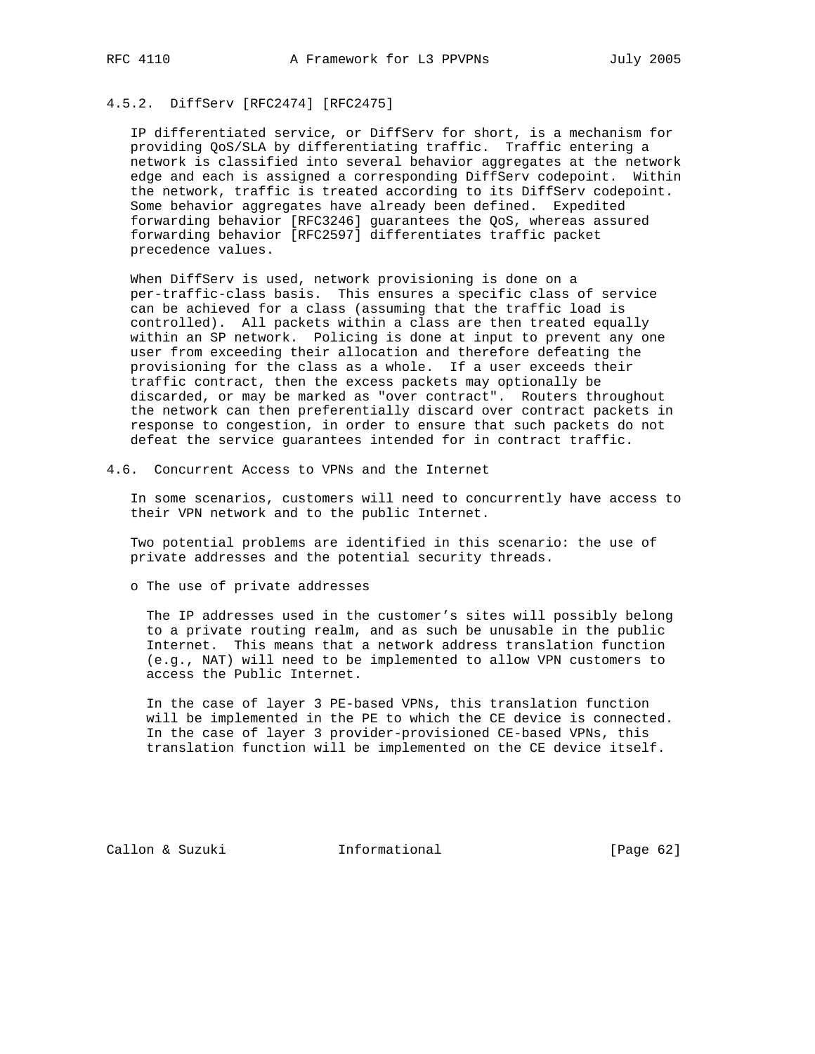# 4.5.2. DiffServ [RFC2474] [RFC2475]

 IP differentiated service, or DiffServ for short, is a mechanism for providing QoS/SLA by differentiating traffic. Traffic entering a network is classified into several behavior aggregates at the network edge and each is assigned a corresponding DiffServ codepoint. Within the network, traffic is treated according to its DiffServ codepoint. Some behavior aggregates have already been defined. Expedited forwarding behavior [RFC3246] guarantees the QoS, whereas assured forwarding behavior [RFC2597] differentiates traffic packet precedence values.

 When DiffServ is used, network provisioning is done on a per-traffic-class basis. This ensures a specific class of service can be achieved for a class (assuming that the traffic load is controlled). All packets within a class are then treated equally within an SP network. Policing is done at input to prevent any one user from exceeding their allocation and therefore defeating the provisioning for the class as a whole. If a user exceeds their traffic contract, then the excess packets may optionally be discarded, or may be marked as "over contract". Routers throughout the network can then preferentially discard over contract packets in response to congestion, in order to ensure that such packets do not defeat the service guarantees intended for in contract traffic.

4.6. Concurrent Access to VPNs and the Internet

 In some scenarios, customers will need to concurrently have access to their VPN network and to the public Internet.

 Two potential problems are identified in this scenario: the use of private addresses and the potential security threads.

o The use of private addresses

 The IP addresses used in the customer's sites will possibly belong to a private routing realm, and as such be unusable in the public Internet. This means that a network address translation function (e.g., NAT) will need to be implemented to allow VPN customers to access the Public Internet.

 In the case of layer 3 PE-based VPNs, this translation function will be implemented in the PE to which the CE device is connected. In the case of layer 3 provider-provisioned CE-based VPNs, this translation function will be implemented on the CE device itself.

Callon & Suzuki Informational [Page 62]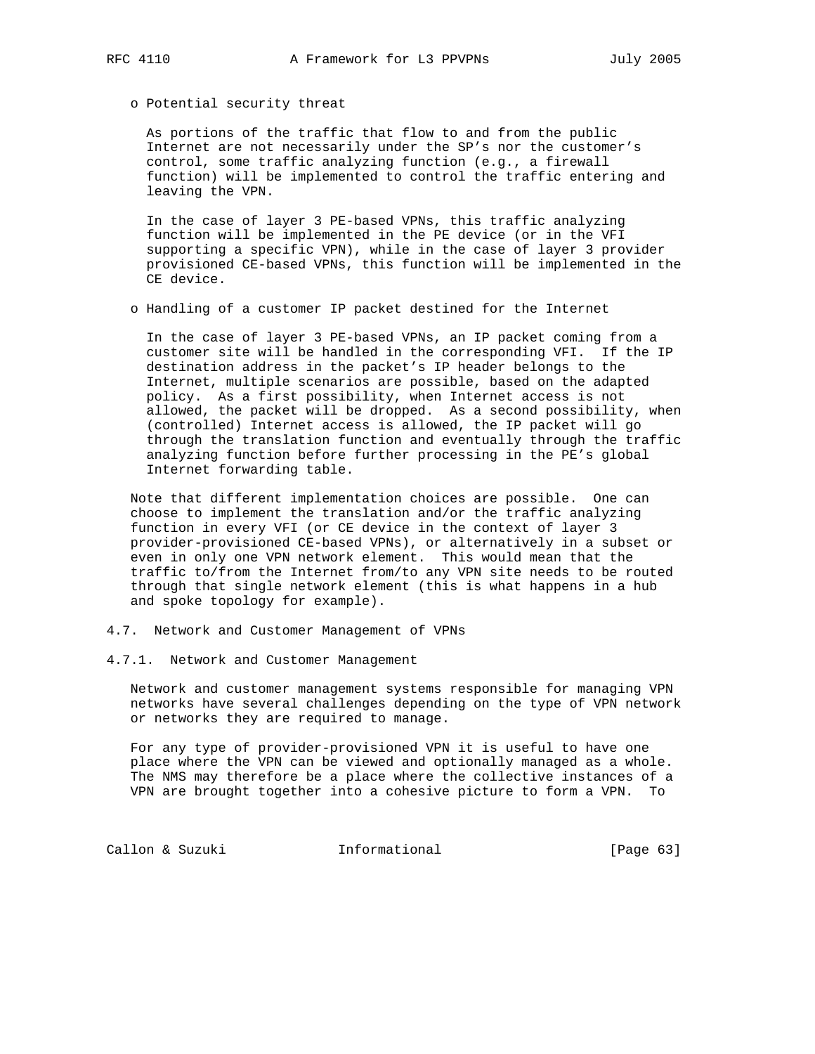o Potential security threat

 As portions of the traffic that flow to and from the public Internet are not necessarily under the SP's nor the customer's control, some traffic analyzing function (e.g., a firewall function) will be implemented to control the traffic entering and leaving the VPN.

 In the case of layer 3 PE-based VPNs, this traffic analyzing function will be implemented in the PE device (or in the VFI supporting a specific VPN), while in the case of layer 3 provider provisioned CE-based VPNs, this function will be implemented in the CE device.

o Handling of a customer IP packet destined for the Internet

 In the case of layer 3 PE-based VPNs, an IP packet coming from a customer site will be handled in the corresponding VFI. If the IP destination address in the packet's IP header belongs to the Internet, multiple scenarios are possible, based on the adapted policy. As a first possibility, when Internet access is not allowed, the packet will be dropped. As a second possibility, when (controlled) Internet access is allowed, the IP packet will go through the translation function and eventually through the traffic analyzing function before further processing in the PE's global Internet forwarding table.

 Note that different implementation choices are possible. One can choose to implement the translation and/or the traffic analyzing function in every VFI (or CE device in the context of layer 3 provider-provisioned CE-based VPNs), or alternatively in a subset or even in only one VPN network element. This would mean that the traffic to/from the Internet from/to any VPN site needs to be routed through that single network element (this is what happens in a hub and spoke topology for example).

- 4.7. Network and Customer Management of VPNs
- 4.7.1. Network and Customer Management

 Network and customer management systems responsible for managing VPN networks have several challenges depending on the type of VPN network or networks they are required to manage.

 For any type of provider-provisioned VPN it is useful to have one place where the VPN can be viewed and optionally managed as a whole. The NMS may therefore be a place where the collective instances of a VPN are brought together into a cohesive picture to form a VPN. To

Callon & Suzuki **Informational** [Page 63]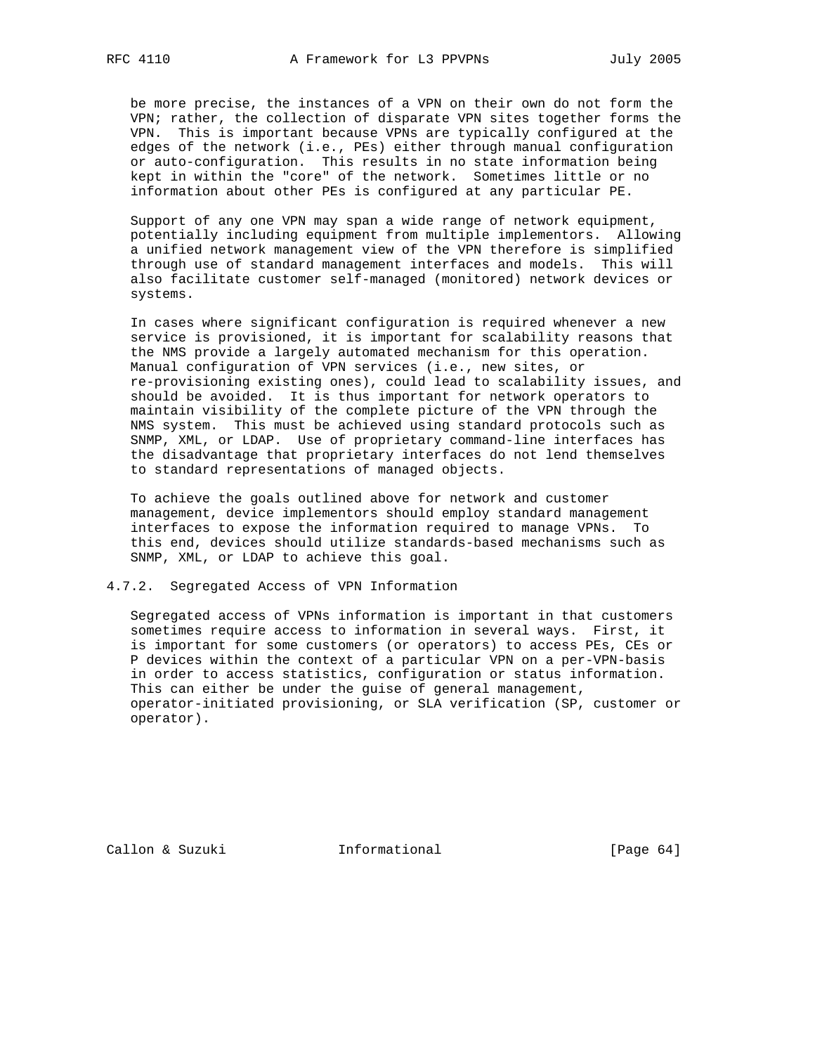be more precise, the instances of a VPN on their own do not form the VPN; rather, the collection of disparate VPN sites together forms the VPN. This is important because VPNs are typically configured at the edges of the network (i.e., PEs) either through manual configuration or auto-configuration. This results in no state information being kept in within the "core" of the network. Sometimes little or no information about other PEs is configured at any particular PE.

 Support of any one VPN may span a wide range of network equipment, potentially including equipment from multiple implementors. Allowing a unified network management view of the VPN therefore is simplified through use of standard management interfaces and models. This will also facilitate customer self-managed (monitored) network devices or systems.

 In cases where significant configuration is required whenever a new service is provisioned, it is important for scalability reasons that the NMS provide a largely automated mechanism for this operation. Manual configuration of VPN services (i.e., new sites, or re-provisioning existing ones), could lead to scalability issues, and should be avoided. It is thus important for network operators to maintain visibility of the complete picture of the VPN through the NMS system. This must be achieved using standard protocols such as SNMP, XML, or LDAP. Use of proprietary command-line interfaces has the disadvantage that proprietary interfaces do not lend themselves to standard representations of managed objects.

 To achieve the goals outlined above for network and customer management, device implementors should employ standard management interfaces to expose the information required to manage VPNs. To this end, devices should utilize standards-based mechanisms such as SNMP, XML, or LDAP to achieve this goal.

4.7.2. Segregated Access of VPN Information

 Segregated access of VPNs information is important in that customers sometimes require access to information in several ways. First, it is important for some customers (or operators) to access PEs, CEs or P devices within the context of a particular VPN on a per-VPN-basis in order to access statistics, configuration or status information. This can either be under the guise of general management, operator-initiated provisioning, or SLA verification (SP, customer or operator).

Callon & Suzuki Informational [Page 64]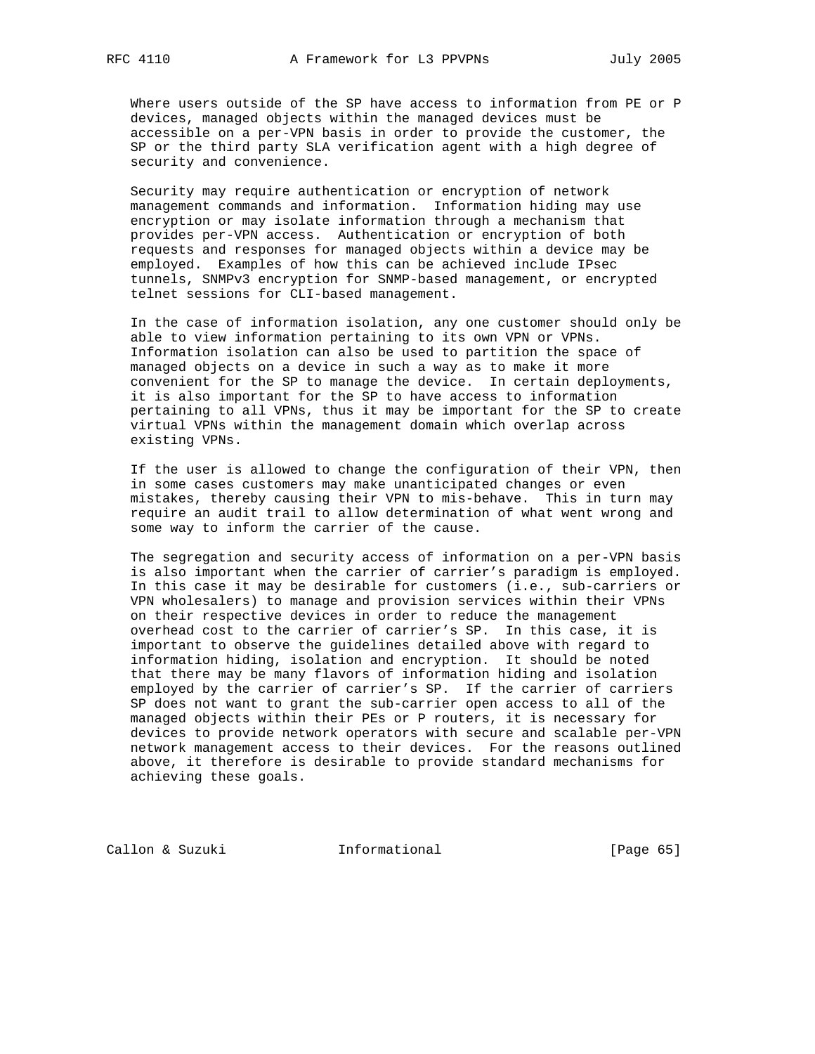Where users outside of the SP have access to information from PE or P devices, managed objects within the managed devices must be accessible on a per-VPN basis in order to provide the customer, the SP or the third party SLA verification agent with a high degree of security and convenience.

 Security may require authentication or encryption of network management commands and information. Information hiding may use encryption or may isolate information through a mechanism that provides per-VPN access. Authentication or encryption of both requests and responses for managed objects within a device may be employed. Examples of how this can be achieved include IPsec tunnels, SNMPv3 encryption for SNMP-based management, or encrypted telnet sessions for CLI-based management.

 In the case of information isolation, any one customer should only be able to view information pertaining to its own VPN or VPNs. Information isolation can also be used to partition the space of managed objects on a device in such a way as to make it more convenient for the SP to manage the device. In certain deployments, it is also important for the SP to have access to information pertaining to all VPNs, thus it may be important for the SP to create virtual VPNs within the management domain which overlap across existing VPNs.

 If the user is allowed to change the configuration of their VPN, then in some cases customers may make unanticipated changes or even mistakes, thereby causing their VPN to mis-behave. This in turn may require an audit trail to allow determination of what went wrong and some way to inform the carrier of the cause.

 The segregation and security access of information on a per-VPN basis is also important when the carrier of carrier's paradigm is employed. In this case it may be desirable for customers (i.e., sub-carriers or VPN wholesalers) to manage and provision services within their VPNs on their respective devices in order to reduce the management overhead cost to the carrier of carrier's SP. In this case, it is important to observe the guidelines detailed above with regard to information hiding, isolation and encryption. It should be noted that there may be many flavors of information hiding and isolation employed by the carrier of carrier's SP. If the carrier of carriers SP does not want to grant the sub-carrier open access to all of the managed objects within their PEs or P routers, it is necessary for devices to provide network operators with secure and scalable per-VPN network management access to their devices. For the reasons outlined above, it therefore is desirable to provide standard mechanisms for achieving these goals.

Callon & Suzuki **Informational** [Page 65]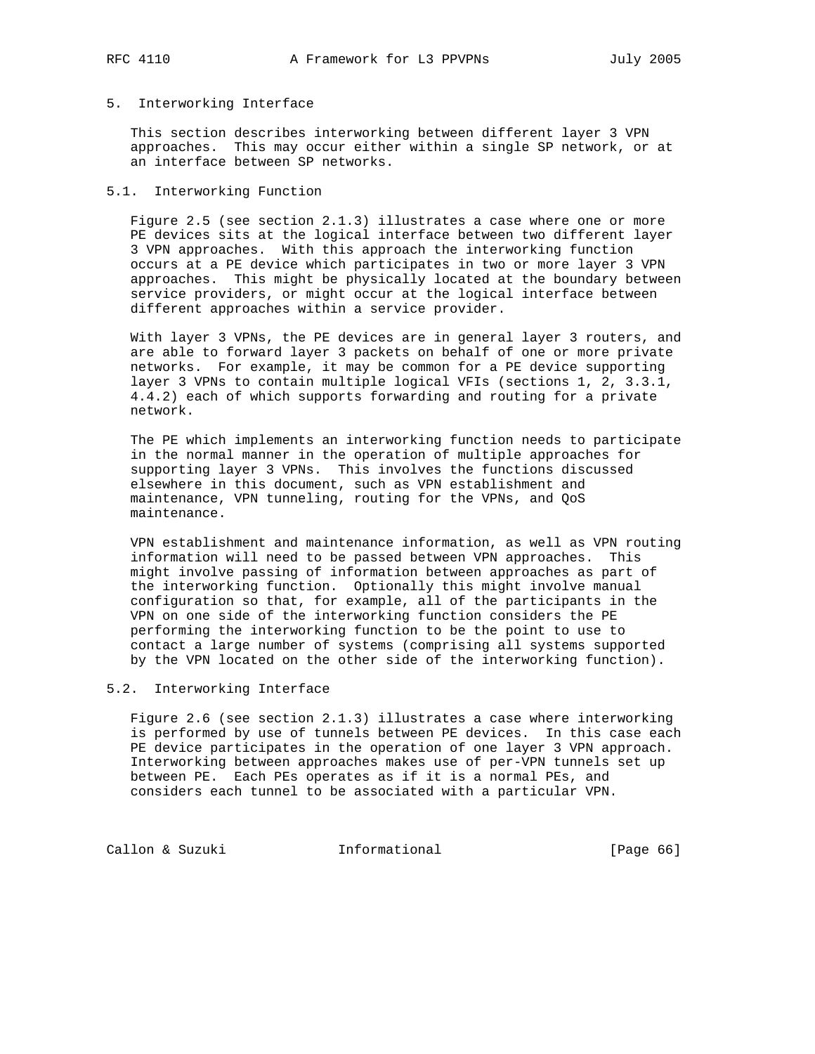# 5. Interworking Interface

 This section describes interworking between different layer 3 VPN approaches. This may occur either within a single SP network, or at an interface between SP networks.

# 5.1. Interworking Function

 Figure 2.5 (see section 2.1.3) illustrates a case where one or more PE devices sits at the logical interface between two different layer 3 VPN approaches. With this approach the interworking function occurs at a PE device which participates in two or more layer 3 VPN approaches. This might be physically located at the boundary between service providers, or might occur at the logical interface between different approaches within a service provider.

 With layer 3 VPNs, the PE devices are in general layer 3 routers, and are able to forward layer 3 packets on behalf of one or more private networks. For example, it may be common for a PE device supporting layer 3 VPNs to contain multiple logical VFIs (sections 1, 2, 3.3.1, 4.4.2) each of which supports forwarding and routing for a private network.

 The PE which implements an interworking function needs to participate in the normal manner in the operation of multiple approaches for supporting layer 3 VPNs. This involves the functions discussed elsewhere in this document, such as VPN establishment and maintenance, VPN tunneling, routing for the VPNs, and QoS maintenance.

 VPN establishment and maintenance information, as well as VPN routing information will need to be passed between VPN approaches. This might involve passing of information between approaches as part of the interworking function. Optionally this might involve manual configuration so that, for example, all of the participants in the VPN on one side of the interworking function considers the PE performing the interworking function to be the point to use to contact a large number of systems (comprising all systems supported by the VPN located on the other side of the interworking function).

#### 5.2. Interworking Interface

 Figure 2.6 (see section 2.1.3) illustrates a case where interworking is performed by use of tunnels between PE devices. In this case each PE device participates in the operation of one layer 3 VPN approach. Interworking between approaches makes use of per-VPN tunnels set up between PE. Each PEs operates as if it is a normal PEs, and considers each tunnel to be associated with a particular VPN.

Callon & Suzuki **Informational** [Page 66]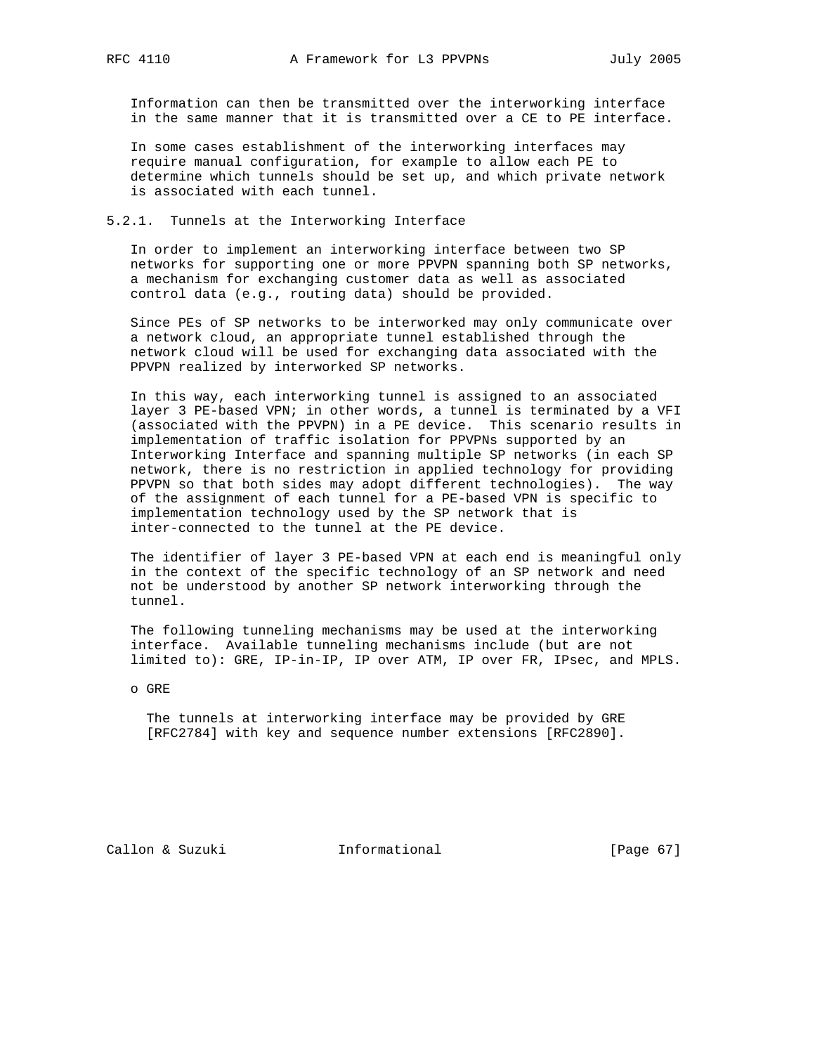Information can then be transmitted over the interworking interface in the same manner that it is transmitted over a CE to PE interface.

 In some cases establishment of the interworking interfaces may require manual configuration, for example to allow each PE to determine which tunnels should be set up, and which private network is associated with each tunnel.

5.2.1. Tunnels at the Interworking Interface

 In order to implement an interworking interface between two SP networks for supporting one or more PPVPN spanning both SP networks, a mechanism for exchanging customer data as well as associated control data (e.g., routing data) should be provided.

 Since PEs of SP networks to be interworked may only communicate over a network cloud, an appropriate tunnel established through the network cloud will be used for exchanging data associated with the PPVPN realized by interworked SP networks.

 In this way, each interworking tunnel is assigned to an associated layer 3 PE-based VPN; in other words, a tunnel is terminated by a VFI (associated with the PPVPN) in a PE device. This scenario results in implementation of traffic isolation for PPVPNs supported by an Interworking Interface and spanning multiple SP networks (in each SP network, there is no restriction in applied technology for providing PPVPN so that both sides may adopt different technologies). The way of the assignment of each tunnel for a PE-based VPN is specific to implementation technology used by the SP network that is inter-connected to the tunnel at the PE device.

 The identifier of layer 3 PE-based VPN at each end is meaningful only in the context of the specific technology of an SP network and need not be understood by another SP network interworking through the tunnel.

 The following tunneling mechanisms may be used at the interworking interface. Available tunneling mechanisms include (but are not limited to): GRE, IP-in-IP, IP over ATM, IP over FR, IPsec, and MPLS.

o GRE

 The tunnels at interworking interface may be provided by GRE [RFC2784] with key and sequence number extensions [RFC2890].

Callon & Suzuki **Informational** [Page 67]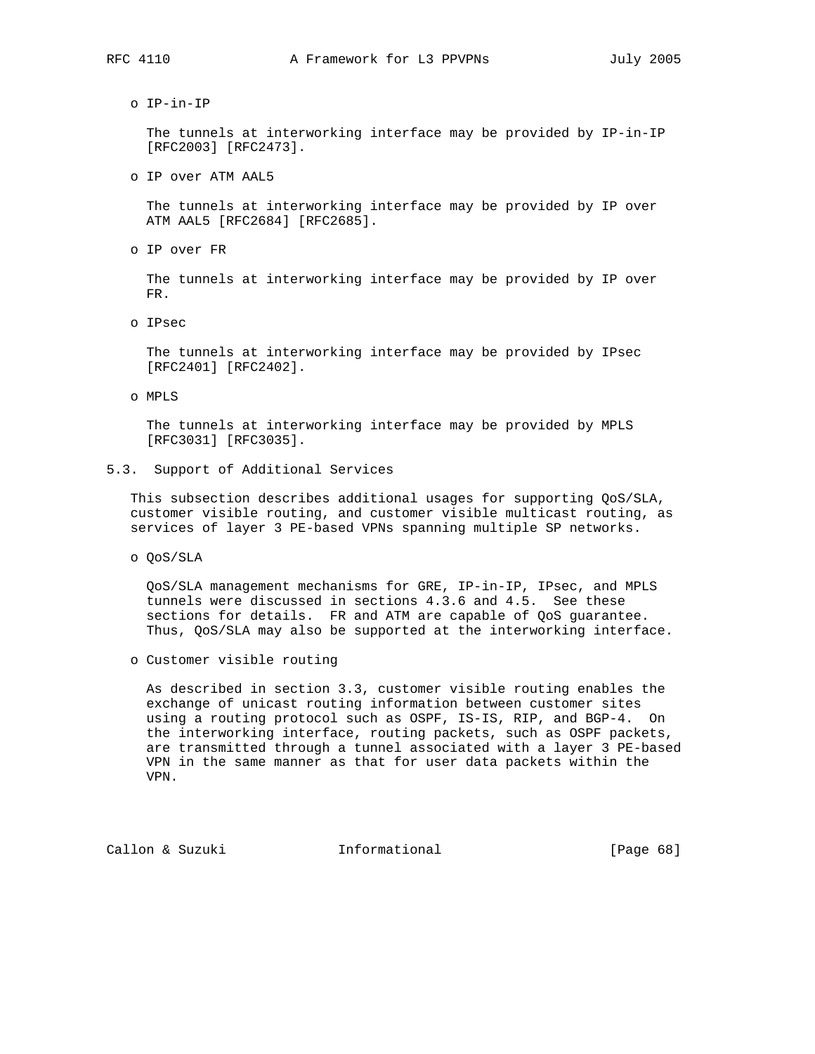o IP-in-IP

 The tunnels at interworking interface may be provided by IP-in-IP [RFC2003] [RFC2473].

o IP over ATM AAL5

 The tunnels at interworking interface may be provided by IP over ATM AAL5 [RFC2684] [RFC2685].

o IP over FR

 The tunnels at interworking interface may be provided by IP over FR.

o IPsec

 The tunnels at interworking interface may be provided by IPsec [RFC2401] [RFC2402].

o MPLS

 The tunnels at interworking interface may be provided by MPLS [RFC3031] [RFC3035].

5.3. Support of Additional Services

 This subsection describes additional usages for supporting QoS/SLA, customer visible routing, and customer visible multicast routing, as services of layer 3 PE-based VPNs spanning multiple SP networks.

o QoS/SLA

 QoS/SLA management mechanisms for GRE, IP-in-IP, IPsec, and MPLS tunnels were discussed in sections 4.3.6 and 4.5. See these sections for details. FR and ATM are capable of QoS guarantee. Thus, QoS/SLA may also be supported at the interworking interface.

o Customer visible routing

 As described in section 3.3, customer visible routing enables the exchange of unicast routing information between customer sites using a routing protocol such as OSPF, IS-IS, RIP, and BGP-4. On the interworking interface, routing packets, such as OSPF packets, are transmitted through a tunnel associated with a layer 3 PE-based VPN in the same manner as that for user data packets within the VPN.

Callon & Suzuki **Informational** [Page 68]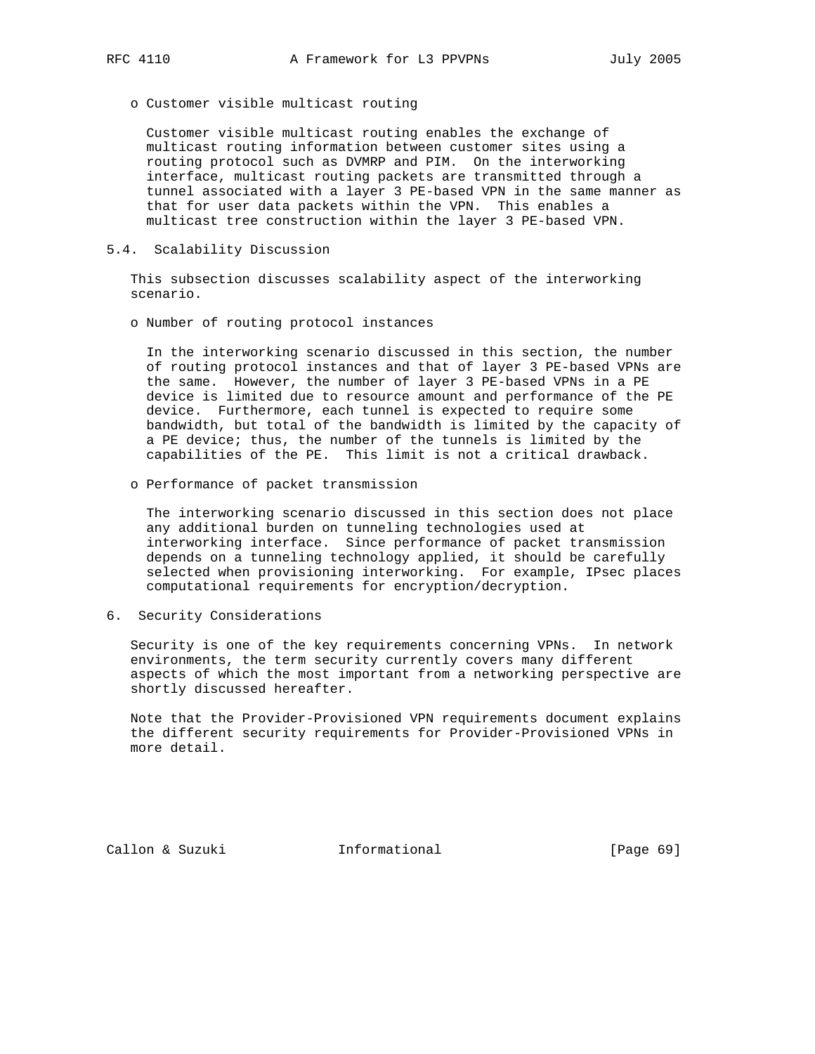o Customer visible multicast routing

 Customer visible multicast routing enables the exchange of multicast routing information between customer sites using a routing protocol such as DVMRP and PIM. On the interworking interface, multicast routing packets are transmitted through a tunnel associated with a layer 3 PE-based VPN in the same manner as that for user data packets within the VPN. This enables a multicast tree construction within the layer 3 PE-based VPN.

#### 5.4. Scalability Discussion

 This subsection discusses scalability aspect of the interworking scenario.

o Number of routing protocol instances

 In the interworking scenario discussed in this section, the number of routing protocol instances and that of layer 3 PE-based VPNs are the same. However, the number of layer 3 PE-based VPNs in a PE device is limited due to resource amount and performance of the PE device. Furthermore, each tunnel is expected to require some bandwidth, but total of the bandwidth is limited by the capacity of a PE device; thus, the number of the tunnels is limited by the capabilities of the PE. This limit is not a critical drawback.

o Performance of packet transmission

 The interworking scenario discussed in this section does not place any additional burden on tunneling technologies used at interworking interface. Since performance of packet transmission depends on a tunneling technology applied, it should be carefully selected when provisioning interworking. For example, IPsec places computational requirements for encryption/decryption.

6. Security Considerations

 Security is one of the key requirements concerning VPNs. In network environments, the term security currently covers many different aspects of which the most important from a networking perspective are shortly discussed hereafter.

 Note that the Provider-Provisioned VPN requirements document explains the different security requirements for Provider-Provisioned VPNs in more detail.

Callon & Suzuki Informational [Page 69]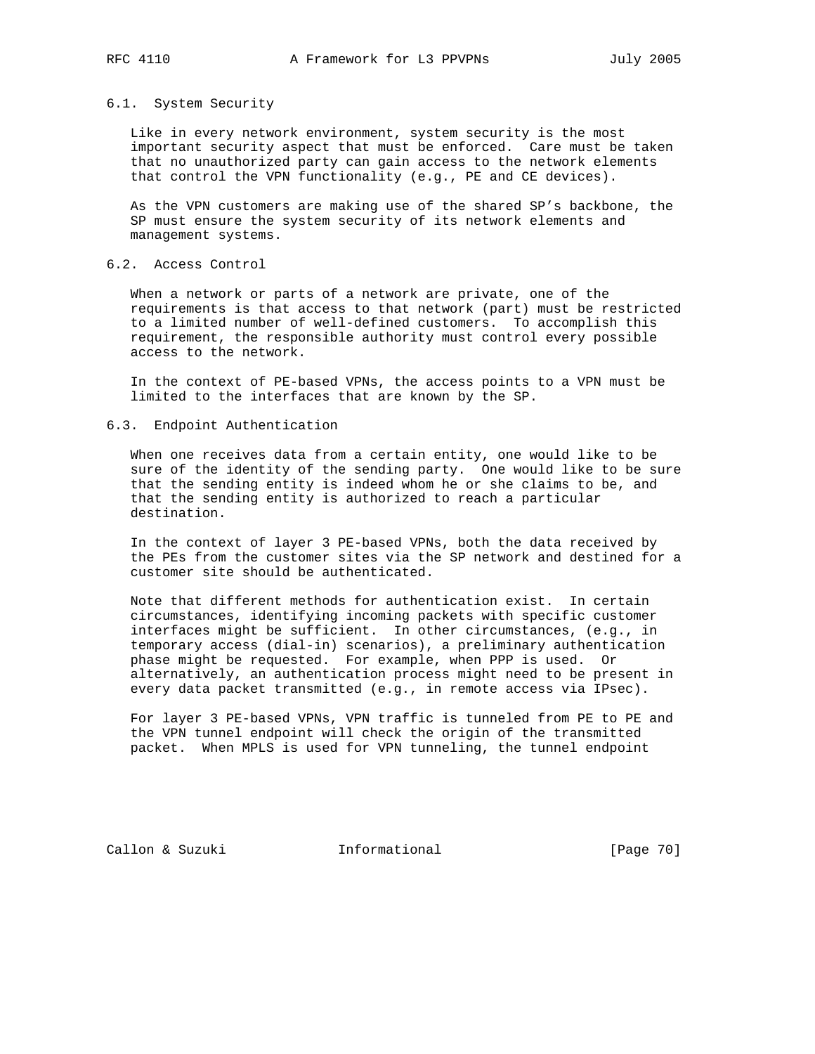#### 6.1. System Security

 Like in every network environment, system security is the most important security aspect that must be enforced. Care must be taken that no unauthorized party can gain access to the network elements that control the VPN functionality (e.g., PE and CE devices).

 As the VPN customers are making use of the shared SP's backbone, the SP must ensure the system security of its network elements and management systems.

# 6.2. Access Control

 When a network or parts of a network are private, one of the requirements is that access to that network (part) must be restricted to a limited number of well-defined customers. To accomplish this requirement, the responsible authority must control every possible access to the network.

 In the context of PE-based VPNs, the access points to a VPN must be limited to the interfaces that are known by the SP.

## 6.3. Endpoint Authentication

 When one receives data from a certain entity, one would like to be sure of the identity of the sending party. One would like to be sure that the sending entity is indeed whom he or she claims to be, and that the sending entity is authorized to reach a particular destination.

 In the context of layer 3 PE-based VPNs, both the data received by the PEs from the customer sites via the SP network and destined for a customer site should be authenticated.

 Note that different methods for authentication exist. In certain circumstances, identifying incoming packets with specific customer interfaces might be sufficient. In other circumstances, (e.g., in temporary access (dial-in) scenarios), a preliminary authentication phase might be requested. For example, when PPP is used. Or alternatively, an authentication process might need to be present in every data packet transmitted (e.g., in remote access via IPsec).

 For layer 3 PE-based VPNs, VPN traffic is tunneled from PE to PE and the VPN tunnel endpoint will check the origin of the transmitted packet. When MPLS is used for VPN tunneling, the tunnel endpoint

Callon & Suzuki **Informational** [Page 70]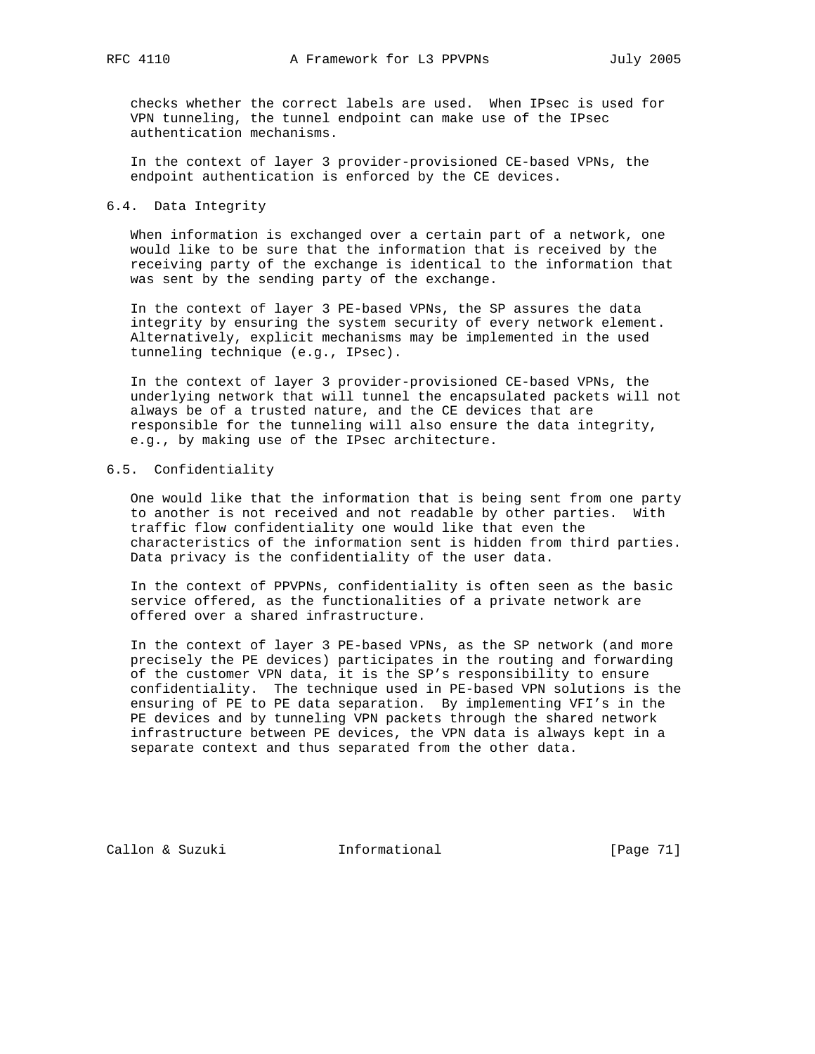checks whether the correct labels are used. When IPsec is used for VPN tunneling, the tunnel endpoint can make use of the IPsec authentication mechanisms.

 In the context of layer 3 provider-provisioned CE-based VPNs, the endpoint authentication is enforced by the CE devices.

## 6.4. Data Integrity

 When information is exchanged over a certain part of a network, one would like to be sure that the information that is received by the receiving party of the exchange is identical to the information that was sent by the sending party of the exchange.

 In the context of layer 3 PE-based VPNs, the SP assures the data integrity by ensuring the system security of every network element. Alternatively, explicit mechanisms may be implemented in the used tunneling technique (e.g., IPsec).

 In the context of layer 3 provider-provisioned CE-based VPNs, the underlying network that will tunnel the encapsulated packets will not always be of a trusted nature, and the CE devices that are responsible for the tunneling will also ensure the data integrity, e.g., by making use of the IPsec architecture.

## 6.5. Confidentiality

 One would like that the information that is being sent from one party to another is not received and not readable by other parties. With traffic flow confidentiality one would like that even the characteristics of the information sent is hidden from third parties. Data privacy is the confidentiality of the user data.

 In the context of PPVPNs, confidentiality is often seen as the basic service offered, as the functionalities of a private network are offered over a shared infrastructure.

 In the context of layer 3 PE-based VPNs, as the SP network (and more precisely the PE devices) participates in the routing and forwarding of the customer VPN data, it is the SP's responsibility to ensure confidentiality. The technique used in PE-based VPN solutions is the ensuring of PE to PE data separation. By implementing VFI's in the PE devices and by tunneling VPN packets through the shared network infrastructure between PE devices, the VPN data is always kept in a separate context and thus separated from the other data.

Callon & Suzuki **Informational** [Page 71]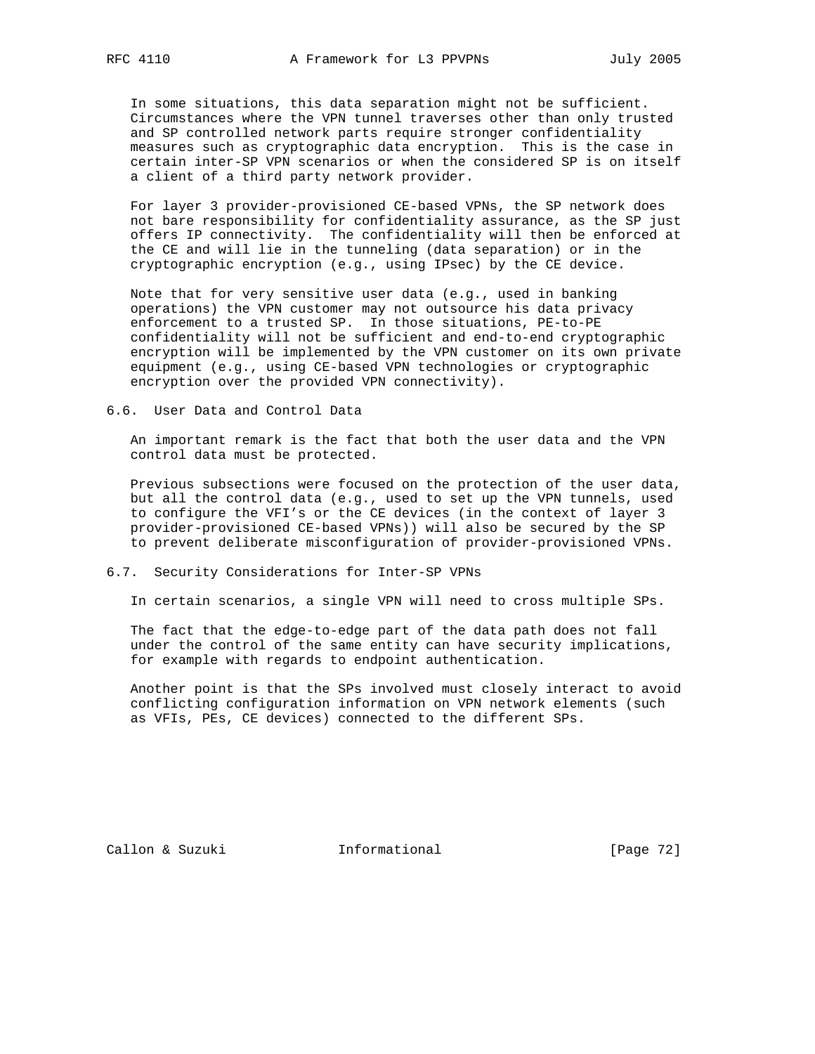In some situations, this data separation might not be sufficient. Circumstances where the VPN tunnel traverses other than only trusted and SP controlled network parts require stronger confidentiality measures such as cryptographic data encryption. This is the case in certain inter-SP VPN scenarios or when the considered SP is on itself a client of a third party network provider.

 For layer 3 provider-provisioned CE-based VPNs, the SP network does not bare responsibility for confidentiality assurance, as the SP just offers IP connectivity. The confidentiality will then be enforced at the CE and will lie in the tunneling (data separation) or in the cryptographic encryption (e.g., using IPsec) by the CE device.

 Note that for very sensitive user data (e.g., used in banking operations) the VPN customer may not outsource his data privacy enforcement to a trusted SP. In those situations, PE-to-PE confidentiality will not be sufficient and end-to-end cryptographic encryption will be implemented by the VPN customer on its own private equipment (e.g., using CE-based VPN technologies or cryptographic encryption over the provided VPN connectivity).

6.6. User Data and Control Data

 An important remark is the fact that both the user data and the VPN control data must be protected.

 Previous subsections were focused on the protection of the user data, but all the control data (e.g., used to set up the VPN tunnels, used to configure the VFI's or the CE devices (in the context of layer 3 provider-provisioned CE-based VPNs)) will also be secured by the SP to prevent deliberate misconfiguration of provider-provisioned VPNs.

# 6.7. Security Considerations for Inter-SP VPNs

In certain scenarios, a single VPN will need to cross multiple SPs.

 The fact that the edge-to-edge part of the data path does not fall under the control of the same entity can have security implications, for example with regards to endpoint authentication.

 Another point is that the SPs involved must closely interact to avoid conflicting configuration information on VPN network elements (such as VFIs, PEs, CE devices) connected to the different SPs.

Callon & Suzuki **Informational** [Page 72]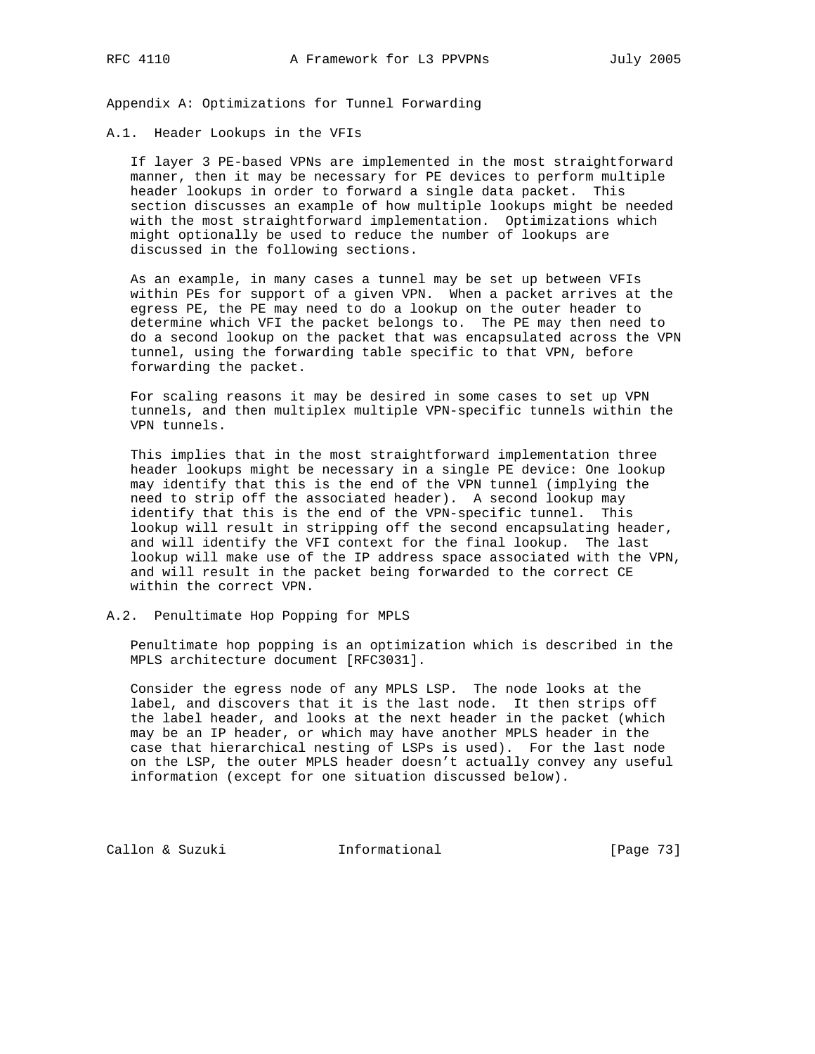Appendix A: Optimizations for Tunnel Forwarding

## A.1. Header Lookups in the VFIs

 If layer 3 PE-based VPNs are implemented in the most straightforward manner, then it may be necessary for PE devices to perform multiple header lookups in order to forward a single data packet. This section discusses an example of how multiple lookups might be needed with the most straightforward implementation. Optimizations which might optionally be used to reduce the number of lookups are discussed in the following sections.

 As an example, in many cases a tunnel may be set up between VFIs within PEs for support of a given VPN. When a packet arrives at the egress PE, the PE may need to do a lookup on the outer header to determine which VFI the packet belongs to. The PE may then need to do a second lookup on the packet that was encapsulated across the VPN tunnel, using the forwarding table specific to that VPN, before forwarding the packet.

 For scaling reasons it may be desired in some cases to set up VPN tunnels, and then multiplex multiple VPN-specific tunnels within the VPN tunnels.

 This implies that in the most straightforward implementation three header lookups might be necessary in a single PE device: One lookup may identify that this is the end of the VPN tunnel (implying the need to strip off the associated header). A second lookup may identify that this is the end of the VPN-specific tunnel. This lookup will result in stripping off the second encapsulating header, and will identify the VFI context for the final lookup. The last lookup will make use of the IP address space associated with the VPN, and will result in the packet being forwarded to the correct CE within the correct VPN.

A.2. Penultimate Hop Popping for MPLS

 Penultimate hop popping is an optimization which is described in the MPLS architecture document [RFC3031].

 Consider the egress node of any MPLS LSP. The node looks at the label, and discovers that it is the last node. It then strips off the label header, and looks at the next header in the packet (which may be an IP header, or which may have another MPLS header in the case that hierarchical nesting of LSPs is used). For the last node on the LSP, the outer MPLS header doesn't actually convey any useful information (except for one situation discussed below).

Callon & Suzuki **Informational** [Page 73]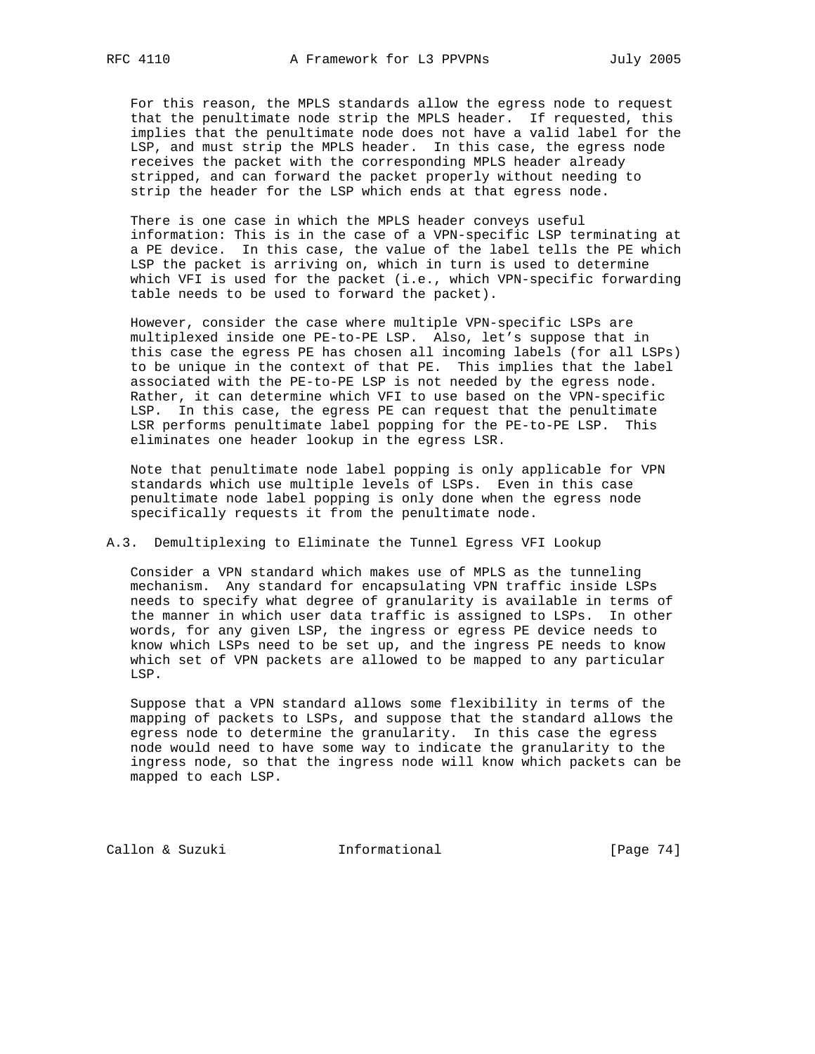For this reason, the MPLS standards allow the egress node to request that the penultimate node strip the MPLS header. If requested, this implies that the penultimate node does not have a valid label for the LSP, and must strip the MPLS header. In this case, the egress node receives the packet with the corresponding MPLS header already stripped, and can forward the packet properly without needing to strip the header for the LSP which ends at that egress node.

 There is one case in which the MPLS header conveys useful information: This is in the case of a VPN-specific LSP terminating at a PE device. In this case, the value of the label tells the PE which LSP the packet is arriving on, which in turn is used to determine which VFI is used for the packet (i.e., which VPN-specific forwarding table needs to be used to forward the packet).

 However, consider the case where multiple VPN-specific LSPs are multiplexed inside one PE-to-PE LSP. Also, let's suppose that in this case the egress PE has chosen all incoming labels (for all LSPs) to be unique in the context of that PE. This implies that the label associated with the PE-to-PE LSP is not needed by the egress node. Rather, it can determine which VFI to use based on the VPN-specific LSP. In this case, the egress PE can request that the penultimate LSR performs penultimate label popping for the PE-to-PE LSP. This eliminates one header lookup in the egress LSR.

 Note that penultimate node label popping is only applicable for VPN standards which use multiple levels of LSPs. Even in this case penultimate node label popping is only done when the egress node specifically requests it from the penultimate node.

## A.3. Demultiplexing to Eliminate the Tunnel Egress VFI Lookup

 Consider a VPN standard which makes use of MPLS as the tunneling mechanism. Any standard for encapsulating VPN traffic inside LSPs needs to specify what degree of granularity is available in terms of the manner in which user data traffic is assigned to LSPs. In other words, for any given LSP, the ingress or egress PE device needs to know which LSPs need to be set up, and the ingress PE needs to know which set of VPN packets are allowed to be mapped to any particular LSP.

 Suppose that a VPN standard allows some flexibility in terms of the mapping of packets to LSPs, and suppose that the standard allows the egress node to determine the granularity. In this case the egress node would need to have some way to indicate the granularity to the ingress node, so that the ingress node will know which packets can be mapped to each LSP.

Callon & Suzuki **Informational** [Page 74]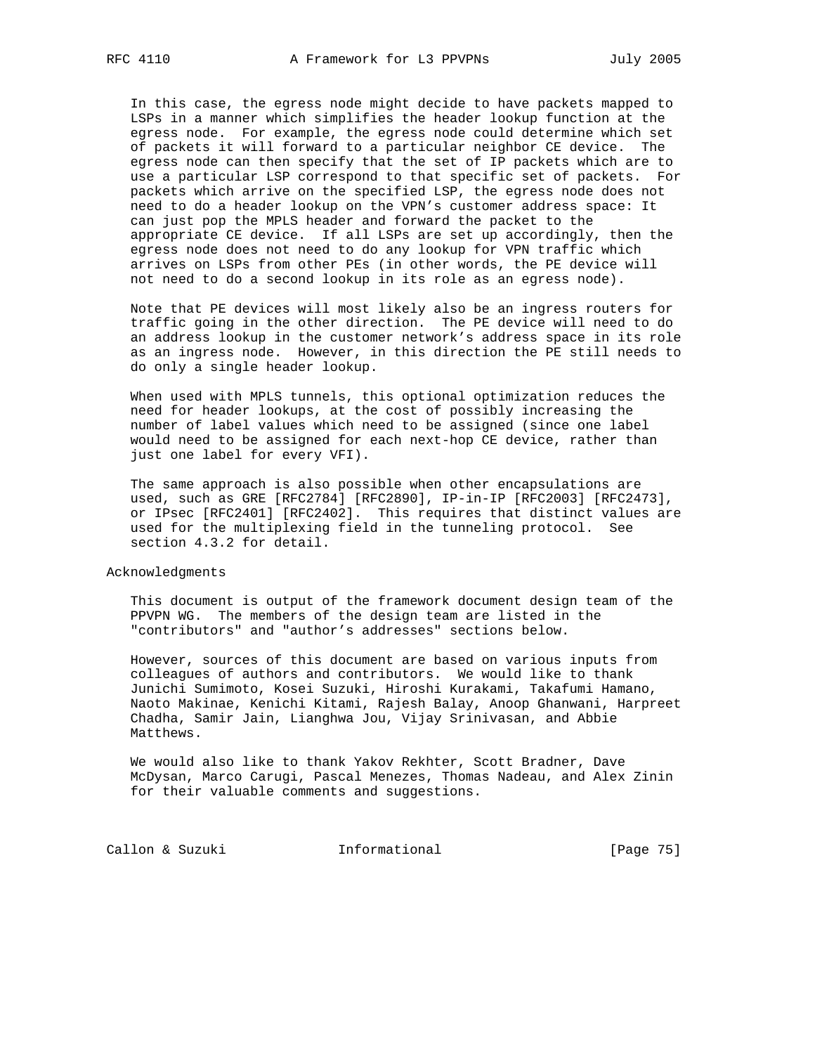In this case, the egress node might decide to have packets mapped to LSPs in a manner which simplifies the header lookup function at the egress node. For example, the egress node could determine which set of packets it will forward to a particular neighbor CE device. The egress node can then specify that the set of IP packets which are to use a particular LSP correspond to that specific set of packets. For packets which arrive on the specified LSP, the egress node does not need to do a header lookup on the VPN's customer address space: It can just pop the MPLS header and forward the packet to the appropriate CE device. If all LSPs are set up accordingly, then the egress node does not need to do any lookup for VPN traffic which arrives on LSPs from other PEs (in other words, the PE device will not need to do a second lookup in its role as an egress node).

 Note that PE devices will most likely also be an ingress routers for traffic going in the other direction. The PE device will need to do an address lookup in the customer network's address space in its role as an ingress node. However, in this direction the PE still needs to do only a single header lookup.

 When used with MPLS tunnels, this optional optimization reduces the need for header lookups, at the cost of possibly increasing the number of label values which need to be assigned (since one label would need to be assigned for each next-hop CE device, rather than just one label for every VFI).

 The same approach is also possible when other encapsulations are used, such as GRE [RFC2784] [RFC2890], IP-in-IP [RFC2003] [RFC2473], or IPsec [RFC2401] [RFC2402]. This requires that distinct values are used for the multiplexing field in the tunneling protocol. See section 4.3.2 for detail.

Acknowledgments

 This document is output of the framework document design team of the PPVPN WG. The members of the design team are listed in the "contributors" and "author's addresses" sections below.

 However, sources of this document are based on various inputs from colleagues of authors and contributors. We would like to thank Junichi Sumimoto, Kosei Suzuki, Hiroshi Kurakami, Takafumi Hamano, Naoto Makinae, Kenichi Kitami, Rajesh Balay, Anoop Ghanwani, Harpreet Chadha, Samir Jain, Lianghwa Jou, Vijay Srinivasan, and Abbie Matthews.

 We would also like to thank Yakov Rekhter, Scott Bradner, Dave McDysan, Marco Carugi, Pascal Menezes, Thomas Nadeau, and Alex Zinin for their valuable comments and suggestions.

Callon & Suzuki **Informational** [Page 75]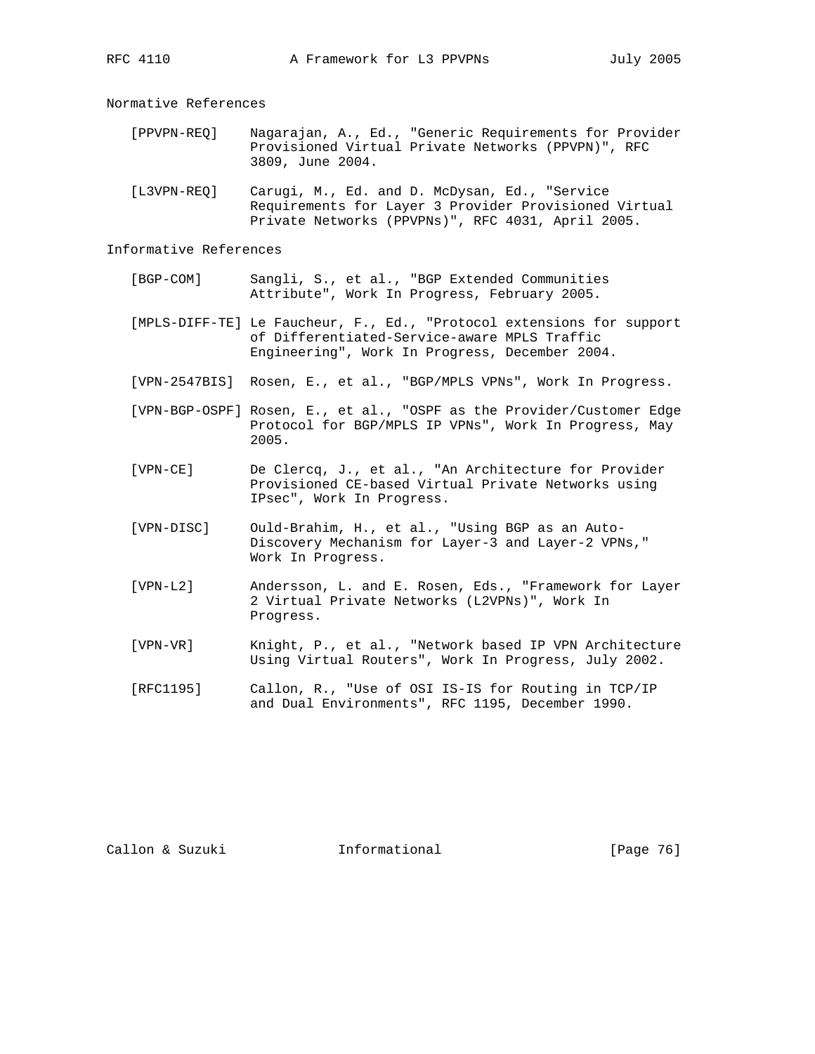Normative References

- [PPVPN-REQ] Nagarajan, A., Ed., "Generic Requirements for Provider Provisioned Virtual Private Networks (PPVPN)", RFC 3809, June 2004.
- [L3VPN-REQ] Carugi, M., Ed. and D. McDysan, Ed., "Service Requirements for Layer 3 Provider Provisioned Virtual Private Networks (PPVPNs)", RFC 4031, April 2005.

## Informative References

- [BGP-COM] Sangli, S., et al., "BGP Extended Communities Attribute", Work In Progress, February 2005.
- [MPLS-DIFF-TE] Le Faucheur, F., Ed., "Protocol extensions for support of Differentiated-Service-aware MPLS Traffic Engineering", Work In Progress, December 2004.
- [VPN-2547BIS] Rosen, E., et al., "BGP/MPLS VPNs", Work In Progress.
- [VPN-BGP-OSPF] Rosen, E., et al., "OSPF as the Provider/Customer Edge Protocol for BGP/MPLS IP VPNs", Work In Progress, May 2005.
- [VPN-CE] De Clercq, J., et al., "An Architecture for Provider Provisioned CE-based Virtual Private Networks using IPsec", Work In Progress.
- [VPN-DISC] Ould-Brahim, H., et al., "Using BGP as an Auto- Discovery Mechanism for Layer-3 and Layer-2 VPNs," Work In Progress.
- [VPN-L2] Andersson, L. and E. Rosen, Eds., "Framework for Layer 2 Virtual Private Networks (L2VPNs)", Work In Progress.
- [VPN-VR] Knight, P., et al., "Network based IP VPN Architecture Using Virtual Routers", Work In Progress, July 2002.
- [RFC1195] Callon, R., "Use of OSI IS-IS for Routing in TCP/IP and Dual Environments", RFC 1195, December 1990.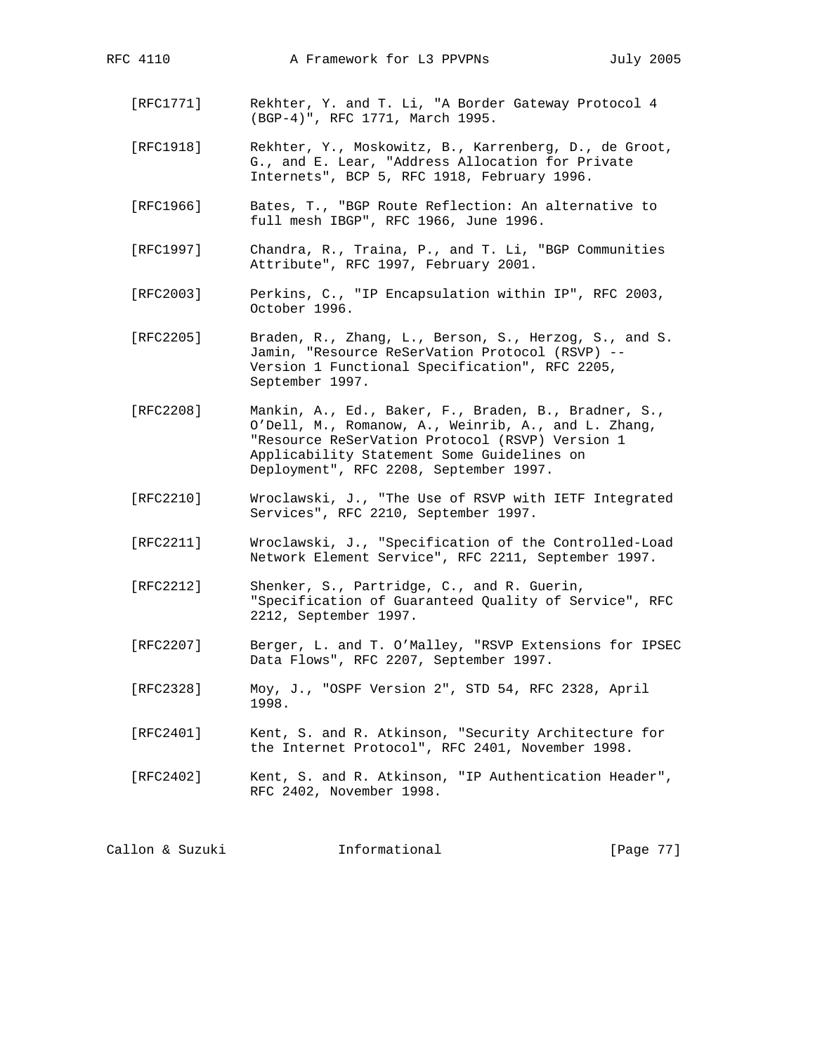- [RFC1771] Rekhter, Y. and T. Li, "A Border Gateway Protocol 4 (BGP-4)", RFC 1771, March 1995.
- [RFC1918] Rekhter, Y., Moskowitz, B., Karrenberg, D., de Groot, G., and E. Lear, "Address Allocation for Private Internets", BCP 5, RFC 1918, February 1996.
- [RFC1966] Bates, T., "BGP Route Reflection: An alternative to full mesh IBGP", RFC 1966, June 1996.
- [RFC1997] Chandra, R., Traina, P., and T. Li, "BGP Communities Attribute", RFC 1997, February 2001.
- [RFC2003] Perkins, C., "IP Encapsulation within IP", RFC 2003, October 1996.
- [RFC2205] Braden, R., Zhang, L., Berson, S., Herzog, S., and S. Jamin, "Resource ReSerVation Protocol (RSVP) -- Version 1 Functional Specification", RFC 2205, September 1997.
- [RFC2208] Mankin, A., Ed., Baker, F., Braden, B., Bradner, S., O'Dell, M., Romanow, A., Weinrib, A., and L. Zhang, "Resource ReSerVation Protocol (RSVP) Version 1 Applicability Statement Some Guidelines on Deployment", RFC 2208, September 1997.
- [RFC2210] Wroclawski, J., "The Use of RSVP with IETF Integrated Services", RFC 2210, September 1997.
- [RFC2211] Wroclawski, J., "Specification of the Controlled-Load Network Element Service", RFC 2211, September 1997.
- [RFC2212] Shenker, S., Partridge, C., and R. Guerin, "Specification of Guaranteed Quality of Service", RFC 2212, September 1997.
- [RFC2207] Berger, L. and T. O'Malley, "RSVP Extensions for IPSEC Data Flows", RFC 2207, September 1997.
- [RFC2328] Moy, J., "OSPF Version 2", STD 54, RFC 2328, April 1998.
- [RFC2401] Kent, S. and R. Atkinson, "Security Architecture for the Internet Protocol", RFC 2401, November 1998.
- [RFC2402] Kent, S. and R. Atkinson, "IP Authentication Header", RFC 2402, November 1998.

Callon & Suzuki **Informational** [Page 77]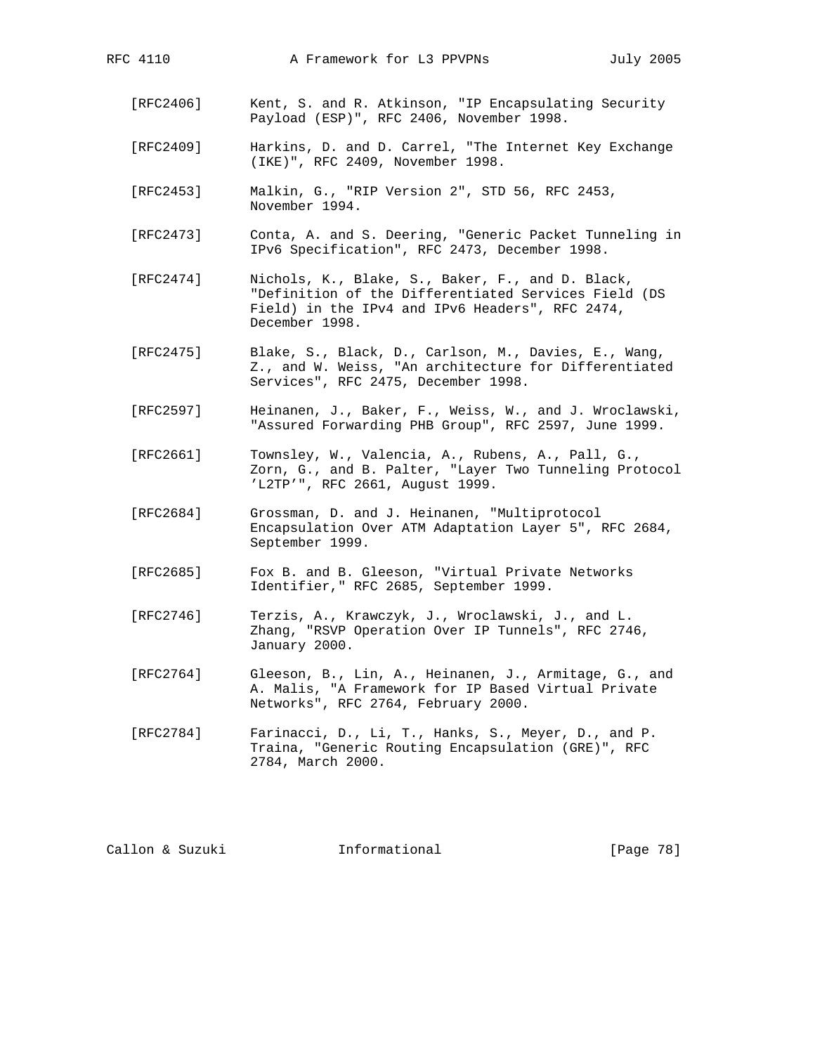- [RFC2406] Kent, S. and R. Atkinson, "IP Encapsulating Security Payload (ESP)", RFC 2406, November 1998.
- [RFC2409] Harkins, D. and D. Carrel, "The Internet Key Exchange (IKE)", RFC 2409, November 1998.
- [RFC2453] Malkin, G., "RIP Version 2", STD 56, RFC 2453, November 1994.
- [RFC2473] Conta, A. and S. Deering, "Generic Packet Tunneling in IPv6 Specification", RFC 2473, December 1998.
- [RFC2474] Nichols, K., Blake, S., Baker, F., and D. Black, "Definition of the Differentiated Services Field (DS Field) in the IPv4 and IPv6 Headers", RFC 2474, December 1998.
- [RFC2475] Blake, S., Black, D., Carlson, M., Davies, E., Wang, Z., and W. Weiss, "An architecture for Differentiated Services", RFC 2475, December 1998.
- [RFC2597] Heinanen, J., Baker, F., Weiss, W., and J. Wroclawski, "Assured Forwarding PHB Group", RFC 2597, June 1999.
- [RFC2661] Townsley, W., Valencia, A., Rubens, A., Pall, G., Zorn, G., and B. Palter, "Layer Two Tunneling Protocol 'L2TP'", RFC 2661, August 1999.
- [RFC2684] Grossman, D. and J. Heinanen, "Multiprotocol Encapsulation Over ATM Adaptation Layer 5", RFC 2684, September 1999.
- [RFC2685] Fox B. and B. Gleeson, "Virtual Private Networks Identifier," RFC 2685, September 1999.
- [RFC2746] Terzis, A., Krawczyk, J., Wroclawski, J., and L. Zhang, "RSVP Operation Over IP Tunnels", RFC 2746, January 2000.
- [RFC2764] Gleeson, B., Lin, A., Heinanen, J., Armitage, G., and A. Malis, "A Framework for IP Based Virtual Private Networks", RFC 2764, February 2000.
- [RFC2784] Farinacci, D., Li, T., Hanks, S., Meyer, D., and P. Traina, "Generic Routing Encapsulation (GRE)", RFC 2784, March 2000.

Callon & Suzuki Informational [Page 78]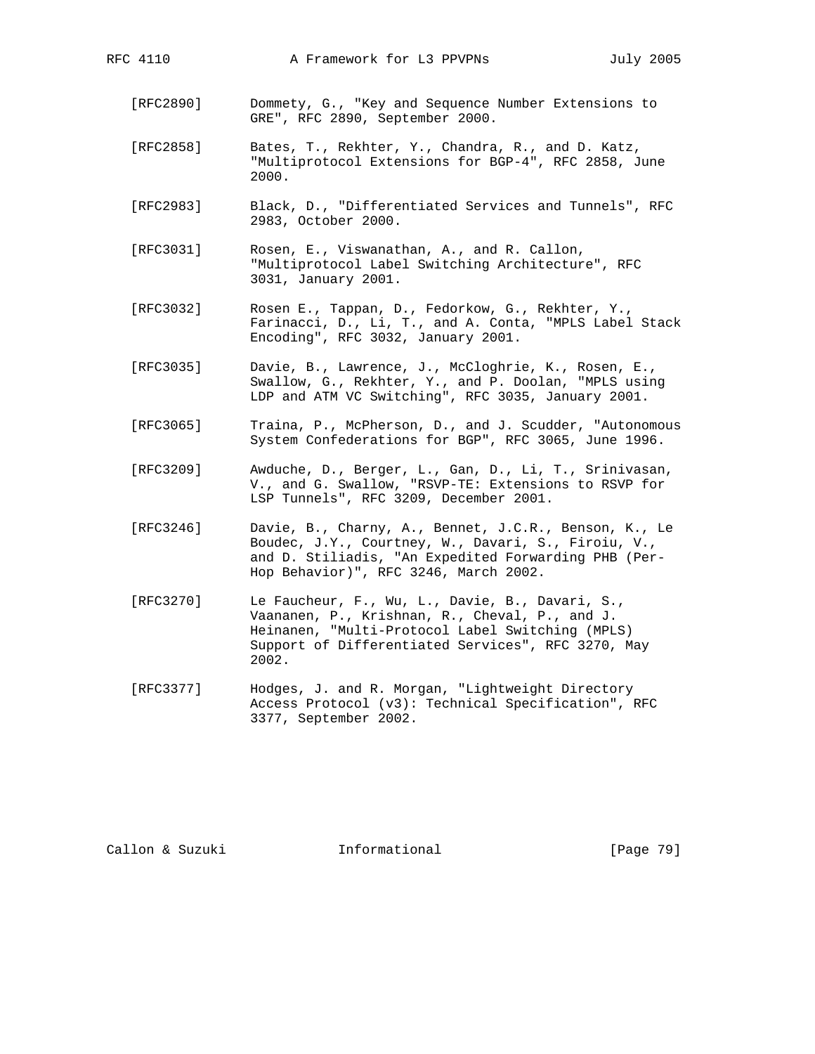- [RFC2890] Dommety, G., "Key and Sequence Number Extensions to GRE", RFC 2890, September 2000.
- [RFC2858] Bates, T., Rekhter, Y., Chandra, R., and D. Katz, "Multiprotocol Extensions for BGP-4", RFC 2858, June 2000.
- [RFC2983] Black, D., "Differentiated Services and Tunnels", RFC 2983, October 2000.
- [RFC3031] Rosen, E., Viswanathan, A., and R. Callon, "Multiprotocol Label Switching Architecture", RFC 3031, January 2001.
- [RFC3032] Rosen E., Tappan, D., Fedorkow, G., Rekhter, Y., Farinacci, D., Li, T., and A. Conta, "MPLS Label Stack Encoding", RFC 3032, January 2001.
- [RFC3035] Davie, B., Lawrence, J., McCloghrie, K., Rosen, E., Swallow, G., Rekhter, Y., and P. Doolan, "MPLS using LDP and ATM VC Switching", RFC 3035, January 2001.
- [RFC3065] Traina, P., McPherson, D., and J. Scudder, "Autonomous System Confederations for BGP", RFC 3065, June 1996.
- [RFC3209] Awduche, D., Berger, L., Gan, D., Li, T., Srinivasan, V., and G. Swallow, "RSVP-TE: Extensions to RSVP for LSP Tunnels", RFC 3209, December 2001.
	- [RFC3246] Davie, B., Charny, A., Bennet, J.C.R., Benson, K., Le Boudec, J.Y., Courtney, W., Davari, S., Firoiu, V., and D. Stiliadis, "An Expedited Forwarding PHB (Per- Hop Behavior)", RFC 3246, March 2002.
	- [RFC3270] Le Faucheur, F., Wu, L., Davie, B., Davari, S., Vaananen, P., Krishnan, R., Cheval, P., and J. Heinanen, "Multi-Protocol Label Switching (MPLS) Support of Differentiated Services", RFC 3270, May 2002.
	- [RFC3377] Hodges, J. and R. Morgan, "Lightweight Directory Access Protocol (v3): Technical Specification", RFC 3377, September 2002.

Callon & Suzuki Informational [Page 79]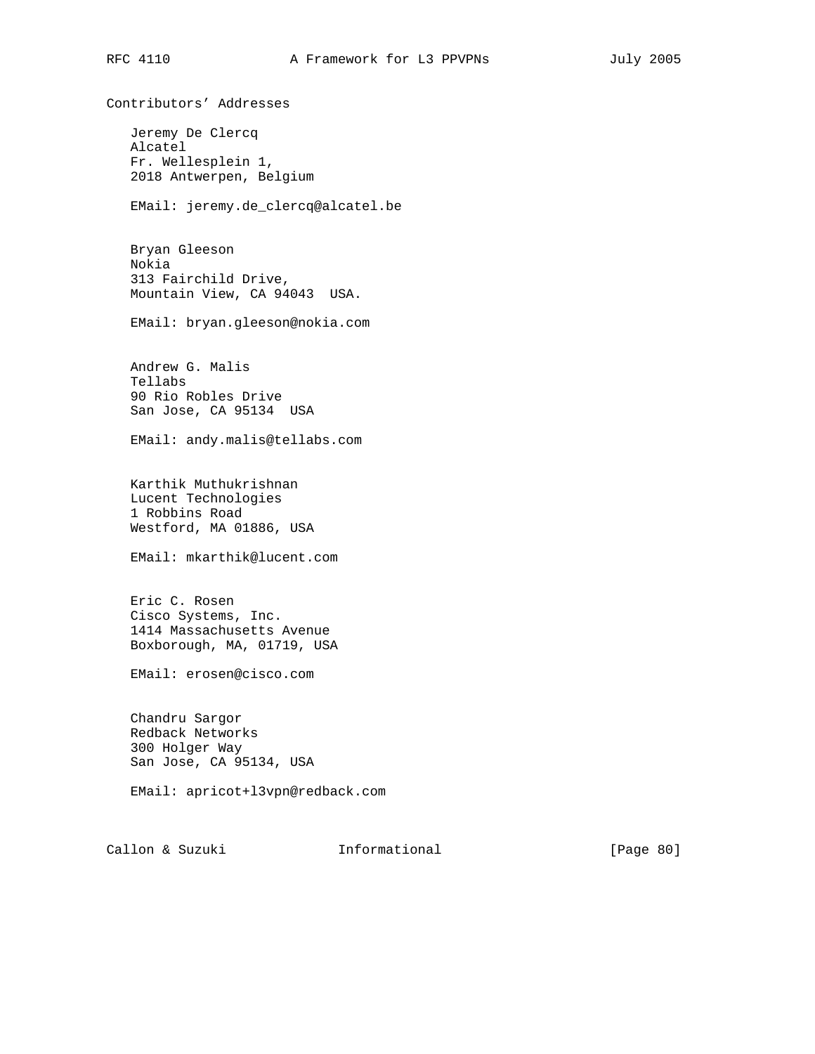Contributors' Addresses Jeremy De Clercq Alcatel Fr. Wellesplein 1, 2018 Antwerpen, Belgium EMail: jeremy.de\_clercq@alcatel.be Bryan Gleeson Nokia 313 Fairchild Drive, Mountain View, CA 94043 USA. EMail: bryan.gleeson@nokia.com Andrew G. Malis Tellabs 90 Rio Robles Drive San Jose, CA 95134 USA EMail: andy.malis@tellabs.com Karthik Muthukrishnan Lucent Technologies 1 Robbins Road Westford, MA 01886, USA EMail: mkarthik@lucent.com Eric C. Rosen Cisco Systems, Inc. 1414 Massachusetts Avenue Boxborough, MA, 01719, USA EMail: erosen@cisco.com Chandru Sargor Redback Networks 300 Holger Way San Jose, CA 95134, USA EMail: apricot+l3vpn@redback.com Callon & Suzuki Informational [Page 80]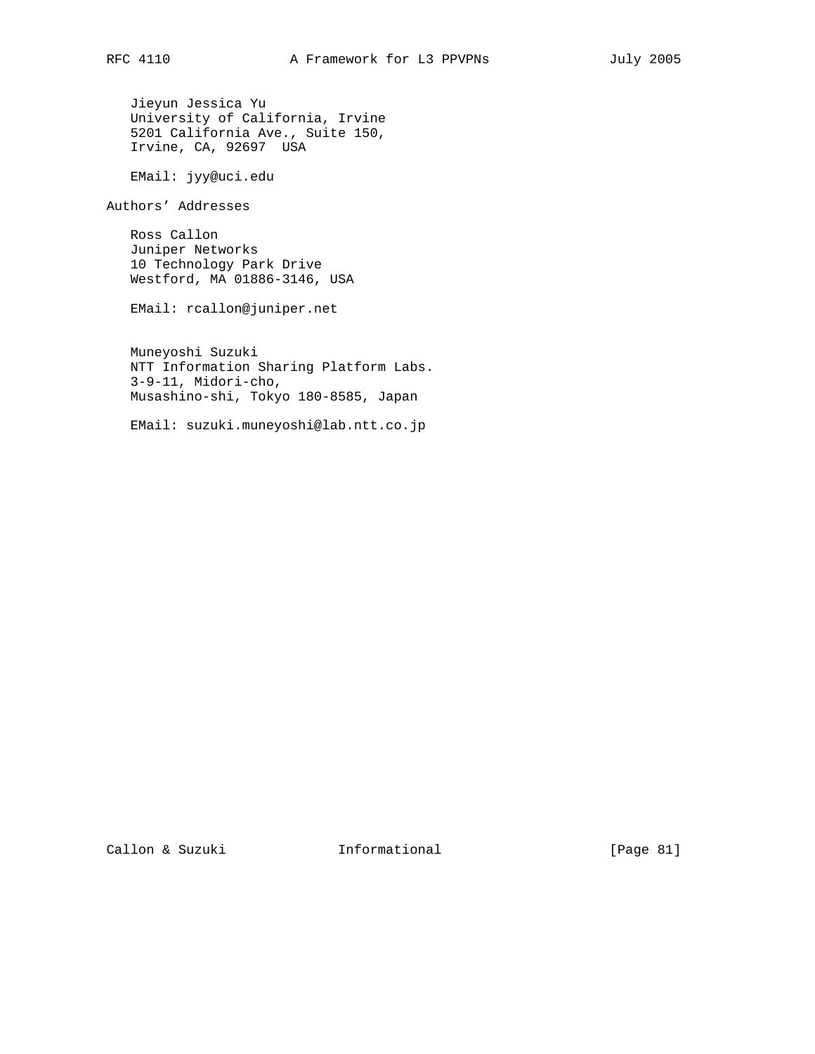Jieyun Jessica Yu University of California, Irvine 5201 California Ave., Suite 150, Irvine, CA, 92697 USA

EMail: jyy@uci.edu

Authors' Addresses

 Ross Callon Juniper Networks 10 Technology Park Drive Westford, MA 01886-3146, USA

EMail: rcallon@juniper.net

 Muneyoshi Suzuki NTT Information Sharing Platform Labs. 3-9-11, Midori-cho, Musashino-shi, Tokyo 180-8585, Japan

EMail: suzuki.muneyoshi@lab.ntt.co.jp